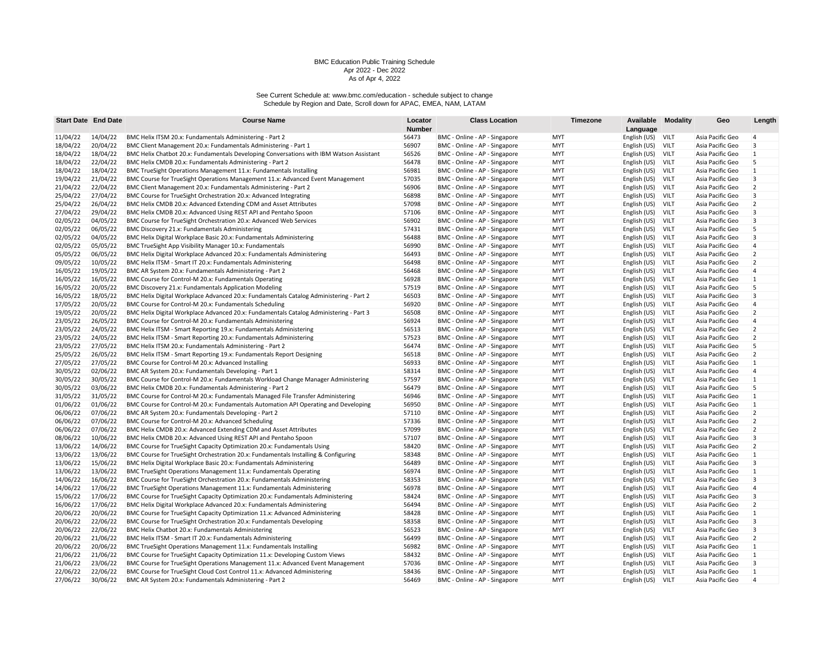|          | <b>Start Date End Date</b> | <b>Course Name</b>                                                                      | Locator | <b>Class Location</b>         | Timezone   |              | <b>Available Modality</b> | Geo              | Length         |
|----------|----------------------------|-----------------------------------------------------------------------------------------|---------|-------------------------------|------------|--------------|---------------------------|------------------|----------------|
|          |                            |                                                                                         | Number  |                               |            | Language     |                           |                  |                |
| 11/04/22 | 14/04/22                   | BMC Helix ITSM 20.x: Fundamentals Administering - Part 2                                | 56473   | BMC - Online - AP - Singapore | <b>MYT</b> | English (US) | <b>VILT</b>               | Asia Pacific Geo | $\overline{4}$ |
| 18/04/22 | 20/04/22                   | BMC Client Management 20.x: Fundamentals Administering - Part 1                         | 56907   | BMC - Online - AP - Singapore | <b>MYT</b> | English (US) | <b>VILT</b>               | Asia Pacific Geo | 3              |
| 18/04/22 | 18/04/22                   | BMC Helix Chatbot 20.x: Fundamentals Developing Conversations with IBM Watson Assistant | 56526   | BMC - Online - AP - Singapore | <b>MYT</b> | English (US) | VILT                      | Asia Pacific Geo | $\mathbf{1}$   |
| 18/04/22 | 22/04/22                   | BMC Helix CMDB 20.x: Fundamentals Administering - Part 2                                | 56478   | BMC - Online - AP - Singapore | <b>MYT</b> | English (US) | VILT                      | Asia Pacific Geo | 5              |
| 18/04/22 | 18/04/22                   | BMC TrueSight Operations Management 11.x: Fundamentals Installing                       | 56981   | BMC - Online - AP - Singapore | <b>MYT</b> | English (US) | <b>VILT</b>               | Asia Pacific Geo | $\mathbf{1}$   |
| 19/04/22 | 21/04/22                   | BMC Course for TrueSight Operations Management 11.x: Advanced Event Management          | 57035   | BMC - Online - AP - Singapore | <b>MYT</b> | English (US) | VILT                      | Asia Pacific Geo | 3              |
| 21/04/22 | 22/04/22                   | BMC Client Management 20.x: Fundamentals Administering - Part 2                         | 56906   | BMC - Online - AP - Singapore | <b>MYT</b> | English (US) | VILT                      | Asia Pacific Geo | $\overline{2}$ |
| 25/04/22 | 27/04/22                   | BMC Course for TrueSight Orchestration 20.x: Advanced Integrating                       | 56898   | BMC - Online - AP - Singapore | <b>MYT</b> | English (US) | VILT                      | Asia Pacific Geo | 3              |
| 25/04/22 | 26/04/22                   | BMC Helix CMDB 20.x: Advanced Extending CDM and Asset Attributes                        | 57098   | BMC - Online - AP - Singapore | <b>MYT</b> | English (US) | VILT                      | Asia Pacific Geo | $\overline{2}$ |
| 27/04/22 | 29/04/22                   | BMC Helix CMDB 20.x: Advanced Using REST API and Pentaho Spoon                          | 57106   | BMC - Online - AP - Singapore | <b>MYT</b> | English (US) | VILT                      | Asia Pacific Geo | $\overline{3}$ |
| 02/05/22 | 04/05/22                   | BMC Course for TrueSight Orchestration 20.x: Advanced Web Services                      | 56902   | BMC - Online - AP - Singapore | <b>MYT</b> | English (US) | VILT                      | Asia Pacific Geo | 3              |
| 02/05/22 | 06/05/22                   | BMC Discovery 21.x: Fundamentals Administering                                          | 57431   | BMC - Online - AP - Singapore | <b>MYT</b> | English (US) | <b>VILT</b>               | Asia Pacific Geo | 5              |
| 02/05/22 | 04/05/22                   | BMC Helix Digital Workplace Basic 20.x: Fundamentals Administering                      | 56488   | BMC - Online - AP - Singapore | <b>MYT</b> | English (US) | VILT                      | Asia Pacific Geo | $\overline{3}$ |
| 02/05/22 | 05/05/22                   | BMC TrueSight App Visibility Manager 10.x: Fundamentals                                 | 56990   | BMC - Online - AP - Singapore | <b>MYT</b> | English (US) | VILT                      | Asia Pacific Geo | 4              |
| 05/05/22 | 06/05/22                   | BMC Helix Digital Workplace Advanced 20.x: Fundamentals Administering                   | 56493   | BMC - Online - AP - Singapore | <b>MYT</b> | English (US) | <b>VILT</b>               | Asia Pacific Geo | $\overline{2}$ |
| 09/05/22 | 10/05/22                   | BMC Helix ITSM - Smart IT 20.x: Fundamentals Administering                              | 56498   | BMC - Online - AP - Singapore | <b>MYT</b> | English (US) | VILT                      | Asia Pacific Geo | $\overline{2}$ |
| 16/05/22 | 19/05/22                   | BMC AR System 20.x: Fundamentals Administering - Part 2                                 | 56468   | BMC - Online - AP - Singapore | <b>MYT</b> | English (US) | VILT                      | Asia Pacific Geo | $\overline{4}$ |
| 16/05/22 | 16/05/22                   | BMC Course for Control-M 20.x: Fundamentals Operating                                   | 56928   | BMC - Online - AP - Singapore | <b>MYT</b> | English (US) | VILT                      | Asia Pacific Geo | $\mathbf{1}$   |
| 16/05/22 | 20/05/22                   | BMC Discovery 21.x: Fundamentals Application Modeling                                   | 57519   | BMC - Online - AP - Singapore | <b>MYT</b> | English (US) | <b>VILT</b>               | Asia Pacific Geo | 5              |
| 16/05/22 | 18/05/22                   | BMC Helix Digital Workplace Advanced 20.x: Fundamentals Catalog Administering - Part 2  | 56503   | BMC - Online - AP - Singapore | <b>MYT</b> | English (US) | VILT                      | Asia Pacific Geo | $\overline{3}$ |
| 17/05/22 | 20/05/22                   | BMC Course for Control-M 20.x: Fundamentals Scheduling                                  | 56920   | BMC - Online - AP - Singapore | <b>MYT</b> | English (US) | VILT                      | Asia Pacific Geo | $\overline{4}$ |
| 19/05/22 | 20/05/22                   | BMC Helix Digital Workplace Advanced 20.x: Fundamentals Catalog Administering - Part 3  | 56508   | BMC - Online - AP - Singapore | <b>MYT</b> | English (US) | <b>VILT</b>               | Asia Pacific Geo | $\overline{2}$ |
| 23/05/22 | 26/05/22                   | BMC Course for Control-M 20.x: Fundamentals Administering                               | 56924   | BMC - Online - AP - Singapore | <b>MYT</b> | English (US) | VILT                      | Asia Pacific Geo | $\overline{4}$ |
| 23/05/22 | 24/05/22                   | BMC Helix ITSM - Smart Reporting 19.x: Fundamentals Administering                       | 56513   | BMC - Online - AP - Singapore | <b>MYT</b> | English (US) | VILT                      | Asia Pacific Geo | $\overline{2}$ |
| 23/05/22 | 24/05/22                   | BMC Helix ITSM - Smart Reporting 20.x: Fundamentals Administering                       | 57523   | BMC - Online - AP - Singapore | <b>MYT</b> | English (US) | <b>VILT</b>               | Asia Pacific Geo | $\overline{2}$ |
| 23/05/22 | 27/05/22                   | BMC Helix ITSM 20.x: Fundamentals Administering - Part 2                                | 56474   | BMC - Online - AP - Singapore | <b>MYT</b> | English (US) | <b>VILT</b>               | Asia Pacific Geo | 5              |
| 25/05/22 | 26/05/22                   | BMC Helix ITSM - Smart Reporting 19.x: Fundamentals Report Designing                    | 56518   | BMC - Online - AP - Singapore | <b>MYT</b> | English (US) | VILT                      | Asia Pacific Geo | $\overline{2}$ |
| 27/05/22 | 27/05/22                   | BMC Course for Control-M 20.x: Advanced Installing                                      | 56933   | BMC - Online - AP - Singapore | <b>MYT</b> | English (US) | VILT                      | Asia Pacific Geo | 1              |
| 30/05/22 | 02/06/22                   | BMC AR System 20.x: Fundamentals Developing - Part 1                                    | 58314   | BMC - Online - AP - Singapore | <b>MYT</b> | English (US) | <b>VILT</b>               | Asia Pacific Geo | $\overline{4}$ |
| 30/05/22 | 30/05/22                   | BMC Course for Control-M 20.x: Fundamentals Workload Change Manager Administering       | 57597   | BMC - Online - AP - Singapore | <b>MYT</b> | English (US) | VILT                      | Asia Pacific Geo | $\mathbf{1}$   |
| 30/05/22 | 03/06/22                   | BMC Helix CMDB 20.x: Fundamentals Administering - Part 2                                | 56479   | BMC - Online - AP - Singapore | <b>MYT</b> | English (US) | VILT                      | Asia Pacific Geo | 5              |
| 31/05/22 | 31/05/22                   | BMC Course for Control-M 20.x: Fundamentals Managed File Transfer Administering         | 56946   | BMC - Online - AP - Singapore | <b>MYT</b> | English (US) | VILT                      | Asia Pacific Geo | $\mathbf{1}$   |
| 01/06/22 | 01/06/22                   | BMC Course for Control-M 20.x: Fundamentals Automation API Operating and Developing     | 56950   | BMC - Online - AP - Singapore | <b>MYT</b> | English (US) | VILT                      | Asia Pacific Geo | $\mathbf{1}$   |
| 06/06/22 | 07/06/22                   | BMC AR System 20.x: Fundamentals Developing - Part 2                                    | 57110   | BMC - Online - AP - Singapore | <b>MYT</b> | English (US) | VILT                      | Asia Pacific Geo | $\overline{2}$ |
| 06/06/22 | 07/06/22                   | BMC Course for Control-M 20.x: Advanced Scheduling                                      | 57336   | BMC - Online - AP - Singapore | <b>MYT</b> | English (US) | VILT                      | Asia Pacific Geo | $\overline{2}$ |
| 06/06/22 | 07/06/22                   | BMC Helix CMDB 20.x: Advanced Extending CDM and Asset Attributes                        | 57099   | BMC - Online - AP - Singapore | <b>MYT</b> | English (US) | VILT                      | Asia Pacific Geo | $\overline{2}$ |
| 08/06/22 | 10/06/22                   | BMC Helix CMDB 20.x: Advanced Using REST API and Pentaho Spoon                          | 57107   | BMC - Online - AP - Singapore | <b>MYT</b> | English (US) | <b>VILT</b>               | Asia Pacific Geo | 3              |
| 13/06/22 | 14/06/22                   | BMC Course for TrueSight Capacity Optimization 20.x: Fundamentals Using                 | 58420   | BMC - Online - AP - Singapore | <b>MYT</b> | English (US) | VILT                      | Asia Pacific Geo | $\overline{2}$ |
| 13/06/22 | 13/06/22                   | BMC Course for TrueSight Orchestration 20.x: Fundamentals Installing & Configuring      | 58348   | BMC - Online - AP - Singapore | <b>MYT</b> | English (US) | VILT                      | Asia Pacific Geo | $\mathbf{1}$   |
| 13/06/22 | 15/06/22                   | BMC Helix Digital Workplace Basic 20.x: Fundamentals Administering                      | 56489   | BMC - Online - AP - Singapore | <b>MYT</b> | English (US) | <b>VILT</b>               | Asia Pacific Geo | 3              |
| 13/06/22 | 13/06/22                   | BMC TrueSight Operations Management 11.x: Fundamentals Operating                        | 56974   | BMC - Online - AP - Singapore | <b>MYT</b> | English (US) | VILT                      | Asia Pacific Geo | $\mathbf{1}$   |
| 14/06/22 | 16/06/22                   | BMC Course for TrueSight Orchestration 20.x: Fundamentals Administering                 | 58353   | BMC - Online - AP - Singapore | <b>MYT</b> | English (US) | VILT                      | Asia Pacific Geo | 3              |
| 14/06/22 | 17/06/22                   | BMC TrueSight Operations Management 11.x: Fundamentals Administering                    | 56978   | BMC - Online - AP - Singapore | <b>MYT</b> | English (US) | <b>VILT</b>               | Asia Pacific Geo | 4              |
| 15/06/22 | 17/06/22                   | BMC Course for TrueSight Capacity Optimization 20.x: Fundamentals Administering         | 58424   | BMC - Online - AP - Singapore | <b>MYT</b> | English (US) | VILT                      | Asia Pacific Geo | 3              |
| 16/06/22 | 17/06/22                   | BMC Helix Digital Workplace Advanced 20.x: Fundamentals Administering                   | 56494   | BMC - Online - AP - Singapore | <b>MYT</b> | English (US) | VILT                      | Asia Pacific Geo | $\overline{2}$ |
| 20/06/22 | 20/06/22                   | BMC Course for TrueSight Capacity Optimization 11.x: Advanced Administering             | 58428   | BMC - Online - AP - Singapore | <b>MYT</b> | English (US) | <b>VILT</b>               | Asia Pacific Geo | $\mathbf{1}$   |
| 20/06/22 | 22/06/22                   | BMC Course for TrueSight Orchestration 20.x: Fundamentals Developing                    | 58358   | BMC - Online - AP - Singapore | <b>MYT</b> | English (US) | <b>VILT</b>               | Asia Pacific Geo | 3              |
| 20/06/22 | 22/06/22                   | BMC Helix Chatbot 20.x: Fundamentals Administering                                      | 56523   | BMC - Online - AP - Singapore | <b>MYT</b> | English (US) | VILT                      | Asia Pacific Geo | $\overline{3}$ |
| 20/06/22 | 21/06/22                   | BMC Helix ITSM - Smart IT 20.x: Fundamentals Administering                              | 56499   | BMC - Online - AP - Singapore | <b>MYT</b> | English (US) | VILT                      | Asia Pacific Geo | $\overline{2}$ |
| 20/06/22 | 20/06/22                   | BMC TrueSight Operations Management 11.x: Fundamentals Installing                       | 56982   | BMC - Online - AP - Singapore | <b>MYT</b> | English (US) | <b>VILT</b>               | Asia Pacific Geo | $\mathbf{1}$   |
| 21/06/22 | 21/06/22                   | BMC Course for TrueSight Capacity Optimization 11.x: Developing Custom Views            | 58432   | BMC - Online - AP - Singapore | <b>MYT</b> | English (US) | VILT                      | Asia Pacific Geo | $\mathbf{1}$   |
| 21/06/22 | 23/06/22                   | BMC Course for TrueSight Operations Management 11.x: Advanced Event Management          | 57036   | BMC - Online - AP - Singapore | <b>MYT</b> | English (US) | VILT                      | Asia Pacific Geo | 3              |
| 22/06/22 | 22/06/22                   | BMC Course for TrueSight Cloud Cost Control 11.x: Advanced Administering                | 58436   | BMC - Online - AP - Singapore | <b>MYT</b> | English (US) | VILT                      | Asia Pacific Geo | $\mathbf{1}$   |
| 27/06/22 | 30/06/22                   | BMC AR System 20.x: Fundamentals Administering - Part 2                                 | 56469   | BMC - Online - AP - Singapore | <b>MYT</b> | English (US) | VILT                      | Asia Pacific Geo | $\overline{4}$ |
|          |                            |                                                                                         |         |                               |            |              |                           |                  |                |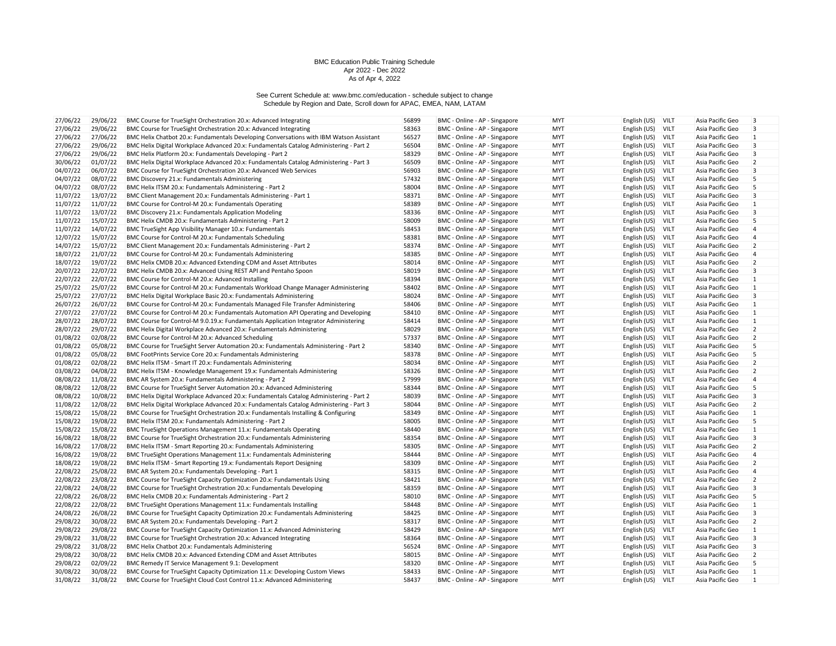| 27/06/22 | 29/06/22 | BMC Course for TrueSight Orchestration 20.x: Advanced Integrating                       | 56899 | BMC - Online - AP - Singapore | <b>MYT</b> | English (US) | <b>VILT</b> | Asia Pacific Geo | $\overline{3}$          |
|----------|----------|-----------------------------------------------------------------------------------------|-------|-------------------------------|------------|--------------|-------------|------------------|-------------------------|
| 27/06/22 | 29/06/22 | BMC Course for TrueSight Orchestration 20.x: Advanced Integrating                       | 58363 | BMC - Online - AP - Singapore | <b>MYT</b> | English (US) | VILT        | Asia Pacific Geo | 3                       |
| 27/06/22 | 27/06/22 | BMC Helix Chatbot 20.x: Fundamentals Developing Conversations with IBM Watson Assistant | 56527 | BMC - Online - AP - Singapore | <b>MYT</b> | English (US) | VILT        | Asia Pacific Geo | $\mathbf{1}$            |
| 27/06/22 | 29/06/22 | BMC Helix Digital Workplace Advanced 20.x: Fundamentals Catalog Administering - Part 2  | 56504 | BMC - Online - AP - Singapore | <b>MYT</b> | English (US) | VILT        | Asia Pacific Geo | 3                       |
| 27/06/22 | 29/06/22 | BMC Helix Platform 20.x: Fundamentals Developing - Part 2                               | 58329 | BMC - Online - AP - Singapore | <b>MYT</b> | English (US) | VILT        | Asia Pacific Geo | 3                       |
| 30/06/22 | 01/07/22 | BMC Helix Digital Workplace Advanced 20.x: Fundamentals Catalog Administering - Part 3  | 56509 | BMC - Online - AP - Singapore | <b>MYT</b> | English (US) | <b>VILT</b> | Asia Pacific Geo | $\overline{2}$          |
| 04/07/22 | 06/07/22 | BMC Course for TrueSight Orchestration 20.x: Advanced Web Services                      | 56903 | BMC - Online - AP - Singapore | <b>MYT</b> | English (US) | VILT        | Asia Pacific Geo | 3                       |
| 04/07/22 | 08/07/22 | BMC Discovery 21.x: Fundamentals Administering                                          | 57432 | BMC - Online - AP - Singapore | MYT        | English (US) | VILT        | Asia Pacific Geo | 5                       |
| 04/07/22 | 08/07/22 | BMC Helix ITSM 20.x: Fundamentals Administering - Part 2                                | 58004 | BMC - Online - AP - Singapore | <b>MYT</b> | English (US) | VILT        | Asia Pacific Geo | 5                       |
| 11/07/22 | 13/07/22 | BMC Client Management 20.x: Fundamentals Administering - Part 1                         | 58371 | BMC - Online - AP - Singapore | <b>MYT</b> | English (US) | VILT        | Asia Pacific Geo | 3                       |
| 11/07/22 | 11/07/22 | BMC Course for Control-M 20.x: Fundamentals Operating                                   | 58389 | BMC - Online - AP - Singapore | <b>MYT</b> | English (US) | VILT        | Asia Pacific Geo | $\mathbf{1}$            |
| 11/07/22 | 13/07/22 | BMC Discovery 21.x: Fundamentals Application Modeling                                   | 58336 | BMC - Online - AP - Singapore | <b>MYT</b> | English (US) | <b>VILT</b> | Asia Pacific Geo | 3                       |
| 11/07/22 | 15/07/22 | BMC Helix CMDB 20.x: Fundamentals Administering - Part 2                                | 58009 | BMC - Online - AP - Singapore | <b>MYT</b> | English (US) | VILT        | Asia Pacific Geo | 5                       |
| 11/07/22 | 14/07/22 | BMC TrueSight App Visibility Manager 10.x: Fundamentals                                 | 58453 | BMC - Online - AP - Singapore | <b>MYT</b> | English (US) | VILT        | Asia Pacific Geo | $\overline{4}$          |
| 12/07/22 | 15/07/22 | BMC Course for Control-M 20.x: Fundamentals Scheduling                                  | 58381 | BMC - Online - AP - Singapore | <b>MYT</b> | English (US) | <b>VILT</b> | Asia Pacific Geo | $\overline{4}$          |
| 14/07/22 | 15/07/22 | BMC Client Management 20.x: Fundamentals Administering - Part 2                         | 58374 | BMC - Online - AP - Singapore | <b>MYT</b> | English (US) | VILT        | Asia Pacific Geo | $\overline{2}$          |
| 18/07/22 | 21/07/22 | BMC Course for Control-M 20.x: Fundamentals Administering                               | 58385 | BMC - Online - AP - Singapore | <b>MYT</b> | English (US) | VILT        | Asia Pacific Geo | $\overline{4}$          |
| 18/07/22 | 19/07/22 | BMC Helix CMDB 20.x: Advanced Extending CDM and Asset Attributes                        | 58014 | BMC - Online - AP - Singapore | <b>MYT</b> | English (US) | VILT        | Asia Pacific Geo | $\overline{2}$          |
| 20/07/22 | 22/07/22 | BMC Helix CMDB 20.x: Advanced Using REST API and Pentaho Spoon                          | 58019 | BMC - Online - AP - Singapore | <b>MYT</b> | English (US) | VILT        | Asia Pacific Geo | 3                       |
| 22/07/22 | 22/07/22 | BMC Course for Control-M 20.x: Advanced Installing                                      | 58394 | BMC - Online - AP - Singapore | <b>MYT</b> | English (US) | VILT        | Asia Pacific Geo | 1                       |
| 25/07/22 | 25/07/22 | BMC Course for Control-M 20.x: Fundamentals Workload Change Manager Administering       | 58402 | BMC - Online - AP - Singapore | <b>MYT</b> | English (US) | VILT        | Asia Pacific Geo | $\mathbf{1}$            |
| 25/07/22 | 27/07/22 | BMC Helix Digital Workplace Basic 20.x: Fundamentals Administering                      | 58024 | BMC - Online - AP - Singapore | <b>MYT</b> | English (US) | VILT        | Asia Pacific Geo | 3                       |
| 26/07/22 | 26/07/22 | BMC Course for Control-M 20.x: Fundamentals Managed File Transfer Administering         | 58406 | BMC - Online - AP - Singapore | <b>MYT</b> | English (US) | VILT        | Asia Pacific Geo | $\mathbf{1}$            |
| 27/07/22 | 27/07/22 | BMC Course for Control-M 20.x: Fundamentals Automation API Operating and Developing     | 58410 | BMC - Online - AP - Singapore | <b>MYT</b> | English (US) | <b>VILT</b> | Asia Pacific Geo | $\vert$ 1               |
| 28/07/22 | 28/07/22 | BMC Course for Control-M 9.0.19.x: Fundamentals Application Integrator Administering    | 58414 | BMC - Online - AP - Singapore | <b>MYT</b> | English (US) | VILT        | Asia Pacific Geo | $\mathbf{1}$            |
| 28/07/22 | 29/07/22 | BMC Helix Digital Workplace Advanced 20.x: Fundamentals Administering                   | 58029 | BMC - Online - AP - Singapore | <b>MYT</b> | English (US) | VILT        | Asia Pacific Geo | $\overline{2}$          |
| 01/08/22 | 02/08/22 | BMC Course for Control-M 20.x: Advanced Scheduling                                      | 57337 | BMC - Online - AP - Singapore | <b>MYT</b> | English (US) | <b>VILT</b> | Asia Pacific Geo | $\overline{2}$          |
| 01/08/22 | 05/08/22 | BMC Course for TrueSight Server Automation 20.x: Fundamentals Administering - Part 2    | 58340 | BMC - Online - AP - Singapore | <b>MYT</b> | English (US) | VILT        | Asia Pacific Geo | 5                       |
| 01/08/22 | 05/08/22 | BMC FootPrints Service Core 20.x: Fundamentals Administering                            | 58378 | BMC - Online - AP - Singapore | <b>MYT</b> | English (US) | VILT        | Asia Pacific Geo | 5                       |
| 01/08/22 | 02/08/22 | BMC Helix ITSM - Smart IT 20.x: Fundamentals Administering                              | 58034 | BMC - Online - AP - Singapore | <b>MYT</b> | English (US) | <b>VILT</b> | Asia Pacific Geo | $\overline{2}$          |
| 03/08/22 | 04/08/22 | BMC Helix ITSM - Knowledge Management 19.x: Fundamentals Administering                  | 58326 | BMC - Online - AP - Singapore | <b>MYT</b> | English (US) | VILT        | Asia Pacific Geo | $\overline{2}$          |
| 08/08/22 | 11/08/22 | BMC AR System 20.x: Fundamentals Administering - Part 2                                 | 57999 | BMC - Online - AP - Singapore | <b>MYT</b> | English (US) | VILT        | Asia Pacific Geo | 4                       |
| 08/08/22 | 12/08/22 | BMC Course for TrueSight Server Automation 20.x: Advanced Administering                 | 58344 | BMC - Online - AP - Singapore | <b>MYT</b> | English (US) | VILT        | Asia Pacific Geo | 5                       |
| 08/08/22 | 10/08/22 | BMC Helix Digital Workplace Advanced 20.x: Fundamentals Catalog Administering - Part 2  | 58039 | BMC - Online - AP - Singapore | <b>MYT</b> | English (US) | VILT        | Asia Pacific Geo | $\overline{3}$          |
| 11/08/22 | 12/08/22 | BMC Helix Digital Workplace Advanced 20.x: Fundamentals Catalog Administering - Part 3  | 58044 | BMC - Online - AP - Singapore | <b>MYT</b> | English (US) | VILT        | Asia Pacific Geo | $\overline{2}$          |
| 15/08/22 | 15/08/22 | BMC Course for TrueSight Orchestration 20.x: Fundamentals Installing & Configuring      | 58349 | BMC - Online - AP - Singapore | <b>MYT</b> | English (US) | <b>VILT</b> | Asia Pacific Geo | $\vert$ 1               |
| 15/08/22 | 19/08/22 | BMC Helix ITSM 20.x: Fundamentals Administering - Part 2                                | 58005 | BMC - Online - AP - Singapore | <b>MYT</b> | English (US) | VILT        | Asia Pacific Geo | 5                       |
| 15/08/22 | 15/08/22 | BMC TrueSight Operations Management 11.x: Fundamentals Operating                        | 58440 | BMC - Online - AP - Singapore | <b>MYT</b> | English (US) | VILT        | Asia Pacific Geo | $\mathbf{1}$            |
| 16/08/22 | 18/08/22 | BMC Course for TrueSight Orchestration 20.x: Fundamentals Administering                 | 58354 | BMC - Online - AP - Singapore | <b>MYT</b> | English (US) | VILT        | Asia Pacific Geo | 3                       |
| 16/08/22 | 17/08/22 | BMC Helix ITSM - Smart Reporting 20.x: Fundamentals Administering                       | 58305 | BMC - Online - AP - Singapore | <b>MYT</b> | English (US) | VILT        | Asia Pacific Geo | $\overline{2}$          |
| 16/08/22 | 19/08/22 | BMC TrueSight Operations Management 11.x: Fundamentals Administering                    | 58444 | BMC - Online - AP - Singapore | <b>MYT</b> | English (US) | VILT        | Asia Pacific Geo | $\overline{4}$          |
| 18/08/22 | 19/08/22 | BMC Helix ITSM - Smart Reporting 19.x: Fundamentals Report Designing                    | 58309 | BMC - Online - AP - Singapore | <b>MYT</b> | English (US) | VILT        | Asia Pacific Geo | $\overline{2}$          |
| 22/08/22 | 25/08/22 | BMC AR System 20.x: Fundamentals Developing - Part 1                                    | 58315 | BMC - Online - AP - Singapore | <b>MYT</b> | English (US) | VILT        | Asia Pacific Geo | 4                       |
| 22/08/22 | 23/08/22 | BMC Course for TrueSight Capacity Optimization 20.x: Fundamentals Using                 | 58421 | BMC - Online - AP - Singapore | <b>MYT</b> | English (US) | VILT        | Asia Pacific Geo | $\overline{2}$          |
| 22/08/22 | 24/08/22 | BMC Course for TrueSight Orchestration 20.x: Fundamentals Developing                    | 58359 | BMC - Online - AP - Singapore | <b>MYT</b> | English (US) | VILT        | Asia Pacific Geo | 3                       |
| 22/08/22 | 26/08/22 | BMC Helix CMDB 20.x: Fundamentals Administering - Part 2                                | 58010 | BMC - Online - AP - Singapore | <b>MYT</b> | English (US) | VILT        | Asia Pacific Geo | 5                       |
| 22/08/22 | 22/08/22 | BMC TrueSight Operations Management 11.x: Fundamentals Installing                       | 58448 | BMC - Online - AP - Singapore | <b>MYT</b> | English (US) | VILT        | Asia Pacific Geo | $\mathbf{1}$            |
| 24/08/22 | 26/08/22 | BMC Course for TrueSight Capacity Optimization 20.x: Fundamentals Administering         | 58425 | BMC - Online - AP - Singapore | <b>MYT</b> | English (US) | VILT        | Asia Pacific Geo | 3                       |
| 29/08/22 | 30/08/22 | BMC AR System 20.x: Fundamentals Developing - Part 2                                    | 58317 | BMC - Online - AP - Singapore | <b>MYT</b> | English (US) | VILT        | Asia Pacific Geo | $\overline{2}$          |
| 29/08/22 | 29/08/22 | BMC Course for TrueSight Capacity Optimization 11.x: Advanced Administering             | 58429 | BMC - Online - AP - Singapore | <b>MYT</b> | English (US) | VILT        | Asia Pacific Geo | $\mathbf{1}$            |
| 29/08/22 | 31/08/22 | BMC Course for TrueSight Orchestration 20.x: Advanced Integrating                       | 58364 | BMC - Online - AP - Singapore | <b>MYT</b> | English (US) | VILT        | Asia Pacific Geo | 3                       |
| 29/08/22 | 31/08/22 | BMC Helix Chatbot 20.x: Fundamentals Administering                                      | 56524 | BMC - Online - AP - Singapore | <b>MYT</b> | English (US) | <b>VILT</b> | Asia Pacific Geo | $\overline{\mathbf{3}}$ |
| 29/08/22 | 30/08/22 | BMC Helix CMDB 20.x: Advanced Extending CDM and Asset Attributes                        | 58015 | BMC - Online - AP - Singapore | <b>MYT</b> | English (US) | VILT        | Asia Pacific Geo | $\overline{2}$          |
| 29/08/22 | 02/09/22 | BMC Remedy IT Service Management 9.1: Development                                       | 58320 | BMC - Online - AP - Singapore | <b>MYT</b> | English (US) | VILT        | Asia Pacific Geo | 5                       |
| 30/08/22 | 30/08/22 | BMC Course for TrueSight Capacity Optimization 11.x: Developing Custom Views            | 58433 | BMC - Online - AP - Singapore | <b>MYT</b> | English (US) | VILT        | Asia Pacific Geo | $\vert$ 1               |
| 31/08/22 | 31/08/22 | BMC Course for TrueSight Cloud Cost Control 11.x: Advanced Administering                | 58437 | BMC - Online - AP - Singapore | <b>MYT</b> | English (US) | VILT        | Asia Pacific Geo | $\mathbf{1}$            |
|          |          |                                                                                         |       |                               |            |              |             |                  |                         |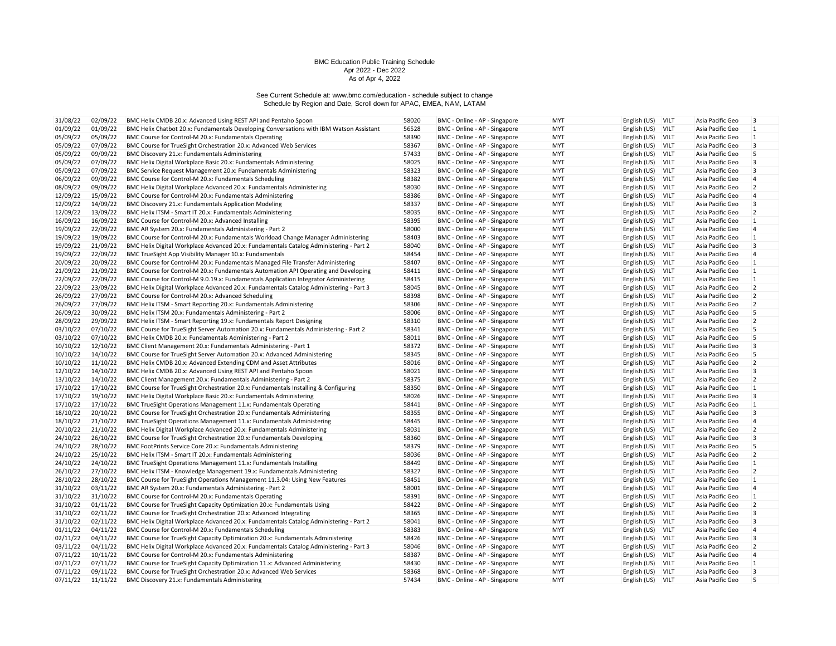| 31/08/22 | 02/09/22             | BMC Helix CMDB 20.x: Advanced Using REST API and Pentaho Spoon                          | 58020 | BMC - Online - AP - Singapore | <b>MYT</b>               | English (US) | <b>VILT</b> | Asia Pacific Geo | $\overline{3}$          |
|----------|----------------------|-----------------------------------------------------------------------------------------|-------|-------------------------------|--------------------------|--------------|-------------|------------------|-------------------------|
| 01/09/22 | 01/09/22             | BMC Helix Chatbot 20.x: Fundamentals Developing Conversations with IBM Watson Assistant | 56528 | BMC - Online - AP - Singapore | <b>MYT</b>               | English (US) | VILT        | Asia Pacific Geo | $\overline{1}$          |
| 05/09/22 | 05/09/22             | BMC Course for Control-M 20.x: Fundamentals Operating                                   | 58390 | BMC - Online - AP - Singapore | <b>MYT</b>               | English (US) | VILT        | Asia Pacific Geo | $\mathbf{1}$            |
| 05/09/22 | 07/09/22             | BMC Course for TrueSight Orchestration 20.x: Advanced Web Services                      | 58367 | BMC - Online - AP - Singapore | <b>MYT</b>               | English (US) | VILT        | Asia Pacific Geo | $\overline{\mathbf{3}}$ |
| 05/09/22 | 09/09/22             | BMC Discovery 21.x: Fundamentals Administering                                          | 57433 | BMC - Online - AP - Singapore | <b>MYT</b>               | English (US) | VILT        | Asia Pacific Geo | 5                       |
| 05/09/22 | 07/09/22             | BMC Helix Digital Workplace Basic 20.x: Fundamentals Administering                      | 58025 | BMC - Online - AP - Singapore | <b>MYT</b>               | English (US) | VILT        | Asia Pacific Geo | 3                       |
| 05/09/22 | 07/09/22             | BMC Service Request Management 20.x: Fundamentals Administering                         | 58323 | BMC - Online - AP - Singapore | <b>MYT</b>               | English (US) | <b>VILT</b> | Asia Pacific Geo | $\overline{\mathbf{3}}$ |
| 06/09/22 | 09/09/22             | BMC Course for Control-M 20.x: Fundamentals Scheduling                                  | 58382 | BMC - Online - AP - Singapore | <b>MYT</b>               | English (US) | VILT        | Asia Pacific Geo | $\overline{4}$          |
| 08/09/22 | 09/09/22             | BMC Helix Digital Workplace Advanced 20.x: Fundamentals Administering                   | 58030 | BMC - Online - AP - Singapore | <b>MYT</b>               | English (US) | VILT        | Asia Pacific Geo | $\overline{2}$          |
| 12/09/22 | 15/09/22             | BMC Course for Control-M 20.x: Fundamentals Administering                               | 58386 | BMC - Online - AP - Singapore | <b>MYT</b>               | English (US) | <b>VILT</b> | Asia Pacific Geo | 4                       |
| 12/09/22 | 14/09/22             | BMC Discovery 21.x: Fundamentals Application Modeling                                   | 58337 | BMC - Online - AP - Singapore | <b>MYT</b>               | English (US) | VILT        | Asia Pacific Geo | $\overline{3}$          |
| 12/09/22 | 13/09/22             | BMC Helix ITSM - Smart IT 20.x: Fundamentals Administering                              | 58035 | BMC - Online - AP - Singapore | <b>MYT</b>               | English (US) | <b>VILT</b> | Asia Pacific Geo | $\overline{2}$          |
| 16/09/22 | 16/09/22             | BMC Course for Control-M 20.x: Advanced Installing                                      | 58395 | BMC - Online - AP - Singapore | <b>MYT</b>               | English (US) | <b>VILT</b> | Asia Pacific Geo | $\vert$ 1               |
| 19/09/22 | 22/09/22             | BMC AR System 20.x: Fundamentals Administering - Part 2                                 | 58000 | BMC - Online - AP - Singapore | <b>MYT</b>               | English (US) | VILT        | Asia Pacific Geo | $\vert$ 4               |
| 19/09/22 | 19/09/22             | BMC Course for Control-M 20.x: Fundamentals Workload Change Manager Administering       | 58403 | BMC - Online - AP - Singapore | <b>MYT</b>               | English (US) | <b>VILT</b> | Asia Pacific Geo | $\vert$ 1               |
| 19/09/22 | 21/09/22             | BMC Helix Digital Workplace Advanced 20.x: Fundamentals Catalog Administering - Part 2  | 58040 | BMC - Online - AP - Singapore | <b>MYT</b>               | English (US) | <b>VILT</b> | Asia Pacific Geo | 3                       |
| 19/09/22 | 22/09/22             | BMC TrueSight App Visibility Manager 10.x: Fundamentals                                 | 58454 | BMC - Online - AP - Singapore | <b>MYT</b>               | English (US) | VILT        | Asia Pacific Geo | $\overline{4}$          |
| 20/09/22 | 20/09/22             | BMC Course for Control-M 20.x: Fundamentals Managed File Transfer Administering         | 58407 | BMC - Online - AP - Singapore | <b>MYT</b>               | English (US) | <b>VILT</b> | Asia Pacific Geo | $\vert$ 1               |
| 21/09/22 | 21/09/22             | BMC Course for Control-M 20.x: Fundamentals Automation API Operating and Developing     | 58411 | BMC - Online - AP - Singapore | <b>MYT</b>               | English (US) | VILT        | Asia Pacific Geo | $\vert$ 1               |
| 22/09/22 | 22/09/22             | BMC Course for Control-M 9.0.19.x: Fundamentals Application Integrator Administering    | 58415 | BMC - Online - AP - Singapore | <b>MYT</b>               | English (US) | VILT        | Asia Pacific Geo | $\vert$ 1               |
| 22/09/22 | 23/09/22             | BMC Helix Digital Workplace Advanced 20.x: Fundamentals Catalog Administering - Part 3  | 58045 | BMC - Online - AP - Singapore | <b>MYT</b>               | English (US) | <b>VILT</b> | Asia Pacific Geo | $\overline{2}$          |
| 26/09/22 | 27/09/22             | BMC Course for Control-M 20.x: Advanced Scheduling                                      | 58398 | BMC - Online - AP - Singapore | <b>MYT</b>               | English (US) | VILT        | Asia Pacific Geo | $\overline{2}$          |
| 26/09/22 | 27/09/22             | BMC Helix ITSM - Smart Reporting 20.x: Fundamentals Administering                       | 58306 | BMC - Online - AP - Singapore | <b>MYT</b>               | English (US) | VILT        | Asia Pacific Geo | $\overline{2}$          |
| 26/09/22 | 30/09/22             | BMC Helix ITSM 20.x: Fundamentals Administering - Part 2                                | 58006 | BMC - Online - AP - Singapore | <b>MYT</b>               | English (US) | <b>VILT</b> | Asia Pacific Geo | 5                       |
| 28/09/22 | 29/09/22             | BMC Helix ITSM - Smart Reporting 19.x: Fundamentals Report Designing                    | 58310 | BMC - Online - AP - Singapore | <b>MYT</b>               | English (US) | VILT        | Asia Pacific Geo | $\overline{2}$          |
| 03/10/22 | 07/10/22             | BMC Course for TrueSight Server Automation 20.x: Fundamentals Administering - Part 2    | 58341 | BMC - Online - AP - Singapore | <b>MYT</b>               | English (US) | VILT        | Asia Pacific Geo | 5                       |
| 03/10/22 | 07/10/22             | BMC Helix CMDB 20.x: Fundamentals Administering - Part 2                                | 58011 | BMC - Online - AP - Singapore | <b>MYT</b>               | English (US) | <b>VILT</b> | Asia Pacific Geo | 5                       |
| 10/10/22 | 12/10/22             | BMC Client Management 20.x: Fundamentals Administering - Part 1                         | 58372 | BMC - Online - AP - Singapore | <b>MYT</b>               | English (US) | <b>VILT</b> | Asia Pacific Geo | 3                       |
| 10/10/22 | 14/10/22             | BMC Course for TrueSight Server Automation 20.x: Advanced Administering                 | 58345 | BMC - Online - AP - Singapore | <b>MYT</b>               | English (US) | VILT        | Asia Pacific Geo | 5                       |
| 10/10/22 | 11/10/22             | BMC Helix CMDB 20.x: Advanced Extending CDM and Asset Attributes                        | 58016 | BMC - Online - AP - Singapore | <b>MYT</b>               | English (US) | <b>VILT</b> | Asia Pacific Geo | $\overline{2}$          |
| 12/10/22 | 14/10/22             | BMC Helix CMDB 20.x: Advanced Using REST API and Pentaho Spoon                          | 58021 | BMC - Online - AP - Singapore | <b>MYT</b>               | English (US) | <b>VILT</b> | Asia Pacific Geo | 3                       |
| 13/10/22 | 14/10/22             | BMC Client Management 20.x: Fundamentals Administering - Part 2                         | 58375 | BMC - Online - AP - Singapore | <b>MYT</b>               | English (US) | VILT        | Asia Pacific Geo | $\overline{2}$          |
| 17/10/22 | 17/10/22             | BMC Course for TrueSight Orchestration 20.x: Fundamentals Installing & Configuring      | 58350 | BMC - Online - AP - Singapore | <b>MYT</b>               | English (US) | <b>VILT</b> | Asia Pacific Geo | $\vert$ 1               |
| 17/10/22 | 19/10/22             |                                                                                         | 58026 |                               | <b>MYT</b>               |              | VILT        | Asia Pacific Geo | $\overline{3}$          |
|          |                      | BMC Helix Digital Workplace Basic 20.x: Fundamentals Administering                      | 58441 | BMC - Online - AP - Singapore |                          | English (US) |             | Asia Pacific Geo | $\vert$ 1               |
| 17/10/22 | 17/10/22<br>20/10/22 | BMC TrueSight Operations Management 11.x: Fundamentals Operating                        | 58355 | BMC - Online - AP - Singapore | <b>MYT</b><br><b>MYT</b> | English (US) | <b>VILT</b> | Asia Pacific Geo | $\overline{3}$          |
| 18/10/22 |                      | BMC Course for TrueSight Orchestration 20.x: Fundamentals Administering                 | 58445 | BMC - Online - AP - Singapore |                          | English (US) | VILT        |                  |                         |
| 18/10/22 | 21/10/22             | BMC TrueSight Operations Management 11.x: Fundamentals Administering                    |       | BMC - Online - AP - Singapore | <b>MYT</b>               | English (US) | VILT        | Asia Pacific Geo | 4                       |
| 20/10/22 | 21/10/22             | BMC Helix Digital Workplace Advanced 20.x: Fundamentals Administering                   | 58031 | BMC - Online - AP - Singapore | <b>MYT</b>               | English (US) | VILT        | Asia Pacific Geo | $\overline{2}$          |
| 24/10/22 | 26/10/22             | BMC Course for TrueSight Orchestration 20.x: Fundamentals Developing                    | 58360 | BMC - Online - AP - Singapore | <b>MYT</b>               | English (US) | <b>VILT</b> | Asia Pacific Geo | 3                       |
| 24/10/22 | 28/10/22             | BMC FootPrints Service Core 20.x: Fundamentals Administering                            | 58379 | BMC - Online - AP - Singapore | <b>MYT</b>               | English (US) | VILT        | Asia Pacific Geo | 5                       |
| 24/10/22 | 25/10/22             | BMC Helix ITSM - Smart IT 20.x: Fundamentals Administering                              | 58036 | BMC - Online - AP - Singapore | <b>MYT</b>               | English (US) | <b>VILT</b> | Asia Pacific Geo | $\overline{2}$          |
| 24/10/22 | 24/10/22             | BMC TrueSight Operations Management 11.x: Fundamentals Installing                       | 58449 | BMC - Online - AP - Singapore | <b>MYT</b>               | English (US) | VILT        | Asia Pacific Geo | $\vert$ 1               |
| 26/10/22 | 27/10/22             | BMC Helix ITSM - Knowledge Management 19.x: Fundamentals Administering                  | 58327 | BMC - Online - AP - Singapore | <b>MYT</b>               | English (US) | VILT        | Asia Pacific Geo | $\overline{2}$          |
| 28/10/22 | 28/10/22             | BMC Course for TrueSight Operations Management 11.3.04: Using New Features              | 58451 | BMC - Online - AP - Singapore | <b>MYT</b>               | English (US) | VILT        | Asia Pacific Geo | $\vert$ 1               |
| 31/10/22 | 03/11/22             | BMC AR System 20.x: Fundamentals Administering - Part 2                                 | 58001 | BMC - Online - AP - Singapore | <b>MYT</b>               | English (US) | VILT        | Asia Pacific Geo | $\overline{4}$          |
| 31/10/22 | 31/10/22             | BMC Course for Control-M 20.x: Fundamentals Operating                                   | 58391 | BMC - Online - AP - Singapore | <b>MYT</b>               | English (US) | VILT        | Asia Pacific Geo | $\vert$ 1               |
| 31/10/22 | 01/11/22             | BMC Course for TrueSight Capacity Optimization 20.x: Fundamentals Using                 | 58422 | BMC - Online - AP - Singapore | <b>MYT</b>               | English (US) | VILT        | Asia Pacific Geo | $\overline{2}$          |
| 31/10/22 | 02/11/22             | BMC Course for TrueSight Orchestration 20.x: Advanced Integrating                       | 58365 | BMC - Online - AP - Singapore | <b>MYT</b>               | English (US) | VILT        | Asia Pacific Geo | $\overline{3}$          |
| 31/10/22 | 02/11/22             | BMC Helix Digital Workplace Advanced 20.x: Fundamentals Catalog Administering - Part 2  | 58041 | BMC - Online - AP - Singapore | <b>MYT</b>               | English (US) | <b>VILT</b> | Asia Pacific Geo | 3                       |
| 01/11/22 | 04/11/22             | BMC Course for Control-M 20.x: Fundamentals Scheduling                                  | 58383 | BMC - Online - AP - Singapore | <b>MYT</b>               | English (US) | VILT        | Asia Pacific Geo | $\overline{4}$          |
| 02/11/22 | 04/11/22             | BMC Course for TrueSight Capacity Optimization 20.x: Fundamentals Administering         | 58426 | BMC - Online - AP - Singapore | <b>MYT</b>               | English (US) | VILT        | Asia Pacific Geo | $\overline{3}$          |
| 03/11/22 | 04/11/22             | BMC Helix Digital Workplace Advanced 20.x: Fundamentals Catalog Administering - Part 3  | 58046 | BMC - Online - AP - Singapore | <b>MYT</b>               | English (US) | <b>VILT</b> | Asia Pacific Geo | $\overline{2}$          |
| 07/11/22 | 10/11/22             | BMC Course for Control-M 20.x: Fundamentals Administering                               | 58387 | BMC - Online - AP - Singapore | <b>MYT</b>               | English (US) | VILT        | Asia Pacific Geo | $\overline{4}$          |
| 07/11/22 | 07/11/22             | BMC Course for TrueSight Capacity Optimization 11.x: Advanced Administering             | 58430 | BMC - Online - AP - Singapore | <b>MYT</b>               | English (US) | VILT        | Asia Pacific Geo | $\vert$ 1               |
| 07/11/22 | 09/11/22             | BMC Course for TrueSight Orchestration 20.x: Advanced Web Services                      | 58368 | BMC - Online - AP - Singapore | <b>MYT</b>               | English (US) | <b>VILT</b> | Asia Pacific Geo | $\overline{3}$          |
| 07/11/22 | 11/11/22             | BMC Discovery 21.x: Fundamentals Administering                                          | 57434 | BMC - Online - AP - Singapore | <b>MYT</b>               | English (US) | VILT        | Asia Pacific Geo | 5                       |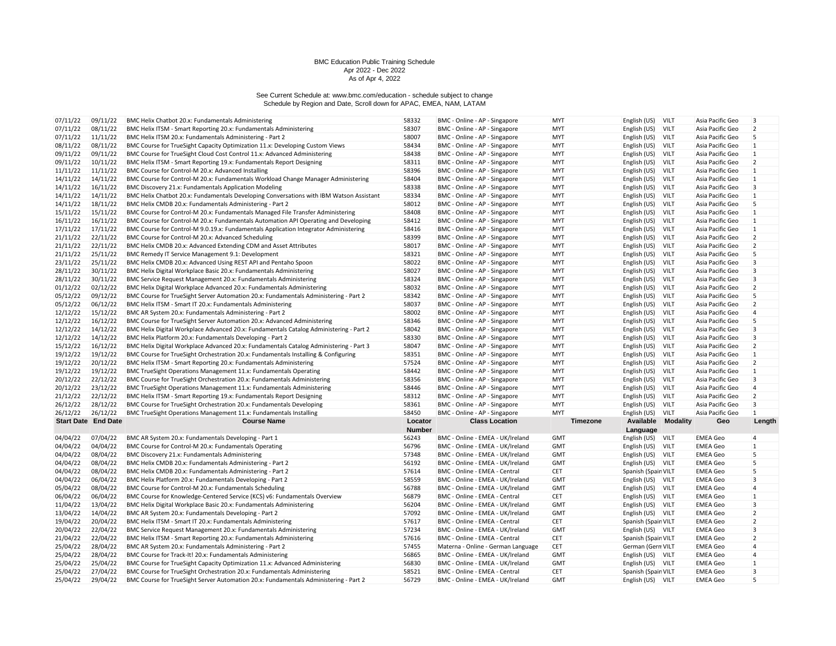| 07/11/22                   |                      |                                                                                                                                                                 |                |                                                                   |                   |                                          |             |                                    |                         |
|----------------------------|----------------------|-----------------------------------------------------------------------------------------------------------------------------------------------------------------|----------------|-------------------------------------------------------------------|-------------------|------------------------------------------|-------------|------------------------------------|-------------------------|
|                            | 09/11/22             | BMC Helix Chatbot 20.x: Fundamentals Administering                                                                                                              | 58332          | BMC - Online - AP - Singapore                                     | <b>MYT</b>        | English (US)                             | VILT        | Asia Pacific Geo                   | 3                       |
| 07/11/22                   | 08/11/22             | BMC Helix ITSM - Smart Reporting 20.x: Fundamentals Administering                                                                                               | 58307          | BMC - Online - AP - Singapore                                     | <b>MYT</b>        | English (US)                             | VILT        | Asia Pacific Geo                   | $\overline{2}$          |
| 07/11/22                   | 11/11/22             | BMC Helix ITSM 20.x: Fundamentals Administering - Part 2                                                                                                        | 58007          | BMC - Online - AP - Singapore                                     | <b>MYT</b>        | English (US)                             | VILT        | Asia Pacific Geo                   | 5                       |
| 08/11/22                   | 08/11/22             | BMC Course for TrueSight Capacity Optimization 11.x: Developing Custom Views                                                                                    | 58434          | BMC - Online - AP - Singapore                                     | <b>MYT</b>        | English (US)                             | VILT        | Asia Pacific Geo                   | $\vert$ 1               |
| 09/11/22                   | 09/11/22             | BMC Course for TrueSight Cloud Cost Control 11.x: Advanced Administering                                                                                        | 58438          | BMC - Online - AP - Singapore                                     | <b>MYT</b>        | English (US)                             | VILT        | Asia Pacific Geo                   | $\mathbf{1}$            |
| 09/11/22                   | 10/11/22             | BMC Helix ITSM - Smart Reporting 19.x: Fundamentals Report Designing                                                                                            | 58311          | BMC - Online - AP - Singapore                                     | <b>MYT</b>        | English (US)                             | VILT        | Asia Pacific Geo                   | $\overline{2}$          |
| 11/11/22                   | 11/11/22             | BMC Course for Control-M 20.x: Advanced Installing                                                                                                              | 58396          | BMC - Online - AP - Singapore                                     | <b>MYT</b>        | English (US)                             | VILT        | Asia Pacific Geo                   | $\mathbf{1}$            |
| 14/11/22                   | 14/11/22             | BMC Course for Control-M 20.x: Fundamentals Workload Change Manager Administering                                                                               | 58404          | BMC - Online - AP - Singapore                                     | <b>MYT</b>        | English (US)                             | VILT        | Asia Pacific Geo                   | $\mathbf{1}$            |
| 14/11/22                   | 16/11/22             | BMC Discovery 21.x: Fundamentals Application Modeling                                                                                                           | 58338          | BMC - Online - AP - Singapore                                     | <b>MYT</b>        | English (US)                             | VILT        | Asia Pacific Geo                   | $\overline{\mathbf{3}}$ |
| 14/11/22                   | 14/11/22             | BMC Helix Chatbot 20.x: Fundamentals Developing Conversations with IBM Watson Assistant                                                                         | 58334          | BMC - Online - AP - Singapore                                     | <b>MYT</b>        | English (US)                             | VILT        | Asia Pacific Geo                   | $\mathbf{1}$            |
| 14/11/22                   | 18/11/22             | BMC Helix CMDB 20.x: Fundamentals Administering - Part 2                                                                                                        | 58012          | BMC - Online - AP - Singapore                                     | <b>MYT</b>        | English (US)                             | VILT        | Asia Pacific Geo                   | 5                       |
| 15/11/22                   | 15/11/22             | BMC Course for Control-M 20.x: Fundamentals Managed File Transfer Administering                                                                                 | 58408          | BMC - Online - AP - Singapore                                     | <b>MYT</b>        | English (US)                             | VILT        | Asia Pacific Geo                   | $\mathbf{1}$            |
| 16/11/22                   | 16/11/22             | BMC Course for Control-M 20.x: Fundamentals Automation API Operating and Developing                                                                             | 58412          | BMC - Online - AP - Singapore                                     | <b>MYT</b>        | English (US)                             | VILT        | Asia Pacific Geo                   | $\mathbf{1}$            |
| 17/11/22                   | 17/11/22             | BMC Course for Control-M 9.0.19.x: Fundamentals Application Integrator Administering                                                                            | 58416          | BMC - Online - AP - Singapore                                     | <b>MYT</b>        | English (US)                             | VILT        | Asia Pacific Geo                   | $\mathbf{1}$            |
| 21/11/22                   | 22/11/22             | BMC Course for Control-M 20.x: Advanced Scheduling                                                                                                              | 58399          | BMC - Online - AP - Singapore                                     | <b>MYT</b>        | English (US)                             | VILT        | Asia Pacific Geo                   | $\overline{2}$          |
| 21/11/22                   | 22/11/22             | BMC Helix CMDB 20.x: Advanced Extending CDM and Asset Attributes                                                                                                | 58017          | BMC - Online - AP - Singapore                                     | <b>MYT</b>        | English (US)                             | VILT        | Asia Pacific Geo                   | $\overline{2}$          |
| 21/11/22                   | 25/11/22             |                                                                                                                                                                 | 58321          | BMC - Online - AP - Singapore                                     | <b>MYT</b>        |                                          | VILT        | Asia Pacific Geo                   | 5                       |
|                            |                      | BMC Remedy IT Service Management 9.1: Development                                                                                                               |                |                                                                   |                   | English (US)                             |             |                                    |                         |
| 23/11/22                   | 25/11/22             | BMC Helix CMDB 20.x: Advanced Using REST API and Pentaho Spoon                                                                                                  | 58022          | BMC - Online - AP - Singapore                                     | <b>MYT</b>        | English (US)                             | VILT        | Asia Pacific Geo                   | $\overline{\mathbf{3}}$ |
| 28/11/22                   | 30/11/22             | BMC Helix Digital Workplace Basic 20.x: Fundamentals Administering                                                                                              | 58027          | BMC - Online - AP - Singapore                                     | <b>MYT</b>        | English (US)                             | VILT        | Asia Pacific Geo                   | $\overline{3}$          |
| 28/11/22                   | 30/11/22             | BMC Service Request Management 20.x: Fundamentals Administering                                                                                                 | 58324          | BMC - Online - AP - Singapore                                     | <b>MYT</b>        | English (US)                             | VILT        | Asia Pacific Geo                   | 3                       |
| 01/12/22                   | 02/12/22             | BMC Helix Digital Workplace Advanced 20.x: Fundamentals Administering                                                                                           | 58032          | BMC - Online - AP - Singapore                                     | <b>MYT</b>        | English (US)                             | VILT        | Asia Pacific Geo                   | $\overline{2}$          |
| 05/12/22                   | 09/12/22             | BMC Course for TrueSight Server Automation 20.x: Fundamentals Administering - Part 2                                                                            | 58342          | BMC - Online - AP - Singapore                                     | <b>MYT</b>        | English (US)                             | VILT        | Asia Pacific Geo                   | 5                       |
| 05/12/22                   | 06/12/22             | BMC Helix ITSM - Smart IT 20.x: Fundamentals Administering                                                                                                      | 58037          | BMC - Online - AP - Singapore                                     | <b>MYT</b>        | English (US)                             | VILT        | Asia Pacific Geo                   | $\overline{2}$          |
| 12/12/22                   | 15/12/22             | BMC AR System 20.x: Fundamentals Administering - Part 2                                                                                                         | 58002          | BMC - Online - AP - Singapore                                     | <b>MYT</b>        | English (US)                             | <b>VILT</b> | Asia Pacific Geo                   | $\overline{4}$          |
| 12/12/22                   | 16/12/22             | BMC Course for TrueSight Server Automation 20.x: Advanced Administering                                                                                         | 58346          | BMC - Online - AP - Singapore                                     | <b>MYT</b>        | English (US)                             | VILT        | Asia Pacific Geo                   | 5                       |
| 12/12/22                   | 14/12/22             | BMC Helix Digital Workplace Advanced 20.x: Fundamentals Catalog Administering - Part 2                                                                          | 58042          | BMC - Online - AP - Singapore                                     | <b>MYT</b>        | English (US)                             | VILT        | Asia Pacific Geo                   | 3                       |
| 12/12/22                   | 14/12/22             | BMC Helix Platform 20.x: Fundamentals Developing - Part 2                                                                                                       | 58330          | BMC - Online - AP - Singapore                                     | <b>MYT</b>        | English (US)                             | VILT        | Asia Pacific Geo                   | 3                       |
| 15/12/22                   | 16/12/22             | BMC Helix Digital Workplace Advanced 20.x: Fundamentals Catalog Administering - Part 3                                                                          | 58047          | BMC - Online - AP - Singapore                                     | <b>MYT</b>        | English (US)                             | VILT        | Asia Pacific Geo                   | $\overline{2}$          |
| 19/12/22                   | 19/12/22             | BMC Course for TrueSight Orchestration 20.x: Fundamentals Installing & Configuring                                                                              | 58351          | BMC - Online - AP - Singapore                                     | <b>MYT</b>        | English (US)                             | VILT        | Asia Pacific Geo                   | $\mathbf{1}$            |
| 19/12/22                   | 20/12/22             | BMC Helix ITSM - Smart Reporting 20.x: Fundamentals Administering                                                                                               | 57524          | BMC - Online - AP - Singapore                                     | <b>MYT</b>        | English (US)                             | <b>VILT</b> | Asia Pacific Geo                   | $\overline{2}$          |
|                            |                      |                                                                                                                                                                 |                |                                                                   |                   |                                          |             |                                    |                         |
| 19/12/22                   | 19/12/22             | BMC TrueSight Operations Management 11.x: Fundamentals Operating                                                                                                | 58442          | BMC - Online - AP - Singapore                                     | <b>MYT</b>        | English (US)                             | VILT        | Asia Pacific Geo                   | $\mathbf{1}$            |
| 20/12/22                   | 22/12/22             | BMC Course for TrueSight Orchestration 20.x: Fundamentals Administering                                                                                         | 58356          | BMC - Online - AP - Singapore                                     | <b>MYT</b>        | English (US)                             | VILT        | Asia Pacific Geo                   | $\overline{3}$          |
| 20/12/22                   | 23/12/22             | BMC TrueSight Operations Management 11.x: Fundamentals Administering                                                                                            | 58446          | BMC - Online - AP - Singapore                                     | <b>MYT</b>        | English (US)                             | <b>VILT</b> | Asia Pacific Geo                   | $\overline{4}$          |
| 21/12/22                   | 22/12/22             | BMC Helix ITSM - Smart Reporting 19.x: Fundamentals Report Designing                                                                                            | 58312          | BMC - Online - AP - Singapore                                     | <b>MYT</b>        | English (US)                             | VILT        | Asia Pacific Geo                   | $\overline{2}$          |
| 26/12/22                   | 28/12/22             | BMC Course for TrueSight Orchestration 20.x: Fundamentals Developing                                                                                            | 58361          | BMC - Online - AP - Singapore                                     | <b>MYT</b>        | English (US)                             | VILT        | Asia Pacific Geo                   | 3                       |
| 26/12/22                   | 26/12/22             | BMC TrueSight Operations Management 11.x: Fundamentals Installing                                                                                               | 58450          | BMC - Online - AP - Singapore                                     | <b>MYT</b>        | English (US)                             | VILT        | Asia Pacific Geo                   | $\mathbf{1}$            |
| <b>Start Date End Date</b> |                      | <b>Course Name</b>                                                                                                                                              | Locator        | <b>Class Location</b>                                             | Timezone          | <b>Available Modality</b>                |             | Geo                                | Length                  |
|                            |                      |                                                                                                                                                                 | <b>Number</b>  |                                                                   |                   | Language                                 |             |                                    |                         |
| 04/04/22                   | 07/04/22             | BMC AR System 20.x: Fundamentals Developing - Part 1                                                                                                            | 56243          | BMC - Online - EMEA - UK/Ireland                                  | <b>GMT</b>        | English (US)                             | VILT        | <b>EMEA Geo</b>                    | $\overline{4}$          |
| 04/04/22                   | 04/04/22             | BMC Course for Control-M 20.x: Fundamentals Operating                                                                                                           | 56796          | BMC - Online - EMEA - UK/Ireland                                  | <b>GMT</b>        | English (US)                             | VILT        | <b>EMEA Geo</b>                    | 1                       |
| 04/04/22                   | 08/04/22             | BMC Discovery 21.x: Fundamentals Administering                                                                                                                  | 57348          | BMC - Online - EMEA - UK/Ireland                                  | <b>GMT</b>        | English (US)                             | VILT        | <b>EMEA Geo</b>                    | 5                       |
|                            |                      |                                                                                                                                                                 | 56192          | BMC - Online - EMEA - UK/Ireland                                  | <b>GMT</b>        |                                          |             |                                    | 5                       |
| 04/04/22                   | 08/04/22             | BMC Helix CMDB 20.x: Fundamentals Administering - Part 2                                                                                                        |                |                                                                   |                   | English (US) VILT                        |             | <b>EMEA Geo</b>                    | 5                       |
| 04/04/22                   | 08/04/22             | BMC Helix CMDB 20.x: Fundamentals Administering - Part 2                                                                                                        | 57614          | BMC - Online - EMEA - Central                                     | <b>CET</b>        | Spanish (Spain VILT                      |             | <b>EMEA Geo</b>                    |                         |
| 04/04/22                   | 06/04/22             | BMC Helix Platform 20.x: Fundamentals Developing - Part 2                                                                                                       | 58559          | BMC - Online - EMEA - UK/Ireland                                  | <b>GMT</b>        | English (US)                             | VILT        | <b>EMEA Geo</b>                    | 3<br>$\overline{4}$     |
| 05/04/22                   | 08/04/22             | BMC Course for Control-M 20.x: Fundamentals Scheduling                                                                                                          | 56788          | BMC - Online - EMEA - UK/Ireland                                  | <b>GMT</b>        | English (US)                             | VILT        | <b>EMEA Geo</b>                    |                         |
| 06/04/22                   | 06/04/22             | BMC Course for Knowledge-Centered Service (KCS) v6: Fundamentals Overview                                                                                       | 56879          | BMC - Online - EMEA - Central                                     | <b>CET</b>        | English (US)                             | VILT        | <b>EMEA Geo</b>                    | 1                       |
| 11/04/22                   | 13/04/22             | BMC Helix Digital Workplace Basic 20.x: Fundamentals Administering                                                                                              | 56204          | BMC - Online - EMEA - UK/Ireland                                  | <b>GMT</b>        | English (US)                             | VILT        | <b>EMEA Geo</b>                    | 3                       |
| 13/04/22                   | 14/04/22             | BMC AR System 20.x: Fundamentals Developing - Part 2                                                                                                            | 57092          | BMC - Online - EMEA - UK/Ireland                                  | <b>GMT</b>        | English (US) VILT                        |             | <b>EMEA Geo</b>                    | $\overline{2}$          |
| 19/04/22                   | 20/04/22             | BMC Helix ITSM - Smart IT 20.x: Fundamentals Administering                                                                                                      | 57617          | BMC - Online - EMEA - Central                                     | CET               | Spanish (Spain VILT                      |             | <b>EMEA Geo</b>                    | $\overline{2}$          |
| 20/04/22                   | 22/04/22             | BMC Service Request Management 20.x: Fundamentals Administering                                                                                                 | 57234          | BMC - Online - EMEA - UK/Ireland                                  | <b>GMT</b>        | English (US) VILT                        |             | <b>EMEA Geo</b>                    | 3                       |
| 21/04/22                   | 22/04/22             | BMC Helix ITSM - Smart Reporting 20.x: Fundamentals Administering                                                                                               | 57616          | BMC - Online - EMEA - Central                                     | <b>CET</b>        | Spanish (Spain VILT                      |             | <b>EMEA Geo</b>                    | 2                       |
| 25/04/22                   | 28/04/22             | BMC AR System 20.x: Fundamentals Administering - Part 2                                                                                                         | 57455          | Materna - Online - German Language                                | <b>CET</b>        | German (Gern VILT                        |             | <b>EMEA Geo</b>                    | 4                       |
| 25/04/22                   | 28/04/22             | BMC Course for Track-It! 20.x: Fundamentals Administering                                                                                                       | 56865          | BMC - Online - EMEA - UK/Ireland                                  | <b>GMT</b>        | English (US) VILT                        |             | <b>EMEA Geo</b>                    | 4                       |
| 25/04/22                   | 25/04/22             | BMC Course for TrueSight Capacity Optimization 11.x: Advanced Administering                                                                                     | 56830          | BMC - Online - EMEA - UK/Ireland                                  | <b>GMT</b>        | English (US) VILT                        |             | <b>EMEA Geo</b>                    | 1                       |
| 25/04/22<br>25/04/22       | 27/04/22<br>29/04/22 | BMC Course for TrueSight Orchestration 20.x: Fundamentals Administering<br>BMC Course for TrueSight Server Automation 20.x: Fundamentals Administering - Part 2 | 58521<br>56729 | BMC - Online - EMEA - Central<br>BMC - Online - EMEA - UK/Ireland | CET<br><b>GMT</b> | Spanish (Spain VILT<br>English (US) VILT |             | <b>EMEA Geo</b><br><b>EMEA Geo</b> | 3<br>5                  |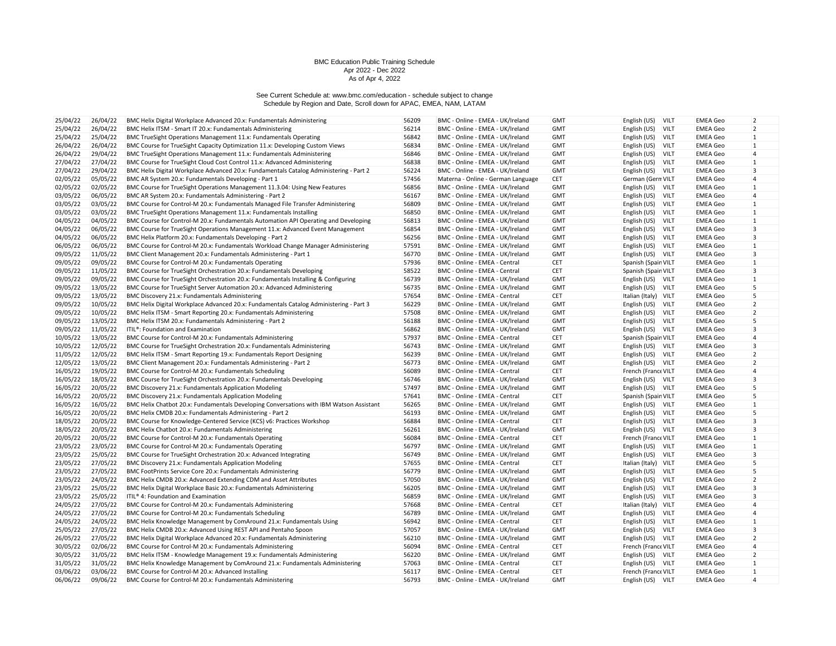| 25/04/22 | 26/04/22 | BMC Helix Digital Workplace Advanced 20.x: Fundamentals Administering                   | 56209 | BMC - Online - EMEA - UK/Ireland                                     | <b>GMT</b>               | English (US)<br>VILT                       | <b>EMEA Geo</b>                    | $\overline{2}$                   |
|----------|----------|-----------------------------------------------------------------------------------------|-------|----------------------------------------------------------------------|--------------------------|--------------------------------------------|------------------------------------|----------------------------------|
| 25/04/22 | 26/04/22 | BMC Helix ITSM - Smart IT 20.x: Fundamentals Administering                              | 56214 | BMC - Online - EMEA - UK/Ireland                                     | <b>GMT</b>               | English (US)<br>VILT                       | <b>EMEA Geo</b>                    | $\overline{2}$                   |
| 25/04/22 | 25/04/22 | BMC TrueSight Operations Management 11.x: Fundamentals Operating                        | 56842 | BMC - Online - EMEA - UK/Ireland                                     | <b>GMT</b>               | <b>VILT</b><br>English (US)                | <b>EMEA Geo</b>                    | $\mathbf{1}$                     |
| 26/04/22 | 26/04/22 | BMC Course for TrueSight Capacity Optimization 11.x: Developing Custom Views            | 56834 | BMC - Online - EMEA - UK/Ireland                                     | <b>GMT</b>               | English (US)<br>VILT                       | <b>EMEA Geo</b>                    | $\mathbf{1}$                     |
| 26/04/22 | 29/04/22 | BMC TrueSight Operations Management 11.x: Fundamentals Administering                    | 56846 | BMC - Online - EMEA - UK/Ireland                                     | <b>GMT</b>               | English (US)<br>VILT                       | <b>EMEA Geo</b>                    | 4                                |
| 27/04/22 | 27/04/22 | BMC Course for TrueSight Cloud Cost Control 11.x: Advanced Administering                | 56838 | BMC - Online - EMEA - UK/Ireland                                     | <b>GMT</b>               | VILT<br>English (US)                       | <b>EMEA Geo</b>                    | $\mathbf{1}$                     |
| 27/04/22 | 29/04/22 | BMC Helix Digital Workplace Advanced 20.x: Fundamentals Catalog Administering - Part 2  | 56224 | BMC - Online - EMEA - UK/Ireland                                     | <b>GMT</b>               | English (US) VILT                          | <b>EMEA Geo</b>                    | 3                                |
| 02/05/22 | 05/05/22 | BMC AR System 20.x: Fundamentals Developing - Part 1                                    | 57456 | Materna - Online - German Language                                   | CET                      | German (Gern VILT                          | <b>EMEA Geo</b>                    | 4                                |
| 02/05/22 | 02/05/22 | BMC Course for TrueSight Operations Management 11.3.04: Using New Features              | 56856 | BMC - Online - EMEA - UK/Ireland                                     | <b>GMT</b>               | English (US) VILT                          | <b>EMEA Geo</b>                    | 1                                |
| 03/05/22 | 06/05/22 | BMC AR System 20.x: Fundamentals Administering - Part 2                                 | 56167 | BMC - Online - EMEA - UK/Ireland                                     | <b>GMT</b>               | English (US)<br><b>VILT</b>                | <b>EMEA Geo</b>                    | 4                                |
| 03/05/22 | 03/05/22 | BMC Course for Control-M 20.x: Fundamentals Managed File Transfer Administering         | 56809 | BMC - Online - EMEA - UK/Ireland                                     | <b>GMT</b>               | VILT<br>English (US)                       | <b>EMEA Geo</b>                    | 1                                |
| 03/05/22 | 03/05/22 | BMC TrueSight Operations Management 11.x: Fundamentals Installing                       | 56850 | BMC - Online - EMEA - UK/Ireland                                     | <b>GMT</b>               | VILT<br>English (US)                       | <b>EMEA Geo</b>                    | 1                                |
| 04/05/22 | 04/05/22 | BMC Course for Control-M 20.x: Fundamentals Automation API Operating and Developing     | 56813 | BMC - Online - EMEA - UK/Ireland                                     | <b>GMT</b>               | English (US)<br><b>VILT</b>                | <b>EMEA Geo</b>                    | $\mathbf{1}$                     |
| 04/05/22 | 06/05/22 | BMC Course for TrueSight Operations Management 11.x: Advanced Event Management          | 56854 | BMC - Online - EMEA - UK/Ireland                                     | <b>GMT</b>               | VILT<br>English (US)                       | <b>EMEA Geo</b>                    | $\overline{3}$                   |
| 04/05/22 | 06/05/22 | BMC Helix Platform 20.x: Fundamentals Developing - Part 2                               | 56256 | BMC - Online - EMEA - UK/Ireland                                     | <b>GMT</b>               | <b>VILT</b><br>English (US)                | <b>EMEA Geo</b>                    | $\overline{3}$                   |
| 06/05/22 | 06/05/22 | BMC Course for Control-M 20.x: Fundamentals Workload Change Manager Administering       | 57591 | BMC - Online - EMEA - UK/Ireland                                     | <b>GMT</b>               | English (US)<br><b>VILT</b>                | <b>EMEA Geo</b>                    | $\mathbf{1}$                     |
| 09/05/22 | 11/05/22 | BMC Client Management 20.x: Fundamentals Administering - Part 1                         | 56770 | BMC - Online - EMEA - UK/Ireland                                     | <b>GMT</b>               | English (US) VILT                          | <b>EMEA Geo</b>                    | 3                                |
| 09/05/22 | 09/05/22 | BMC Course for Control-M 20.x: Fundamentals Operating                                   | 57936 | BMC - Online - EMEA - Central                                        | <b>CET</b>               | Spanish (Spain VILT                        | <b>EMEA Geo</b>                    | $\mathbf{1}$                     |
| 09/05/22 | 11/05/22 | BMC Course for TrueSight Orchestration 20.x: Fundamentals Developing                    | 58522 | BMC - Online - EMEA - Central                                        | CET                      | Spanish (Spain VILT                        | <b>EMEA Geo</b>                    | 3                                |
| 09/05/22 | 09/05/22 | BMC Course for TrueSight Orchestration 20.x: Fundamentals Installing & Configuring      | 56739 | BMC - Online - EMEA - UK/Ireland                                     | <b>GMT</b>               | English (US) VILT                          | <b>EMEA Geo</b>                    | 1                                |
| 09/05/22 | 13/05/22 | BMC Course for TrueSight Server Automation 20.x: Advanced Administering                 | 56735 | BMC - Online - EMEA - UK/Ireland                                     | <b>GMT</b>               | English (US) VILT                          | <b>EMEA Geo</b>                    | 5                                |
| 09/05/22 | 13/05/22 | BMC Discovery 21.x: Fundamentals Administering                                          | 57654 | BMC - Online - EMEA - Central                                        | CET                      | Italian (Italy) VILT                       | <b>EMEA Geo</b>                    | 5                                |
| 09/05/22 |          |                                                                                         | 56229 |                                                                      |                          |                                            |                                    |                                  |
| 09/05/22 | 10/05/22 | BMC Helix Digital Workplace Advanced 20.x: Fundamentals Catalog Administering - Part 3  | 57508 | BMC - Online - EMEA - UK/Ireland<br>BMC - Online - EMEA - UK/Ireland | <b>GMT</b><br><b>GMT</b> | <b>VILT</b><br>English (US)<br><b>VILT</b> | <b>EMEA Geo</b><br><b>EMEA Geo</b> | $\overline{2}$<br>$\overline{2}$ |
|          | 10/05/22 | BMC Helix ITSM - Smart Reporting 20.x: Fundamentals Administering                       |       |                                                                      |                          | English (US)                               |                                    | 5                                |
| 09/05/22 | 13/05/22 | BMC Helix ITSM 20.x: Fundamentals Administering - Part 2                                | 56188 | BMC - Online - EMEA - UK/Ireland                                     | <b>GMT</b>               | English (US)<br><b>VILT</b>                | <b>EMEA Geo</b>                    |                                  |
| 09/05/22 | 11/05/22 | ITIL <sup>®</sup> : Foundation and Examination                                          | 56862 | BMC - Online - EMEA - UK/Ireland                                     | <b>GMT</b>               | English (US) VILT                          | <b>EMEA Geo</b>                    | 3                                |
| 10/05/22 | 13/05/22 | BMC Course for Control-M 20.x: Fundamentals Administering                               | 57937 | BMC - Online - EMEA - Central                                        | <b>CET</b>               | Spanish (Spain VILT                        | <b>EMEA Geo</b>                    | $\overline{4}$                   |
| 10/05/22 | 12/05/22 | BMC Course for TrueSight Orchestration 20.x: Fundamentals Administering                 | 56743 | BMC - Online - EMEA - UK/Ireland                                     | <b>GMT</b>               | English (US) VILT                          | <b>EMEA Geo</b>                    | 3                                |
| 11/05/22 | 12/05/22 | BMC Helix ITSM - Smart Reporting 19.x: Fundamentals Report Designing                    | 56239 | BMC - Online - EMEA - UK/Ireland                                     | <b>GMT</b>               | VILT<br>English (US)                       | <b>EMEA Geo</b>                    | $\overline{2}$                   |
| 12/05/22 | 13/05/22 | BMC Client Management 20.x: Fundamentals Administering - Part 2                         | 56773 | BMC - Online - EMEA - UK/Ireland                                     | <b>GMT</b>               | English (US) VILT                          | <b>EMEA Geo</b>                    | $\overline{2}$                   |
| 16/05/22 | 19/05/22 | BMC Course for Control-M 20.x: Fundamentals Scheduling                                  | 56089 | BMC - Online - EMEA - Central                                        | CET                      | French (France VILT                        | <b>EMEA Geo</b>                    | $\overline{4}$                   |
| 16/05/22 | 18/05/22 | BMC Course for TrueSight Orchestration 20.x: Fundamentals Developing                    | 56746 | BMC - Online - EMEA - UK/Ireland                                     | <b>GMT</b>               | English (US)<br>VILT                       | <b>EMEA Geo</b>                    | 3                                |
| 16/05/22 | 20/05/22 | BMC Discovery 21.x: Fundamentals Application Modeling                                   | 57497 | BMC - Online - EMEA - UK/Ireland                                     | <b>GMT</b>               | English (US) VILT                          | <b>EMEA Geo</b>                    | 5                                |
| 16/05/22 | 20/05/22 | BMC Discovery 21.x: Fundamentals Application Modeling                                   | 57641 | BMC - Online - EMEA - Central                                        | CET                      | Spanish (Spain VILT                        | <b>EMEA Geo</b>                    | 5                                |
| 16/05/22 | 16/05/22 | BMC Helix Chatbot 20.x: Fundamentals Developing Conversations with IBM Watson Assistant | 56265 | BMC - Online - EMEA - UK/Ireland                                     | <b>GMT</b>               | English (US)<br>VILT                       | <b>EMEA Geo</b>                    | 1                                |
| 16/05/22 | 20/05/22 | BMC Helix CMDB 20.x: Fundamentals Administering - Part 2                                | 56193 | BMC - Online - EMEA - UK/Ireland                                     | <b>GMT</b>               | English (US) VILT                          | <b>EMEA Geo</b>                    | 5                                |
| 18/05/22 | 20/05/22 | BMC Course for Knowledge-Centered Service (KCS) v6: Practices Workshop                  | 56884 | BMC - Online - EMEA - Central                                        | <b>CET</b>               | English (US)<br>VILT                       | <b>EMEA Geo</b>                    | 3                                |
| 18/05/22 | 20/05/22 | BMC Helix Chatbot 20.x: Fundamentals Administering                                      | 56261 | BMC - Online - EMEA - UK/Ireland                                     | <b>GMT</b>               | English (US) VILT                          | <b>EMEA Geo</b>                    | 3                                |
| 20/05/22 | 20/05/22 | BMC Course for Control-M 20.x: Fundamentals Operating                                   | 56084 | BMC - Online - EMEA - Central                                        | <b>CET</b>               | French (France VILT                        | <b>EMEA Geo</b>                    | $\mathbf{1}$                     |
| 23/05/22 | 23/05/22 | BMC Course for Control-M 20.x: Fundamentals Operating                                   | 56797 | BMC - Online - EMEA - UK/Ireland                                     | <b>GMT</b>               | English (US)<br>VILT                       | <b>EMEA Geo</b>                    | 1                                |
| 23/05/22 | 25/05/22 | BMC Course for TrueSight Orchestration 20.x: Advanced Integrating                       | 56749 | BMC - Online - EMEA - UK/Ireland                                     | <b>GMT</b>               | English (US)<br>VILT                       | <b>EMEA Geo</b>                    | 3                                |
| 23/05/22 | 27/05/22 | BMC Discovery 21.x: Fundamentals Application Modeling                                   | 57655 | BMC - Online - EMEA - Central                                        | <b>CET</b>               | Italian (Italy) VILT                       | <b>EMEA Geo</b>                    | 5                                |
| 23/05/22 | 27/05/22 | BMC FootPrints Service Core 20.x: Fundamentals Administering                            | 56779 | BMC - Online - EMEA - UK/Ireland                                     | <b>GMT</b>               | English (US)<br>VILT                       | <b>EMEA Geo</b>                    | 5                                |
| 23/05/22 | 24/05/22 | BMC Helix CMDB 20.x: Advanced Extending CDM and Asset Attributes                        | 57050 | BMC - Online - EMEA - UK/Ireland                                     | <b>GMT</b>               | English (US)<br><b>VILT</b>                | <b>EMEA Geo</b>                    | $\overline{2}$                   |
| 23/05/22 | 25/05/22 | BMC Helix Digital Workplace Basic 20.x: Fundamentals Administering                      | 56205 | BMC - Online - EMEA - UK/Ireland                                     | <b>GMT</b>               | English (US)<br><b>VILT</b>                | <b>EMEA Geo</b>                    | 3                                |
| 23/05/22 | 25/05/22 | ITIL® 4: Foundation and Examination                                                     | 56859 | BMC - Online - EMEA - UK/Ireland                                     | <b>GMT</b>               | English (US)<br>VILT                       | <b>EMEA Geo</b>                    | 3                                |
| 24/05/22 | 27/05/22 | BMC Course for Control-M 20.x: Fundamentals Administering                               | 57668 | BMC - Online - EMEA - Central                                        | CET                      | Italian (Italy) VILT                       | <b>EMEA Geo</b>                    | 4                                |
| 24/05/22 | 27/05/22 | BMC Course for Control-M 20.x: Fundamentals Scheduling                                  | 56789 | BMC - Online - EMEA - UK/Ireland                                     | <b>GMT</b>               | English (US)<br><b>VILT</b>                | <b>EMEA Geo</b>                    | $\overline{4}$                   |
| 24/05/22 | 24/05/22 | BMC Helix Knowledge Management by ComAround 21.x: Fundamentals Using                    | 56942 | BMC - Online - EMEA - Central                                        | <b>CET</b>               | <b>VILT</b><br>English (US)                | <b>EMEA Geo</b>                    | 1                                |
| 25/05/22 | 27/05/22 | BMC Helix CMDB 20.x: Advanced Using REST API and Pentaho Spoon                          | 57057 | BMC - Online - EMEA - UK/Ireland                                     | <b>GMT</b>               | <b>VILT</b><br>English (US)                | <b>EMEA Geo</b>                    | 3                                |
| 26/05/22 | 27/05/22 | BMC Helix Digital Workplace Advanced 20.x: Fundamentals Administering                   | 56210 | BMC - Online - EMEA - UK/Ireland                                     | <b>GMT</b>               | English (US) VILT                          | <b>EMEA Geo</b>                    | $\overline{2}$                   |
| 30/05/22 | 02/06/22 | BMC Course for Control-M 20.x: Fundamentals Administering                               | 56094 | BMC - Online - EMEA - Central                                        | <b>CET</b>               | French (France VILT                        | <b>EMEA Geo</b>                    | 4                                |
| 30/05/22 | 31/05/22 | BMC Helix ITSM - Knowledge Management 19.x: Fundamentals Administering                  | 56220 | BMC - Online - EMEA - UK/Ireland                                     | <b>GMT</b>               | English (US) VILT                          | <b>EMEA Geo</b>                    | $\overline{2}$                   |
| 31/05/22 | 31/05/22 | BMC Helix Knowledge Management by ComAround 21.x: Fundamentals Administering            | 57063 | BMC - Online - EMEA - Central                                        | CET                      | English (US) VILT                          | <b>EMEA Geo</b>                    | $\mathbf{1}$                     |
| 03/06/22 | 03/06/22 | BMC Course for Control-M 20.x: Advanced Installing                                      | 56117 | BMC - Online - EMEA - Central                                        | CET                      | French (France VILT                        | <b>EMEA Geo</b>                    | $\mathbf{1}$                     |
| 06/06/22 | 09/06/22 | BMC Course for Control-M 20.x: Fundamentals Administering                               | 56793 | BMC - Online - EMEA - UK/Ireland                                     | <b>GMT</b>               | English (US) VILT                          | <b>EMEA Geo</b>                    | $\overline{4}$                   |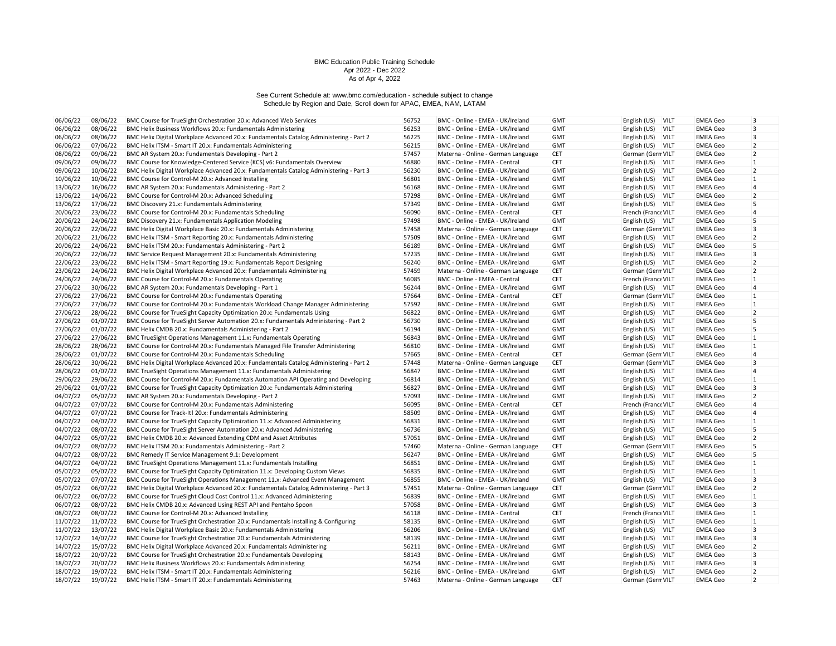| 06/06/22 | 08/06/22 | BMC Course for TrueSight Orchestration 20.x: Advanced Web Services                                                                    | 56752 | BMC - Online - EMEA - UK/Ireland   | <b>GMT</b> | English (US)<br><b>VILT</b>                 | <b>EMEA Geo</b> | 3              |
|----------|----------|---------------------------------------------------------------------------------------------------------------------------------------|-------|------------------------------------|------------|---------------------------------------------|-----------------|----------------|
| 06/06/22 | 08/06/22 | BMC Helix Business Workflows 20.x: Fundamentals Administering                                                                         | 56253 | BMC - Online - EMEA - UK/Ireland   | <b>GMT</b> | English (US)<br><b>VILT</b>                 | <b>EMEA Geo</b> | 3              |
| 06/06/22 | 08/06/22 | BMC Helix Digital Workplace Advanced 20.x: Fundamentals Catalog Administering - Part 2                                                | 56225 | BMC - Online - EMEA - UK/Ireland   | <b>GMT</b> | <b>VILT</b><br>English (US)                 | <b>EMEA Geo</b> | 3              |
| 06/06/22 | 07/06/22 | BMC Helix ITSM - Smart IT 20.x: Fundamentals Administering                                                                            | 56215 | BMC - Online - EMEA - UK/Ireland   | <b>GMT</b> | English (US) VILT                           | <b>EMEA Geo</b> | $\overline{2}$ |
| 08/06/22 | 09/06/22 | BMC AR System 20.x: Fundamentals Developing - Part 2                                                                                  | 57457 | Materna - Online - German Language | <b>CET</b> | German (Gern VILT                           | <b>EMEA Geo</b> | $\overline{2}$ |
| 09/06/22 | 09/06/22 | BMC Course for Knowledge-Centered Service (KCS) v6: Fundamentals Overview                                                             | 56880 | BMC - Online - EMEA - Central      | CET        | English (US) VILT                           | <b>EMEA Geo</b> | $\mathbf{1}$   |
| 09/06/22 | 10/06/22 | BMC Helix Digital Workplace Advanced 20.x: Fundamentals Catalog Administering - Part 3                                                | 56230 | BMC - Online - EMEA - UK/Ireland   | <b>GMT</b> | English (US)<br><b>VILT</b>                 | <b>EMEA Geo</b> | $\overline{2}$ |
| 10/06/22 | 10/06/22 | BMC Course for Control-M 20.x: Advanced Installing                                                                                    | 56801 | BMC - Online - EMEA - UK/Ireland   | <b>GMT</b> | English (US)<br><b>VILT</b>                 | <b>EMEA Geo</b> | 1              |
| 13/06/22 | 16/06/22 | BMC AR System 20.x: Fundamentals Administering - Part 2                                                                               | 56168 | BMC - Online - EMEA - UK/Ireland   | <b>GMT</b> | <b>VILT</b><br>English (US)                 | <b>EMEA Geo</b> | $\overline{4}$ |
| 13/06/22 | 14/06/22 | BMC Course for Control-M 20.x: Advanced Scheduling                                                                                    | 57298 | BMC - Online - EMEA - UK/Ireland   | <b>GMT</b> | English (US)<br><b>VILT</b>                 | <b>EMEA Geo</b> | $\overline{2}$ |
| 13/06/22 | 17/06/22 | BMC Discovery 21.x: Fundamentals Administering                                                                                        | 57349 | BMC - Online - EMEA - UK/Ireland   | <b>GMT</b> | English (US) VILT                           | <b>EMEA Geo</b> | 5              |
| 20/06/22 | 23/06/22 | BMC Course for Control-M 20.x: Fundamentals Scheduling                                                                                | 56090 | BMC - Online - EMEA - Central      | <b>CET</b> | French (France VILT                         | <b>EMEA Geo</b> | 4              |
| 20/06/22 | 24/06/22 | BMC Discovery 21.x: Fundamentals Application Modeling                                                                                 | 57498 | BMC - Online - EMEA - UK/Ireland   | <b>GMT</b> | English (US) VILT                           | <b>EMEA Geo</b> | 5              |
| 20/06/22 | 22/06/22 | BMC Helix Digital Workplace Basic 20.x: Fundamentals Administering                                                                    | 57458 | Materna - Online - German Language | <b>CET</b> | German (Gern VILT                           | <b>EMEA Geo</b> | 3              |
| 20/06/22 | 21/06/22 | BMC Helix ITSM - Smart Reporting 20.x: Fundamentals Administering                                                                     | 57509 | BMC - Online - EMEA - UK/Ireland   | <b>GMT</b> | English (US) VILT                           | <b>EMEA Geo</b> | $\overline{2}$ |
| 20/06/22 | 24/06/22 | BMC Helix ITSM 20.x: Fundamentals Administering - Part 2                                                                              | 56189 | BMC - Online - EMEA - UK/Ireland   | <b>GMT</b> | English (US) VILT                           | <b>EMEA Geo</b> | 5              |
| 20/06/22 | 22/06/22 | BMC Service Request Management 20.x: Fundamentals Administering                                                                       | 57235 | BMC - Online - EMEA - UK/Ireland   | <b>GMT</b> | English (US) VILT                           | <b>EMEA Geo</b> | 3              |
| 22/06/22 | 23/06/22 | BMC Helix ITSM - Smart Reporting 19.x: Fundamentals Report Designing                                                                  | 56240 | BMC - Online - EMEA - UK/Ireland   | <b>GMT</b> | English (US) VILT                           | <b>EMEA Geo</b> | $\overline{2}$ |
| 23/06/22 | 24/06/22 | BMC Helix Digital Workplace Advanced 20.x: Fundamentals Administering                                                                 | 57459 | Materna - Online - German Language | <b>CET</b> | German (Gern VILT                           | <b>EMEA Geo</b> | $\overline{2}$ |
| 24/06/22 | 24/06/22 | BMC Course for Control-M 20.x: Fundamentals Operating                                                                                 | 56085 | BMC - Online - EMEA - Central      | <b>CET</b> | French (France VILT                         | <b>EMEA Geo</b> | 1              |
| 27/06/22 | 30/06/22 | BMC AR System 20.x: Fundamentals Developing - Part 1                                                                                  | 56244 | BMC - Online - EMEA - UK/Ireland   | <b>GMT</b> | English (US) VILT                           | <b>EMEA Geo</b> | $\overline{4}$ |
| 27/06/22 | 27/06/22 | BMC Course for Control-M 20.x: Fundamentals Operating                                                                                 | 57664 | BMC - Online - EMEA - Central      | <b>CET</b> | German (Gern VILT                           | <b>EMEA Geo</b> | $\mathbf{1}$   |
| 27/06/22 | 27/06/22 | BMC Course for Control-M 20.x: Fundamentals Workload Change Manager Administering                                                     | 57592 | BMC - Online - EMEA - UK/Ireland   | <b>GMT</b> | English (US) VILT                           | EMEA Geo        | 1              |
| 27/06/22 | 28/06/22 | BMC Course for TrueSight Capacity Optimization 20.x: Fundamentals Using                                                               | 56822 | BMC - Online - EMEA - UK/Ireland   | <b>GMT</b> | English (US) VILT                           | <b>EMEA Geo</b> | $\overline{2}$ |
| 27/06/22 | 01/07/22 | BMC Course for TrueSight Server Automation 20.x: Fundamentals Administering - Part 2                                                  | 56730 | BMC - Online - EMEA - UK/Ireland   | <b>GMT</b> | English (US)<br><b>VILT</b>                 | <b>EMEA Geo</b> | 5              |
| 27/06/22 | 01/07/22 | BMC Helix CMDB 20.x: Fundamentals Administering - Part 2                                                                              | 56194 | BMC - Online - EMEA - UK/Ireland   | <b>GMT</b> | <b>VILT</b><br>English (US)                 | EMEA Geo        | 5              |
| 27/06/22 | 27/06/22 | BMC TrueSight Operations Management 11.x: Fundamentals Operating                                                                      | 56843 | BMC - Online - EMEA - UK/Ireland   | <b>GMT</b> | English (US) VILT                           | <b>EMEA Geo</b> | 1              |
| 28/06/22 | 28/06/22 | BMC Course for Control-M 20.x: Fundamentals Managed File Transfer Administering                                                       | 56810 | BMC - Online - EMEA - UK/Ireland   | <b>GMT</b> | English (US) VILT                           | <b>EMEA Geo</b> | $\mathbf{1}$   |
| 28/06/22 | 01/07/22 | BMC Course for Control-M 20.x: Fundamentals Scheduling                                                                                | 57665 | BMC - Online - EMEA - Central      | <b>CET</b> | German (Gern VILT                           | EMEA Geo        | $\overline{4}$ |
| 28/06/22 | 30/06/22 | BMC Helix Digital Workplace Advanced 20.x: Fundamentals Catalog Administering - Part 2                                                | 57448 | Materna - Online - German Language | <b>CET</b> | German (Gern VILT                           | <b>EMEA Geo</b> | 3              |
| 28/06/22 | 01/07/22 | BMC TrueSight Operations Management 11.x: Fundamentals Administering                                                                  | 56847 | BMC - Online - EMEA - UK/Ireland   | <b>GMT</b> | English (US)<br><b>VILT</b>                 | <b>EMEA Geo</b> | $\overline{4}$ |
| 29/06/22 | 29/06/22 | BMC Course for Control-M 20.x: Fundamentals Automation API Operating and Developing                                                   | 56814 | BMC - Online - EMEA - UK/Ireland   | <b>GMT</b> | <b>VILT</b><br>English (US)                 | EMEA Geo        | $\mathbf{1}$   |
| 29/06/22 | 01/07/22 | BMC Course for TrueSight Capacity Optimization 20.x: Fundamentals Administering                                                       | 56827 | BMC - Online - EMEA - UK/Ireland   | <b>GMT</b> | English (US) VILT                           | <b>EMEA Geo</b> | 3              |
| 04/07/22 | 05/07/22 | BMC AR System 20.x: Fundamentals Developing - Part 2                                                                                  | 57093 | BMC - Online - EMEA - UK/Ireland   | <b>GMT</b> | English (US)<br><b>VILT</b>                 | <b>EMEA Geo</b> | $\overline{2}$ |
| 04/07/22 | 07/07/22 | BMC Course for Control-M 20.x: Fundamentals Administering                                                                             | 56095 | BMC - Online - EMEA - Central      | <b>CET</b> | French (France VILT                         | <b>EMEA Geo</b> | $\overline{4}$ |
| 04/07/22 | 07/07/22 | BMC Course for Track-It! 20.x: Fundamentals Administering                                                                             | 58509 | BMC - Online - EMEA - UK/Ireland   | <b>GMT</b> | English (US) VILT                           | <b>EMEA Geo</b> | $\overline{4}$ |
| 04/07/22 | 04/07/22 | BMC Course for TrueSight Capacity Optimization 11.x: Advanced Administering                                                           | 56831 | BMC - Online - EMEA - UK/Ireland   | <b>GMT</b> | English (US)<br>VILT                        | <b>EMEA Geo</b> | 1              |
| 04/07/22 | 08/07/22 | BMC Course for TrueSight Server Automation 20.x: Advanced Administering                                                               | 56736 | BMC - Online - EMEA - UK/Ireland   | <b>GMT</b> | English (US) VILT                           | <b>EMEA Geo</b> | 5              |
| 04/07/22 | 05/07/22 | BMC Helix CMDB 20.x: Advanced Extending CDM and Asset Attributes                                                                      | 57051 | BMC - Online - EMEA - UK/Ireland   | <b>GMT</b> | English (US) VILT                           | <b>EMEA Geo</b> | $\overline{2}$ |
| 04/07/22 | 08/07/22 | BMC Helix ITSM 20.x: Fundamentals Administering - Part 2                                                                              | 57460 | Materna - Online - German Language | <b>CET</b> | German (Gern VILT                           | <b>EMEA Geo</b> | 5              |
| 04/07/22 | 08/07/22 | BMC Remedy IT Service Management 9.1: Development                                                                                     | 56247 | BMC - Online - EMEA - UK/Ireland   | <b>GMT</b> | English (US) VILT                           | <b>EMEA Geo</b> | 5              |
| 04/07/22 | 04/07/22 | BMC TrueSight Operations Management 11.x: Fundamentals Installing                                                                     | 56851 | BMC - Online - EMEA - UK/Ireland   | <b>GMT</b> | English (US) VILT                           | <b>EMEA Geo</b> | $\mathbf{1}$   |
| 05/07/22 | 05/07/22 | BMC Course for TrueSight Capacity Optimization 11.x: Developing Custom Views                                                          | 56835 | BMC - Online - EMEA - UK/Ireland   | <b>GMT</b> | English (US)<br><b>VILT</b>                 | <b>EMEA Geo</b> | $\mathbf{1}$   |
| 05/07/22 | 07/07/22 | BMC Course for TrueSight Operations Management 11.x: Advanced Event Management                                                        | 56855 | BMC - Online - EMEA - UK/Ireland   | <b>GMT</b> | English (US) VILT                           | <b>EMEA Geo</b> | 3              |
| 05/07/22 | 06/07/22 | BMC Helix Digital Workplace Advanced 20.x: Fundamentals Catalog Administering - Part 3                                                | 57451 | Materna - Online - German Language | <b>CET</b> | German (Gern VILT                           | <b>EMEA Geo</b> | $\overline{2}$ |
| 06/07/22 | 06/07/22 | BMC Course for TrueSight Cloud Cost Control 11.x: Advanced Administering                                                              | 56839 | BMC - Online - EMEA - UK/Ireland   | <b>GMT</b> | English (US) VILT                           | EMEA Geo        | $\mathbf{1}$   |
| 06/07/22 | 08/07/22 | BMC Helix CMDB 20.x: Advanced Using REST API and Pentaho Spoon                                                                        | 57058 | BMC - Online - EMEA - UK/Ireland   | <b>GMT</b> | English (US) VILT                           | <b>EMEA Geo</b> | 3              |
| 08/07/22 | 08/07/22 | BMC Course for Control-M 20.x: Advanced Installing                                                                                    | 56118 | BMC - Online - EMEA - Central      | <b>CET</b> | French (France VILT                         | <b>EMEA Geo</b> | $\mathbf{1}$   |
| 11/07/22 | 11/07/22 | BMC Course for TrueSight Orchestration 20.x: Fundamentals Installing & Configuring                                                    | 58135 | BMC - Online - EMEA - UK/Ireland   | <b>GMT</b> | English (US) VILT                           | EMEA Geo        | $\mathbf{1}$   |
| 11/07/22 | 13/07/22 | BMC Helix Digital Workplace Basic 20.x: Fundamentals Administering                                                                    | 56206 | BMC - Online - EMEA - UK/Ireland   | <b>GMT</b> | <b>VILT</b>                                 | <b>EMEA Geo</b> | 3              |
| 12/07/22 | 14/07/22 | BMC Course for TrueSight Orchestration 20.x: Fundamentals Administering                                                               | 58139 | BMC - Online - EMEA - UK/Ireland   | <b>GMT</b> | English (US)<br><b>VILT</b>                 | <b>EMEA Geo</b> | 3              |
| 14/07/22 | 15/07/22 | BMC Helix Digital Workplace Advanced 20.x: Fundamentals Administering                                                                 | 56211 | BMC - Online - EMEA - UK/Ireland   | <b>GMT</b> | English (US)<br>English (US)<br><b>VILT</b> | <b>EMEA Geo</b> | $\overline{2}$ |
| 18/07/22 | 20/07/22 |                                                                                                                                       | 58143 | BMC - Online - EMEA - UK/Ireland   | <b>GMT</b> | <b>VILT</b>                                 | <b>EMEA Geo</b> | 3              |
| 18/07/22 | 20/07/22 | BMC Course for TrueSight Orchestration 20.x: Fundamentals Developing<br>BMC Helix Business Workflows 20.x: Fundamentals Administering | 56254 | BMC - Online - EMEA - UK/Ireland   | <b>GMT</b> | English (US)<br><b>VILT</b><br>English (US) | <b>EMEA Geo</b> | 3              |
| 18/07/22 | 19/07/22 | BMC Helix ITSM - Smart IT 20.x: Fundamentals Administering                                                                            | 56216 | BMC - Online - EMEA - UK/Ireland   | <b>GMT</b> | English (US) VILT                           | <b>EMEA Geo</b> | $\overline{2}$ |
| 18/07/22 | 19/07/22 | BMC Helix ITSM - Smart IT 20.x: Fundamentals Administering                                                                            | 57463 | Materna - Online - German Language | CET        | German (Gern VILT                           | <b>EMEA Geo</b> | $\overline{2}$ |
|          |          |                                                                                                                                       |       |                                    |            |                                             |                 |                |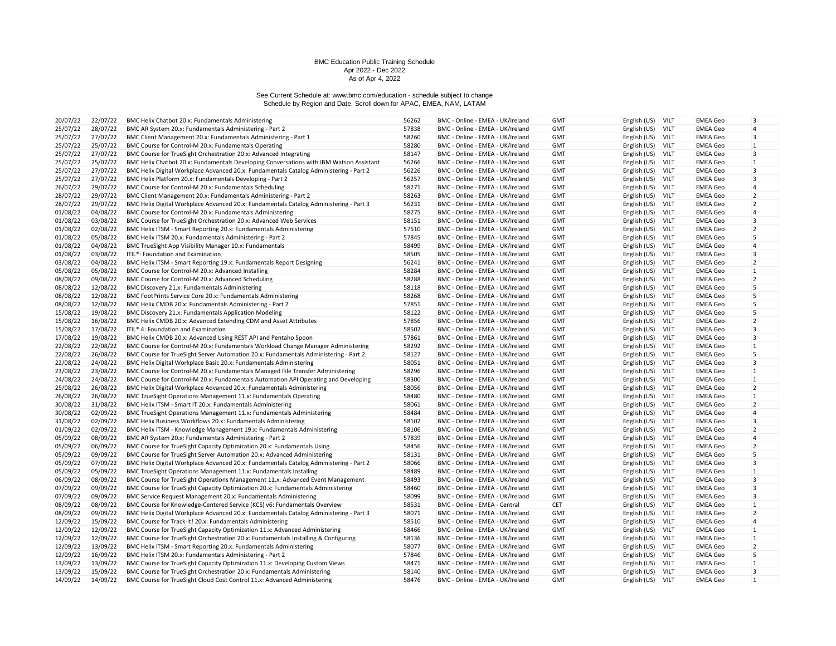| 20/07/22             | 22/07/22             | BMC Helix Chatbot 20.x: Fundamentals Administering                                                                                                                     | 56262          | BMC - Online - EMEA - UK/Ireland                                     | <b>GMT</b>               | English (US)<br>VILT                         | <b>EMEA Geo</b>                    | 3                   |
|----------------------|----------------------|------------------------------------------------------------------------------------------------------------------------------------------------------------------------|----------------|----------------------------------------------------------------------|--------------------------|----------------------------------------------|------------------------------------|---------------------|
| 25/07/22             | 28/07/22             | BMC AR System 20.x: Fundamentals Administering - Part 2                                                                                                                | 57838          | BMC - Online - EMEA - UK/Ireland                                     | <b>GMT</b>               | English (US)<br>VILT                         | <b>EMEA Geo</b>                    | $\overline{4}$      |
| 25/07/22             | 27/07/22             | BMC Client Management 20.x: Fundamentals Administering - Part 1                                                                                                        | 58260          | BMC - Online - EMEA - UK/Ireland                                     | <b>GMT</b>               | VILT<br>English (US)                         | <b>EMEA Geo</b>                    | 3                   |
| 25/07/22             | 25/07/22             | BMC Course for Control-M 20.x: Fundamentals Operating                                                                                                                  | 58280          | BMC - Online - EMEA - UK/Ireland                                     | <b>GMT</b>               | English (US)<br>VILT                         | <b>EMEA Geo</b>                    | $\mathbf{1}$        |
| 25/07/22             | 27/07/22             | BMC Course for TrueSight Orchestration 20.x: Advanced Integrating                                                                                                      | 58147          | BMC - Online - EMEA - UK/Ireland                                     | <b>GMT</b>               | VILT<br>English (US)                         | <b>EMEA Geo</b>                    | 3                   |
| 25/07/22             | 25/07/22             | BMC Helix Chatbot 20.x: Fundamentals Developing Conversations with IBM Watson Assistant                                                                                | 56266          | BMC - Online - EMEA - UK/Ireland                                     | <b>GMT</b>               | English (US)<br>VILT                         | <b>EMEA Geo</b>                    | 1                   |
| 25/07/22             | 27/07/22             | BMC Helix Digital Workplace Advanced 20.x: Fundamentals Catalog Administering - Part 2                                                                                 | 56226          | BMC - Online - EMEA - UK/Ireland                                     | <b>GMT</b>               | VILT<br>English (US)                         | <b>EMEA Geo</b>                    | 3                   |
| 25/07/22             | 27/07/22             | BMC Helix Platform 20.x: Fundamentals Developing - Part 2                                                                                                              | 56257          | BMC - Online - EMEA - UK/Ireland                                     | <b>GMT</b>               | VILT<br>English (US)                         | <b>EMEA Geo</b>                    | 3                   |
| 26/07/22             | 29/07/22             | BMC Course for Control-M 20.x: Fundamentals Scheduling                                                                                                                 | 58271          | BMC - Online - EMEA - UK/Ireland                                     | <b>GMT</b>               | English (US)<br>VILT                         | <b>EMEA Geo</b>                    | $\overline{4}$      |
| 28/07/22             | 29/07/22             | BMC Client Management 20.x: Fundamentals Administering - Part 2                                                                                                        | 58263          | BMC - Online - EMEA - UK/Ireland                                     | <b>GMT</b>               | English (US)<br>VILT                         | <b>EMEA Geo</b>                    | $\overline{2}$      |
| 28/07/22             | 29/07/22             | BMC Helix Digital Workplace Advanced 20.x: Fundamentals Catalog Administering - Part 3                                                                                 | 56231          | BMC - Online - EMEA - UK/Ireland                                     | <b>GMT</b>               | VILT<br>English (US)                         | <b>EMEA Geo</b>                    | 2                   |
| 01/08/22             | 04/08/22             | BMC Course for Control-M 20.x: Fundamentals Administering                                                                                                              | 58275          | BMC - Online - EMEA - UK/Ireland                                     | <b>GMT</b>               | English (US)<br>VILT                         | <b>EMEA Geo</b>                    | $\overline{4}$      |
| 01/08/22             | 03/08/22             | BMC Course for TrueSight Orchestration 20.x: Advanced Web Services                                                                                                     | 58151          | BMC - Online - EMEA - UK/Ireland                                     | <b>GMT</b>               | English (US)<br>VILT                         | <b>EMEA Geo</b>                    | 3                   |
| 01/08/22             | 02/08/22             | BMC Helix ITSM - Smart Reporting 20.x: Fundamentals Administering                                                                                                      | 57510          | BMC - Online - EMEA - UK/Ireland                                     | <b>GMT</b>               | VILT<br>English (US)                         | <b>EMEA Geo</b>                    | $\overline{2}$      |
| 01/08/22             | 05/08/22             | BMC Helix ITSM 20.x: Fundamentals Administering - Part 2                                                                                                               | 57845          | BMC - Online - EMEA - UK/Ireland                                     | <b>GMT</b>               | VILT<br>English (US)                         | <b>EMEA Geo</b>                    | 5                   |
| 01/08/22             | 04/08/22             | BMC TrueSight App Visibility Manager 10.x: Fundamentals                                                                                                                | 58499          | BMC - Online - EMEA - UK/Ireland                                     | <b>GMT</b>               | English (US)<br>VILT                         | <b>EMEA Geo</b>                    | 4                   |
| 01/08/22             | 03/08/22             | ITIL®: Foundation and Examination                                                                                                                                      | 58505          | BMC - Online - EMEA - UK/Ireland                                     | <b>GMT</b>               | English (US)<br>VILT                         | <b>EMEA Geo</b>                    | 3                   |
| 03/08/22             | 04/08/22             | BMC Helix ITSM - Smart Reporting 19.x: Fundamentals Report Designing                                                                                                   | 56241          | BMC - Online - EMEA - UK/Ireland                                     | <b>GMT</b>               | VILT<br>English (US)                         | <b>EMEA Geo</b>                    | $\overline{2}$      |
| 05/08/22             | 05/08/22             | BMC Course for Control-M 20.x: Advanced Installing                                                                                                                     | 58284          | BMC - Online - EMEA - UK/Ireland                                     | <b>GMT</b>               | English (US)<br>VILT                         | <b>EMEA Geo</b>                    | $\mathbf{1}$        |
| 08/08/22             | 09/08/22             | BMC Course for Control-M 20.x: Advanced Scheduling                                                                                                                     | 58288          | BMC - Online - EMEA - UK/Ireland                                     | <b>GMT</b>               | VILT<br>English (US)                         | <b>EMEA Geo</b>                    | $\overline{2}$      |
| 08/08/22             | 12/08/22             | BMC Discovery 21.x: Fundamentals Administering                                                                                                                         | 58118          | BMC - Online - EMEA - UK/Ireland                                     | <b>GMT</b>               | <b>VILT</b>                                  | <b>EMEA Geo</b>                    | 5                   |
| 08/08/22             | 12/08/22             | BMC FootPrints Service Core 20.x: Fundamentals Administering                                                                                                           | 58268          | BMC - Online - EMEA - UK/Ireland                                     | <b>GMT</b>               | English (US)<br>English (US)<br>VILT         | <b>EMEA Geo</b>                    | 5                   |
| 08/08/22             | 12/08/22             |                                                                                                                                                                        | 57851          |                                                                      |                          | VILT                                         |                                    | 5                   |
| 15/08/22             |                      | BMC Helix CMDB 20.x: Fundamentals Administering - Part 2                                                                                                               |                | BMC - Online - EMEA - UK/Ireland                                     | <b>GMT</b>               | English (US)<br>VILT                         | <b>EMEA Geo</b>                    | 5                   |
|                      | 19/08/22<br>16/08/22 | BMC Discovery 21.x: Fundamentals Application Modeling                                                                                                                  | 58122<br>57856 | BMC - Online - EMEA - UK/Ireland                                     | <b>GMT</b>               | English (US)                                 | <b>EMEA Geo</b>                    | $\overline{2}$      |
| 15/08/22<br>15/08/22 | 17/08/22             | BMC Helix CMDB 20.x: Advanced Extending CDM and Asset Attributes                                                                                                       | 58502          | BMC - Online - EMEA - UK/Ireland                                     | <b>GMT</b>               | English (US)<br><b>VILT</b><br>VILT          | <b>EMEA Geo</b>                    | 3                   |
|                      |                      | ITIL <sup>®</sup> 4: Foundation and Examination                                                                                                                        |                | BMC - Online - EMEA - UK/Ireland                                     | <b>GMT</b>               | English (US)                                 | <b>EMEA Geo</b>                    |                     |
| 17/08/22             | 19/08/22             | BMC Helix CMDB 20.x: Advanced Using REST API and Pentaho Spoon                                                                                                         | 57861          | BMC - Online - EMEA - UK/Ireland                                     | <b>GMT</b>               | English (US)<br><b>VILT</b>                  | <b>EMEA Geo</b>                    | 3                   |
| 22/08/22             | 22/08/22<br>26/08/22 | BMC Course for Control-M 20.x: Fundamentals Workload Change Manager Administering                                                                                      | 58292<br>58127 | BMC - Online - EMEA - UK/Ireland                                     | <b>GMT</b>               | English (US)<br>VILT<br>VILT                 | <b>EMEA Geo</b>                    | $\mathbf{1}$<br>5   |
| 22/08/22             |                      | BMC Course for TrueSight Server Automation 20.x: Fundamentals Administering - Part 2                                                                                   |                | BMC - Online - EMEA - UK/Ireland                                     | <b>GMT</b>               | English (US)                                 | <b>EMEA Geo</b>                    |                     |
| 22/08/22             | 24/08/22             | BMC Helix Digital Workplace Basic 20.x: Fundamentals Administering                                                                                                     | 58051<br>58296 | BMC - Online - EMEA - UK/Ireland                                     | <b>GMT</b>               | English (US)<br><b>VILT</b>                  | <b>EMEA Geo</b>                    | 3                   |
| 23/08/22<br>24/08/22 | 23/08/22<br>24/08/22 | BMC Course for Control-M 20.x: Fundamentals Managed File Transfer Administering<br>BMC Course for Control-M 20.x: Fundamentals Automation API Operating and Developing | 58300          | BMC - Online - EMEA - UK/Ireland<br>BMC - Online - EMEA - UK/Ireland | <b>GMT</b><br><b>GMT</b> | English (US)<br>VILT<br>VILT<br>English (US) | <b>EMEA Geo</b><br><b>EMEA Geo</b> | 1<br>1              |
| 25/08/22             | 26/08/22             | BMC Helix Digital Workplace Advanced 20.x: Fundamentals Administering                                                                                                  | 58056          | BMC - Online - EMEA - UK/Ireland                                     | <b>GMT</b>               | English (US)<br>VILT                         | <b>EMEA Geo</b>                    | $\overline{2}$      |
| 26/08/22             | 26/08/22             |                                                                                                                                                                        | 58480          |                                                                      |                          | VILT                                         |                                    | $\mathbf{1}$        |
|                      |                      | BMC TrueSight Operations Management 11.x: Fundamentals Operating                                                                                                       | 58061          | BMC - Online - EMEA - UK/Ireland                                     | <b>GMT</b>               | English (US)<br>VILT                         | <b>EMEA Geo</b>                    |                     |
| 30/08/22             | 31/08/22             | BMC Helix ITSM - Smart IT 20.x: Fundamentals Administering                                                                                                             | 58484          | BMC - Online - EMEA - UK/Ireland<br>BMC - Online - EMEA - UK/Ireland | <b>GMT</b>               | English (US)                                 | <b>EMEA Geo</b>                    | $\overline{2}$<br>4 |
| 30/08/22             | 02/09/22             | BMC TrueSight Operations Management 11.x: Fundamentals Administering                                                                                                   |                |                                                                      | <b>GMT</b>               | English (US)<br>VILT                         | <b>EMEA Geo</b>                    |                     |
| 31/08/22             | 02/09/22             | BMC Helix Business Workflows 20.x: Fundamentals Administering                                                                                                          | 58102          | BMC - Online - EMEA - UK/Ireland                                     | <b>GMT</b>               | English (US)<br>VILT                         | <b>EMEA Geo</b>                    | 3                   |
| 01/09/22             | 02/09/22             | BMC Helix ITSM - Knowledge Management 19.x: Fundamentals Administering                                                                                                 | 58106          | BMC - Online - EMEA - UK/Ireland                                     | <b>GMT</b>               | VILT<br>English (US)                         | <b>EMEA Geo</b>                    | $\overline{2}$      |
| 05/09/22             | 08/09/22             | BMC AR System 20.x: Fundamentals Administering - Part 2                                                                                                                | 57839          | BMC - Online - EMEA - UK/Ireland                                     | <b>GMT</b>               | VILT<br>English (US)                         | <b>EMEA Geo</b>                    | $\overline{4}$      |
| 05/09/22             | 06/09/22             | BMC Course for TrueSight Capacity Optimization 20.x: Fundamentals Using                                                                                                | 58456          | BMC - Online - EMEA - UK/Ireland                                     | <b>GMT</b>               | English (US)<br>VILT                         | <b>EMEA Geo</b>                    | $\overline{2}$      |
| 05/09/22             | 09/09/22             | BMC Course for TrueSight Server Automation 20.x: Advanced Administering                                                                                                | 58131          | BMC - Online - EMEA - UK/Ireland                                     | <b>GMT</b>               | VILT<br>English (US)                         | <b>EMEA Geo</b>                    | 5                   |
| 05/09/22             | 07/09/22             | BMC Helix Digital Workplace Advanced 20.x: Fundamentals Catalog Administering - Part 2                                                                                 | 58066          | BMC - Online - EMEA - UK/Ireland                                     | <b>GMT</b>               | <b>VILT</b><br>English (US)                  | <b>EMEA Geo</b>                    | 3                   |
| 05/09/22             | 05/09/22             | BMC TrueSight Operations Management 11.x: Fundamentals Installing                                                                                                      | 58489          | BMC - Online - EMEA - UK/Ireland                                     | <b>GMT</b>               | VILT<br>English (US)                         | <b>EMEA Geo</b>                    | 1                   |
| 06/09/22             | 08/09/22             | BMC Course for TrueSight Operations Management 11.x: Advanced Event Management                                                                                         | 58493          | BMC - Online - EMEA - UK/Ireland                                     | <b>GMT</b>               | English (US)<br>VILT                         | <b>EMEA Geo</b>                    | $\overline{3}$      |
| 07/09/22             | 09/09/22             | BMC Course for TrueSight Capacity Optimization 20.x: Fundamentals Administering                                                                                        | 58460          | BMC - Online - EMEA - UK/Ireland                                     | <b>GMT</b>               | <b>VILT</b><br>English (US)                  | <b>EMEA Geo</b>                    | 3                   |
| 07/09/22             | 09/09/22             | BMC Service Request Management 20.x: Fundamentals Administering                                                                                                        | 58099          | BMC - Online - EMEA - UK/Ireland                                     | <b>GMT</b>               | VILT<br>English (US)                         | <b>EMEA Geo</b>                    | 3                   |
| 08/09/22             | 08/09/22             | BMC Course for Knowledge-Centered Service (KCS) v6: Fundamentals Overview                                                                                              | 58531          | BMC - Online - EMEA - Central                                        | <b>CET</b>               | English (US)<br>VILT                         | <b>EMEA Geo</b>                    | $\mathbf{1}$        |
| 08/09/22             | 09/09/22             | BMC Helix Digital Workplace Advanced 20.x: Fundamentals Catalog Administering - Part 3                                                                                 | 58071          | BMC - Online - EMEA - UK/Ireland                                     | <b>GMT</b>               | English (US)<br><b>VILT</b>                  | <b>EMEA Geo</b>                    | 2                   |
| 12/09/22             | 15/09/22             | BMC Course for Track-It! 20.x: Fundamentals Administering                                                                                                              | 58510          | BMC - Online - EMEA - UK/Ireland                                     | <b>GMT</b>               | <b>VILT</b><br>English (US)                  | <b>EMEA Geo</b>                    | 4                   |
| 12/09/22             | 12/09/22             | BMC Course for TrueSight Capacity Optimization 11.x: Advanced Administering                                                                                            | 58466          | BMC - Online - EMEA - UK/Ireland                                     | <b>GMT</b>               | VILT<br>English (US)                         | <b>EMEA Geo</b>                    | 1                   |
| 12/09/22             | 12/09/22             | BMC Course for TrueSight Orchestration 20.x: Fundamentals Installing & Configuring                                                                                     | 58136          | BMC - Online - EMEA - UK/Ireland                                     | <b>GMT</b>               | English (US)<br>VILT                         | <b>EMEA Geo</b>                    | 1                   |
| 12/09/22             | 13/09/22             | BMC Helix ITSM - Smart Reporting 20.x: Fundamentals Administering                                                                                                      | 58077          | BMC - Online - EMEA - UK/Ireland                                     | <b>GMT</b>               | <b>VILT</b><br>English (US)                  | <b>EMEA Geo</b>                    | $\overline{2}$      |
| 12/09/22             | 16/09/22             | BMC Helix ITSM 20.x: Fundamentals Administering - Part 2                                                                                                               | 57846          | BMC - Online - EMEA - UK/Ireland                                     | <b>GMT</b>               | VILT<br>English (US)                         | <b>EMEA Geo</b>                    | 5                   |
| 13/09/22             | 13/09/22             | BMC Course for TrueSight Capacity Optimization 11.x: Developing Custom Views                                                                                           | 58471          | BMC - Online - EMEA - UK/Ireland                                     | <b>GMT</b>               | English (US)<br>VILT                         | <b>EMEA Geo</b>                    | 1                   |
| 13/09/22             | 15/09/22             | BMC Course for TrueSight Orchestration 20.x: Fundamentals Administering                                                                                                | 58140          | BMC - Online - EMEA - UK/Ireland                                     | <b>GMT</b>               | English (US)<br>VILT                         | <b>EMEA Geo</b>                    | 3                   |
| 14/09/22             | 14/09/22             | BMC Course for TrueSight Cloud Cost Control 11.x: Advanced Administering                                                                                               | 58476          | BMC - Online - EMEA - UK/Ireland                                     | <b>GMT</b>               | VILT<br>English (US)                         | <b>EMEA Geo</b>                    | $\mathbf{1}$        |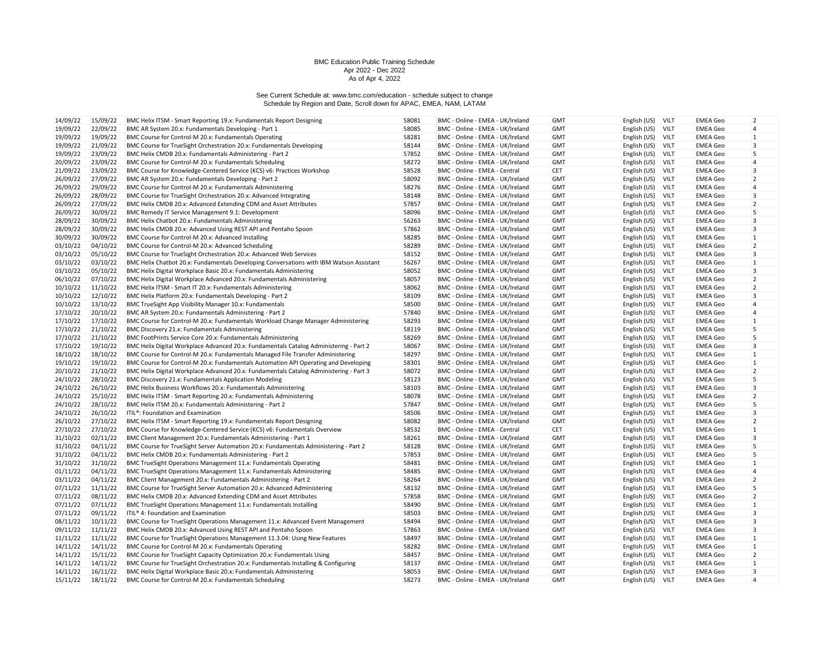| 14/09/22 | 15/09/22 | BMC Helix ITSM - Smart Reporting 19.x: Fundamentals Report Designing                    | 58081 | BMC - Online - EMEA - UK/Ireland | <b>GMT</b> | English (US)      | <b>VILT</b> | <b>EMEA Geo</b> | $\overline{2}$ |
|----------|----------|-----------------------------------------------------------------------------------------|-------|----------------------------------|------------|-------------------|-------------|-----------------|----------------|
| 19/09/22 | 22/09/22 | BMC AR System 20.x: Fundamentals Developing - Part 1                                    | 58085 | BMC - Online - EMEA - UK/Ireland | <b>GMT</b> | English (US)      | <b>VILT</b> | <b>EMEA Geo</b> | $\overline{4}$ |
| 19/09/22 | 19/09/22 | BMC Course for Control-M 20.x: Fundamentals Operating                                   | 58281 | BMC - Online - EMEA - UK/Ireland | <b>GMT</b> | English (US)      | VILT        | <b>EMEA Geo</b> | $\mathbf{1}$   |
| 19/09/22 | 21/09/22 | BMC Course for TrueSight Orchestration 20.x: Fundamentals Developing                    | 58144 | BMC - Online - EMEA - UK/Ireland | <b>GMT</b> | English (US)      | <b>VILT</b> | <b>EMEA Geo</b> | 3              |
| 19/09/22 | 23/09/22 | BMC Helix CMDB 20.x: Fundamentals Administering - Part 2                                | 57852 | BMC - Online - EMEA - UK/Ireland | <b>GMT</b> | English (US)      | VILT        | <b>EMEA</b> Geo | 5              |
| 20/09/22 | 23/09/22 | BMC Course for Control-M 20.x: Fundamentals Scheduling                                  | 58272 | BMC - Online - EMEA - UK/Ireland | <b>GMT</b> | English (US)      | VILT        | <b>EMEA Geo</b> | $\overline{4}$ |
| 21/09/22 | 23/09/22 | BMC Course for Knowledge-Centered Service (KCS) v6: Practices Workshop                  | 58528 | BMC - Online - EMEA - Central    | CET        | English (US)      | <b>VILT</b> | <b>EMEA Geo</b> | 3              |
| 26/09/22 | 27/09/22 | BMC AR System 20.x: Fundamentals Developing - Part 2                                    | 58092 | BMC - Online - EMEA - UK/Ireland | <b>GMT</b> | English (US)      | VILT        | <b>EMEA Geo</b> | 2              |
| 26/09/22 | 29/09/22 | BMC Course for Control-M 20.x: Fundamentals Administering                               | 58276 | BMC - Online - EMEA - UK/Ireland | <b>GMT</b> | English (US)      | VILT        | <b>EMEA</b> Geo | $\overline{4}$ |
| 26/09/22 | 28/09/22 | BMC Course for TrueSight Orchestration 20.x: Advanced Integrating                       | 58148 | BMC - Online - EMEA - UK/Ireland | <b>GMT</b> | English (US)      | <b>VILT</b> | <b>EMEA Geo</b> | 3              |
| 26/09/22 | 27/09/22 | BMC Helix CMDB 20.x: Advanced Extending CDM and Asset Attributes                        | 57857 | BMC - Online - EMEA - UK/Ireland | <b>GMT</b> | English (US)      | <b>VILT</b> | <b>EMEA Geo</b> | $\overline{2}$ |
| 26/09/22 | 30/09/22 | BMC Remedy IT Service Management 9.1: Development                                       | 58096 | BMC - Online - EMEA - UK/Ireland | <b>GMT</b> | English (US)      | VILT        | <b>EMEA</b> Geo | 5              |
| 28/09/22 | 30/09/22 | BMC Helix Chatbot 20.x: Fundamentals Administering                                      | 56263 | BMC - Online - EMEA - UK/Ireland | <b>GMT</b> | English (US)      | <b>VILT</b> | <b>EMEA Geo</b> | $\overline{3}$ |
| 28/09/22 | 30/09/22 | BMC Helix CMDB 20.x: Advanced Using REST API and Pentaho Spoon                          | 57862 | BMC - Online - EMEA - UK/Ireland | <b>GMT</b> | English (US)      | VILT        | <b>EMEA Geo</b> | 3              |
| 30/09/22 | 30/09/22 | BMC Course for Control-M 20.x: Advanced Installing                                      | 58285 | BMC - Online - EMEA - UK/Ireland | <b>GMT</b> | English (US)      | <b>VILT</b> | <b>EMEA Geo</b> | $\mathbf{1}$   |
| 03/10/22 | 04/10/22 | BMC Course for Control-M 20.x: Advanced Scheduling                                      | 58289 | BMC - Online - EMEA - UK/Ireland | <b>GMT</b> | English (US)      | <b>VILT</b> | <b>EMEA Geo</b> | $\overline{2}$ |
| 03/10/22 | 05/10/22 | BMC Course for TrueSight Orchestration 20.x: Advanced Web Services                      | 58152 | BMC - Online - EMEA - UK/Ireland | <b>GMT</b> | English (US)      | VILT        | <b>EMEA Geo</b> | 3              |
|          |          |                                                                                         |       |                                  |            |                   |             |                 |                |
| 03/10/22 | 03/10/22 | BMC Helix Chatbot 20.x: Fundamentals Developing Conversations with IBM Watson Assistant | 56267 | BMC - Online - EMEA - UK/Ireland | <b>GMT</b> | English (US)      | <b>VILT</b> | EMEA Geo        | $\mathbf{1}$   |
| 03/10/22 | 05/10/22 | BMC Helix Digital Workplace Basic 20.x: Fundamentals Administering                      | 58052 | BMC - Online - EMEA - UK/Ireland | <b>GMT</b> | English (US)      | <b>VILT</b> | <b>EMEA Geo</b> | 3              |
| 06/10/22 | 07/10/22 | BMC Helix Digital Workplace Advanced 20.x: Fundamentals Administering                   | 58057 | BMC - Online - EMEA - UK/Ireland | <b>GMT</b> | English (US)      | VILT        | <b>EMEA Geo</b> | $\overline{2}$ |
| 10/10/22 | 11/10/22 | BMC Helix ITSM - Smart IT 20.x: Fundamentals Administering                              | 58062 | BMC - Online - EMEA - UK/Ireland | <b>GMT</b> | English (US)      | <b>VILT</b> | <b>EMEA Geo</b> | $\overline{2}$ |
| 10/10/22 | 12/10/22 | BMC Helix Platform 20.x: Fundamentals Developing - Part 2                               | 58109 | BMC - Online - EMEA - UK/Ireland | <b>GMT</b> | English (US)      | <b>VILT</b> | <b>EMEA Geo</b> | 3              |
| 10/10/22 | 13/10/22 | BMC TrueSight App Visibility Manager 10.x: Fundamentals                                 | 58500 | BMC - Online - EMEA - UK/Ireland | <b>GMT</b> | English (US)      | VILT        | <b>EMEA Geo</b> | 4              |
| 17/10/22 | 20/10/22 | BMC AR System 20.x: Fundamentals Administering - Part 2                                 | 57840 | BMC - Online - EMEA - UK/Ireland | <b>GMT</b> | English (US)      | VILT        | <b>EMEA Geo</b> | $\overline{4}$ |
| 17/10/22 | 17/10/22 | BMC Course for Control-M 20.x: Fundamentals Workload Change Manager Administering       | 58293 | BMC - Online - EMEA - UK/Ireland | <b>GMT</b> | English (US)      | <b>VILT</b> | <b>EMEA Geo</b> | $\mathbf{1}$   |
| 17/10/22 | 21/10/22 | BMC Discovery 21.x: Fundamentals Administering                                          | 58119 | BMC - Online - EMEA - UK/Ireland | <b>GMT</b> | English (US)      | VILT        | <b>EMEA Geo</b> | 5              |
| 17/10/22 | 21/10/22 | BMC FootPrints Service Core 20.x: Fundamentals Administering                            | 58269 | BMC - Online - EMEA - UK/Ireland | <b>GMT</b> | English (US)      | <b>VILT</b> | <b>EMEA</b> Geo | 5              |
| 17/10/22 | 19/10/22 | BMC Helix Digital Workplace Advanced 20.x: Fundamentals Catalog Administering - Part 2  | 58067 | BMC - Online - EMEA - UK/Ireland | <b>GMT</b> | English (US)      | VILT        | <b>EMEA Geo</b> | 3              |
| 18/10/22 | 18/10/22 | BMC Course for Control-M 20.x: Fundamentals Managed File Transfer Administering         | 58297 | BMC - Online - EMEA - UK/Ireland | <b>GMT</b> | English (US)      | VILT        | <b>EMEA Geo</b> | 1              |
| 19/10/22 | 19/10/22 | BMC Course for Control-M 20.x: Fundamentals Automation API Operating and Developing     | 58301 | BMC - Online - EMEA - UK/Ireland | <b>GMT</b> | English (US)      | <b>VILT</b> | EMEA Geo        | $\mathbf{1}$   |
| 20/10/22 | 21/10/22 | BMC Helix Digital Workplace Advanced 20.x: Fundamentals Catalog Administering - Part 3  | 58072 | BMC - Online - EMEA - UK/Ireland | <b>GMT</b> | English (US)      | VILT        | <b>EMEA Geo</b> | $\overline{2}$ |
| 24/10/22 | 28/10/22 | BMC Discovery 21.x: Fundamentals Application Modeling                                   | 58123 | BMC - Online - EMEA - UK/Ireland | <b>GMT</b> | English (US)      | <b>VILT</b> | <b>EMEA Geo</b> | 5              |
| 24/10/22 | 26/10/22 | BMC Helix Business Workflows 20.x: Fundamentals Administering                           | 58103 | BMC - Online - EMEA - UK/Ireland | <b>GMT</b> | English (US)      | <b>VILT</b> | EMEA Geo        | 3              |
| 24/10/22 | 25/10/22 | BMC Helix ITSM - Smart Reporting 20.x: Fundamentals Administering                       | 58078 | BMC - Online - EMEA - UK/Ireland | <b>GMT</b> | English (US)      | VILT        | <b>EMEA Geo</b> | $\overline{2}$ |
| 24/10/22 | 28/10/22 | BMC Helix ITSM 20.x: Fundamentals Administering - Part 2                                | 57847 | BMC - Online - EMEA - UK/Ireland | <b>GMT</b> | English (US)      | <b>VILT</b> | <b>EMEA Geo</b> | 5              |
| 24/10/22 | 26/10/22 | ITIL®: Foundation and Examination                                                       | 58506 | BMC - Online - EMEA - UK/Ireland | <b>GMT</b> | English (US)      | <b>VILT</b> | <b>EMEA Geo</b> | 3              |
| 26/10/22 | 27/10/22 | BMC Helix ITSM - Smart Reporting 19.x: Fundamentals Report Designing                    | 58082 | BMC - Online - EMEA - UK/Ireland | <b>GMT</b> | English (US)      | <b>VILT</b> | <b>EMEA Geo</b> | $\overline{2}$ |
| 27/10/22 | 27/10/22 | BMC Course for Knowledge-Centered Service (KCS) v6: Fundamentals Overview               | 58532 | BMC - Online - EMEA - Central    | <b>CET</b> | English (US)      | VILT        | <b>EMEA Geo</b> | 1              |
| 31/10/22 | 02/11/22 | BMC Client Management 20.x: Fundamentals Administering - Part 1                         | 58261 | BMC - Online - EMEA - UK/Ireland | <b>GMT</b> | English (US)      | <b>VILT</b> | <b>EMEA Geo</b> | $\overline{3}$ |
| 31/10/22 | 04/11/22 | BMC Course for TrueSight Server Automation 20.x: Fundamentals Administering - Part 2    | 58128 | BMC - Online - EMEA - UK/Ireland | <b>GMT</b> | English (US)      | <b>VILT</b> | <b>EMEA Geo</b> | 5              |
| 31/10/22 | 04/11/22 | BMC Helix CMDB 20.x: Fundamentals Administering - Part 2                                | 57853 | BMC - Online - EMEA - UK/Ireland | <b>GMT</b> | English (US)      | VILT        | <b>EMEA Geo</b> | 5              |
| 31/10/22 | 31/10/22 | BMC TrueSight Operations Management 11.x: Fundamentals Operating                        | 58481 | BMC - Online - EMEA - UK/Ireland | <b>GMT</b> | English (US)      | <b>VILT</b> | <b>EMEA</b> Geo | $\mathbf{1}$   |
| 01/11/22 | 04/11/22 | BMC TrueSight Operations Management 11.x: Fundamentals Administering                    | 58485 | BMC - Online - EMEA - UK/Ireland | <b>GMT</b> | English (US)      | VILT        | <b>EMEA Geo</b> | $\overline{4}$ |
| 03/11/22 | 04/11/22 | BMC Client Management 20.x: Fundamentals Administering - Part 2                         | 58264 | BMC - Online - EMEA - UK/Ireland | <b>GMT</b> | English (US)      | <b>VILT</b> | <b>EMEA Geo</b> | $\overline{2}$ |
| 07/11/22 | 11/11/22 | BMC Course for TrueSight Server Automation 20.x: Advanced Administering                 | 58132 | BMC - Online - EMEA - UK/Ireland | <b>GMT</b> | English (US)      | <b>VILT</b> | <b>EMEA Geo</b> | 5              |
| 07/11/22 | 08/11/22 | BMC Helix CMDB 20.x: Advanced Extending CDM and Asset Attributes                        | 57858 | BMC - Online - EMEA - UK/Ireland | <b>GMT</b> | English (US)      | VILT        | <b>EMEA Geo</b> | $\overline{2}$ |
| 07/11/22 | 07/11/22 | BMC TrueSight Operations Management 11.x: Fundamentals Installing                       | 58490 | BMC - Online - EMEA - UK/Ireland | <b>GMT</b> | English (US)      | <b>VILT</b> | <b>EMEA Geo</b> | 1              |
| 07/11/22 | 09/11/22 | ITIL® 4: Foundation and Examination                                                     | 58503 | BMC - Online - EMEA - UK/Ireland | <b>GMT</b> | English (US)      | <b>VILT</b> | <b>EMEA Geo</b> | 3              |
| 08/11/22 | 10/11/22 | BMC Course for TrueSight Operations Management 11.x: Advanced Event Management          | 58494 | BMC - Online - EMEA - UK/Ireland | <b>GMT</b> | English (US)      | VILT        | <b>EMEA Geo</b> | 3              |
| 09/11/22 | 11/11/22 | BMC Helix CMDB 20.x: Advanced Using REST API and Pentaho Spoon                          | 57863 | BMC - Online - EMEA - UK/Ireland | <b>GMT</b> | English (US)      | <b>VILT</b> | <b>EMEA Geo</b> | $\overline{3}$ |
| 11/11/22 | 11/11/22 | BMC Course for TrueSight Operations Management 11.3.04: Using New Features              | 58497 | BMC - Online - EMEA - UK/Ireland | <b>GMT</b> | English (US)      | <b>VILT</b> | <b>EMEA Geo</b> | $\mathbf{1}$   |
| 14/11/22 | 14/11/22 | BMC Course for Control-M 20.x: Fundamentals Operating                                   | 58282 | BMC - Online - EMEA - UK/Ireland | <b>GMT</b> | English (US)      | <b>VILT</b> | <b>EMEA Geo</b> | $\mathbf{1}$   |
| 14/11/22 | 15/11/22 | BMC Course for TrueSight Capacity Optimization 20.x: Fundamentals Using                 | 58457 | BMC - Online - EMEA - UK/Ireland | GMT        | English (US)      | <b>VILT</b> | <b>EMEA Geo</b> | $\overline{2}$ |
| 14/11/22 | 14/11/22 | BMC Course for TrueSight Orchestration 20.x: Fundamentals Installing & Configuring      | 58137 | BMC - Online - EMEA - UK/Ireland | <b>GMT</b> | English (US)      | <b>VILT</b> | <b>EMEA</b> Geo | $\mathbf{1}$   |
| 14/11/22 | 16/11/22 | BMC Helix Digital Workplace Basic 20.x: Fundamentals Administering                      | 58053 | BMC - Online - EMEA - UK/Ireland | <b>GMT</b> | English (US)      | VILT        | <b>EMEA Geo</b> | $\overline{3}$ |
| 15/11/22 | 18/11/22 | BMC Course for Control-M 20.x: Fundamentals Scheduling                                  | 58273 | BMC - Online - EMEA - UK/Ireland | <b>GMT</b> | English (US) VILT |             | <b>EMEA Geo</b> | $\overline{4}$ |
|          |          |                                                                                         |       |                                  |            |                   |             |                 |                |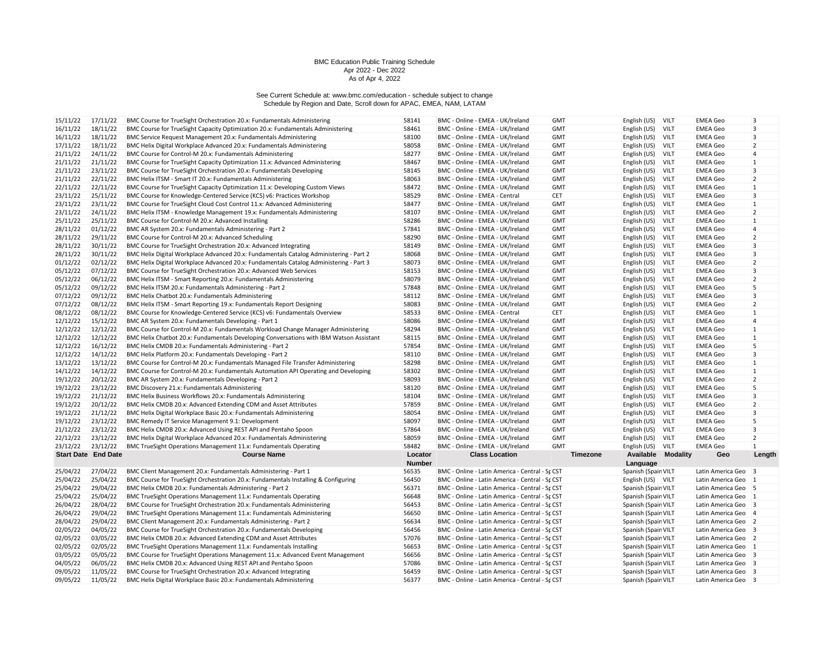| 15/11/22 | 17/11/22                   | BMC Course for TrueSight Orchestration 20.x: Fundamentals Administering                 | 58141         | BMC - Online - EMEA - UK/Ireland                 | <b>GMT</b> | English (US)              | VILT        | <b>EMEA Geo</b>     | $\overline{3}$ |
|----------|----------------------------|-----------------------------------------------------------------------------------------|---------------|--------------------------------------------------|------------|---------------------------|-------------|---------------------|----------------|
| 16/11/22 | 18/11/22                   | BMC Course for TrueSight Capacity Optimization 20.x: Fundamentals Administering         | 58461         | BMC - Online - EMEA - UK/Ireland                 | <b>GMT</b> | English (US)              | <b>VILT</b> | <b>EMEA Geo</b>     | 3              |
| 16/11/22 | 18/11/22                   | BMC Service Request Management 20.x: Fundamentals Administering                         | 58100         | BMC - Online - EMEA - UK/Ireland                 | <b>GMT</b> | English (US)              | VILT        | <b>EMEA Geo</b>     | 3              |
| 17/11/22 | 18/11/22                   | BMC Helix Digital Workplace Advanced 20.x: Fundamentals Administering                   | 58058         | BMC - Online - EMEA - UK/Ireland                 | <b>GMT</b> | English (US)              | <b>VILT</b> | <b>EMEA Geo</b>     | $\overline{2}$ |
| 21/11/22 | 24/11/22                   | BMC Course for Control-M 20.x: Fundamentals Administering                               | 58277         | BMC - Online - EMEA - UK/Ireland                 | <b>GMT</b> | English (US)              | VILT        | <b>EMEA Geo</b>     | $\overline{4}$ |
| 21/11/22 | 21/11/22                   | BMC Course for TrueSight Capacity Optimization 11.x: Advanced Administering             | 58467         | BMC - Online - EMEA - UK/Ireland                 | <b>GMT</b> | English (US)              | VILT        | <b>EMEA Geo</b>     | $\mathbf{1}$   |
| 21/11/22 | 23/11/22                   | BMC Course for TrueSight Orchestration 20.x: Fundamentals Developing                    | 58145         | BMC - Online - EMEA - UK/Ireland                 | <b>GMT</b> | English (US)              | <b>VILT</b> | <b>EMEA Geo</b>     | 3              |
| 21/11/22 | 22/11/22                   | BMC Helix ITSM - Smart IT 20.x: Fundamentals Administering                              | 58063         | BMC - Online - EMEA - UK/Ireland                 | <b>GMT</b> | English (US)              | VILT        | <b>EMEA Geo</b>     | $\overline{2}$ |
| 22/11/22 | 22/11/22                   | BMC Course for TrueSight Capacity Optimization 11.x: Developing Custom Views            | 58472         | BMC - Online - EMEA - UK/Ireland                 | <b>GMT</b> | English (US)              | VILT        | <b>EMEA Geo</b>     | $\mathbf{1}$   |
| 23/11/22 | 25/11/22                   | BMC Course for Knowledge-Centered Service (KCS) v6: Practices Workshop                  | 58529         | BMC - Online - EMEA - Central                    | <b>CET</b> | English (US)              | <b>VILT</b> | <b>EMEA Geo</b>     | 3              |
| 23/11/22 | 23/11/22                   | BMC Course for TrueSight Cloud Cost Control 11.x: Advanced Administering                | 58477         | BMC - Online - EMEA - UK/Ireland                 | <b>GMT</b> | English (US)              | VILT        | <b>EMEA Geo</b>     | 1              |
| 23/11/22 | 24/11/22                   | BMC Helix ITSM - Knowledge Management 19.x: Fundamentals Administering                  | 58107         | BMC - Online - EMEA - UK/Ireland                 | <b>GMT</b> | English (US)              | VILT        | <b>EMEA Geo</b>     | $\overline{2}$ |
| 25/11/22 | 25/11/22                   | BMC Course for Control-M 20.x: Advanced Installing                                      | 58286         | BMC - Online - EMEA - UK/Ireland                 | <b>GMT</b> | English (US)              | <b>VILT</b> | <b>EMEA Geo</b>     | $\mathbf{1}$   |
| 28/11/22 | 01/12/22                   | BMC AR System 20.x: Fundamentals Administering - Part 2                                 | 57841         | BMC - Online - EMEA - UK/Ireland                 | <b>GMT</b> | English (US)              | <b>VILT</b> | <b>EMEA Geo</b>     | 4              |
| 28/11/22 | 29/11/22                   | BMC Course for Control-M 20.x: Advanced Scheduling                                      | 58290         | BMC - Online - EMEA - UK/Ireland                 | <b>GMT</b> | English (US)              | VILT        | <b>EMEA Geo</b>     | $\overline{2}$ |
| 28/11/22 | 30/11/22                   | BMC Course for TrueSight Orchestration 20.x: Advanced Integrating                       | 58149         | BMC - Online - EMEA - UK/Ireland                 | <b>GMT</b> | English (US)              | <b>VILT</b> | <b>EMEA</b> Geo     | 3              |
| 28/11/22 | 30/11/22                   | BMC Helix Digital Workplace Advanced 20.x: Fundamentals Catalog Administering - Part 2  | 58068         | BMC - Online - EMEA - UK/Ireland                 | <b>GMT</b> | English (US)              | <b>VILT</b> | <b>EMEA Geo</b>     | 3              |
| 01/12/22 | 02/12/22                   | BMC Helix Digital Workplace Advanced 20.x: Fundamentals Catalog Administering - Part 3  | 58073         | BMC - Online - EMEA - UK/Ireland                 | <b>GMT</b> | English (US)              | <b>VILT</b> | <b>EMEA Geo</b>     | $\overline{2}$ |
| 05/12/22 | 07/12/22                   | BMC Course for TrueSight Orchestration 20.x: Advanced Web Services                      | 58153         | BMC - Online - EMEA - UK/Ireland                 | <b>GMT</b> | English (US)              | VILT        | <b>EMEA</b> Geo     | 3              |
| 05/12/22 | 06/12/22                   | BMC Helix ITSM - Smart Reporting 20.x: Fundamentals Administering                       | 58079         | BMC - Online - EMEA - UK/Ireland                 | <b>GMT</b> | English (US)              | VILT        | EMEA Geo            | $\overline{2}$ |
| 05/12/22 | 09/12/22                   | BMC Helix ITSM 20.x: Fundamentals Administering - Part 2                                | 57848         | BMC - Online - EMEA - UK/Ireland                 | <b>GMT</b> | English (US)              | <b>VILT</b> | EMEA Geo            | 5              |
| 07/12/22 | 09/12/22                   | BMC Helix Chatbot 20.x: Fundamentals Administering                                      | 58112         | BMC - Online - EMEA - UK/Ireland                 | <b>GMT</b> | English (US)              | VILT        | <b>EMEA</b> Geo     | 3              |
| 07/12/22 | 08/12/22                   | BMC Helix ITSM - Smart Reporting 19.x: Fundamentals Report Designing                    | 58083         | BMC - Online - EMEA - UK/Ireland                 | <b>GMT</b> | English (US)              | VILT        | <b>EMEA Geo</b>     | $\overline{2}$ |
| 08/12/22 | 08/12/22                   | BMC Course for Knowledge-Centered Service (KCS) v6: Fundamentals Overview               | 58533         | BMC - Online - EMEA - Central                    | CET        | English (US)              | <b>VILT</b> | EMEA Geo            | $\mathbf{1}$   |
| 12/12/22 | 15/12/22                   | BMC AR System 20.x: Fundamentals Developing - Part 1                                    | 58086         | BMC - Online - EMEA - UK/Ireland                 | <b>GMT</b> | English (US)              | <b>VILT</b> | <b>EMEA</b> Geo     | 4              |
| 12/12/22 | 12/12/22                   | BMC Course for Control-M 20.x: Fundamentals Workload Change Manager Administering       | 58294         | BMC - Online - EMEA - UK/Ireland                 | <b>GMT</b> | English (US)              | VILT        | <b>EMEA Geo</b>     | $\mathbf{1}$   |
| 12/12/22 | 12/12/22                   | BMC Helix Chatbot 20.x: Fundamentals Developing Conversations with IBM Watson Assistant | 58115         | BMC - Online - EMEA - UK/Ireland                 | <b>GMT</b> | English (US)              | <b>VILT</b> | <b>EMEA Geo</b>     | $\mathbf{1}$   |
| 12/12/22 | 16/12/22                   | BMC Helix CMDB 20.x: Fundamentals Administering - Part 2                                | 57854         | BMC - Online - EMEA - UK/Ireland                 | <b>GMT</b> | English (US)              | <b>VILT</b> | <b>EMEA Geo</b>     | 5              |
| 12/12/22 | 14/12/22                   | BMC Helix Platform 20.x: Fundamentals Developing - Part 2                               | 58110         | BMC - Online - EMEA - UK/Ireland                 | <b>GMT</b> | English (US)              | VILT        | <b>EMEA Geo</b>     | 3              |
| 13/12/22 | 13/12/22                   | BMC Course for Control-M 20.x: Fundamentals Managed File Transfer Administering         | 58298         | BMC - Online - EMEA - UK/Ireland                 | <b>GMT</b> | English (US)              | <b>VILT</b> | <b>EMEA Geo</b>     | $\mathbf{1}$   |
| 14/12/22 | 14/12/22                   | BMC Course for Control-M 20.x: Fundamentals Automation API Operating and Developing     | 58302         | BMC - Online - EMEA - UK/Ireland                 | <b>GMT</b> | English (US)              | <b>VILT</b> | <b>EMEA Geo</b>     | $\mathbf{1}$   |
| 19/12/22 | 20/12/22                   | BMC AR System 20.x: Fundamentals Developing - Part 2                                    | 58093         | BMC - Online - EMEA - UK/Ireland                 | <b>GMT</b> | English (US)              | VILT        | <b>EMEA Geo</b>     | $\overline{2}$ |
| 19/12/22 | 23/12/22                   | BMC Discovery 21.x: Fundamentals Administering                                          | 58120         | BMC - Online - EMEA - UK/Ireland                 | <b>GMT</b> | English (US)              | <b>VILT</b> | <b>EMEA Geo</b>     | 5              |
| 19/12/22 | 21/12/22                   | BMC Helix Business Workflows 20.x: Fundamentals Administering                           | 58104         | BMC - Online - EMEA - UK/Ireland                 | <b>GMT</b> | English (US)              | VILT        | <b>EMEA Geo</b>     | 3              |
| 19/12/22 | 20/12/22                   | BMC Helix CMDB 20.x: Advanced Extending CDM and Asset Attributes                        | 57859         |                                                  |            |                           | VILT        | EMEA Geo            | $\overline{2}$ |
| 19/12/22 |                            |                                                                                         |               | BMC - Online - EMEA - UK/Ireland                 | <b>GMT</b> | English (US)              |             |                     | 3              |
|          | 21/12/22                   | BMC Helix Digital Workplace Basic 20.x: Fundamentals Administering                      | 58054         | BMC - Online - EMEA - UK/Ireland                 | <b>GMT</b> | English (US)              | <b>VILT</b> | <b>EMEA Geo</b>     |                |
| 19/12/22 | 23/12/22                   | BMC Remedy IT Service Management 9.1: Development                                       | 58097         | BMC - Online - EMEA - UK/Ireland                 | <b>GMT</b> | English (US)              | VILT        | <b>EMEA Geo</b>     | 5              |
| 21/12/22 | 23/12/22                   | BMC Helix CMDB 20.x: Advanced Using REST API and Pentaho Spoon                          | 57864         | BMC - Online - EMEA - UK/Ireland                 | <b>GMT</b> | English (US)              | VILT        | EMEA Geo            | 3              |
| 22/12/22 | 23/12/22                   | BMC Helix Digital Workplace Advanced 20.x: Fundamentals Administering                   | 58059         | BMC - Online - EMEA - UK/Ireland                 | <b>GMT</b> | English (US)              | <b>VILT</b> | <b>EMEA Geo</b>     | $\overline{2}$ |
| 23/12/22 | 23/12/22                   | BMC TrueSight Operations Management 11.x: Fundamentals Operating                        | 58482         | BMC - Online - EMEA - UK/Ireland                 | <b>GMT</b> | English (US)              | VILT        | <b>EMEA Geo</b>     | $\mathbf{1}$   |
|          | <b>Start Date End Date</b> | <b>Course Name</b>                                                                      | Locator       | <b>Class Location</b>                            | Timezone   | <b>Available Modality</b> |             | Geo                 | Length         |
|          |                            |                                                                                         | <b>Number</b> |                                                  |            | Language                  |             |                     |                |
| 25/04/22 | 27/04/22                   | BMC Client Management 20.x: Fundamentals Administering - Part 1                         | 56535         | BMC - Online - Latin America - Central - Sr. CST |            | Spanish (Spain VILT       |             | Latin America Geo 3 |                |
| 25/04/22 | 25/04/22                   | BMC Course for TrueSight Orchestration 20.x: Fundamentals Installing & Configuring      | 56450         | BMC - Online - Latin America - Central - Sr CST  |            | English (US) VILT         |             | Latin America Geo   | $\overline{1}$ |
| 25/04/22 | 29/04/22                   | BMC Helix CMDB 20.x: Fundamentals Administering - Part 2                                | 56371         | BMC - Online - Latin America - Central - Sr CST  |            | Spanish (Spain VILT       |             | Latin America Geo 5 |                |
| 25/04/22 | 25/04/22                   | BMC TrueSight Operations Management 11.x: Fundamentals Operating                        | 56648         | BMC - Online - Latin America - Central - Sr CST  |            | Spanish (Spain VILT       |             | Latin America Geo 1 |                |
| 26/04/22 | 28/04/22                   | BMC Course for TrueSight Orchestration 20.x: Fundamentals Administering                 | 56453         | BMC - Online - Latin America - Central - Sr CST  |            | Spanish (Spain VILT       |             | Latin America Geo 3 |                |
| 26/04/22 | 29/04/22                   | BMC TrueSight Operations Management 11.x: Fundamentals Administering                    | 56650         | BMC - Online - Latin America - Central - Sr CST  |            | Spanish (Spain VILT       |             | Latin America Geo 4 |                |
| 28/04/22 | 29/04/22                   | BMC Client Management 20.x: Fundamentals Administering - Part 2                         | 56634         | BMC - Online - Latin America - Central - Sr CST  |            | Spanish (Spain VILT       |             | Latin America Geo 2 |                |
| 02/05/22 | 04/05/22                   | BMC Course for TrueSight Orchestration 20.x: Fundamentals Developing                    | 56456         | BMC - Online - Latin America - Central - Sr. CST |            | Spanish (Spain VILT       |             | Latin America Geo 3 |                |
| 02/05/22 | 03/05/22                   | BMC Helix CMDB 20.x: Advanced Extending CDM and Asset Attributes                        | 57076         | BMC - Online - Latin America - Central - Sr CST  |            | Spanish (Spain VILT       |             | Latin America Geo 2 |                |
| 02/05/22 | 02/05/22                   | BMC TrueSight Operations Management 11.x: Fundamentals Installing                       | 56653         | BMC - Online - Latin America - Central - Sr CST  |            | Spanish (Spain VILT       |             | Latin America Geo 1 |                |
| 03/05/22 | 05/05/22                   | BMC Course for TrueSight Operations Management 11.x: Advanced Event Management          | 56656         | BMC - Online - Latin America - Central - Sr CST  |            | Spanish (Spain VILT       |             | Latin America Geo 3 |                |
| 04/05/22 | 06/05/22                   | BMC Helix CMDB 20.x: Advanced Using REST API and Pentaho Spoon                          | 57086         | BMC - Online - Latin America - Central - Sr CST  |            | Spanish (Spain VILT       |             | Latin America Geo 3 |                |
| 09/05/22 | 11/05/22                   | BMC Course for TrueSight Orchestration 20.x: Advanced Integrating                       | 56459         | BMC - Online - Latin America - Central - Sr CST  |            | Spanish (Spain VILT       |             | Latin America Geo 3 |                |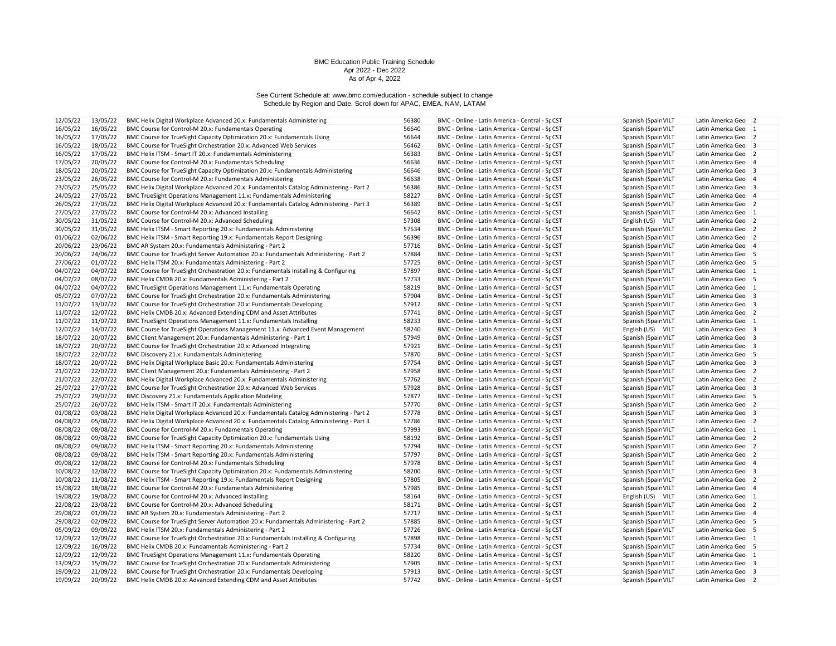| 12/05/22 | 13/05/22 | BMC Helix Digital Workplace Advanced 20.x: Fundamentals Administering                  | 56380 | BMC - Online - Latin America - Central - Sr CST  | Spanish (Spain VILT | Latin America Geo 2                 |
|----------|----------|----------------------------------------------------------------------------------------|-------|--------------------------------------------------|---------------------|-------------------------------------|
| 16/05/22 | 16/05/22 | BMC Course for Control-M 20.x: Fundamentals Operating                                  | 56640 | BMC - Online - Latin America - Central - Sr CST  | Spanish (Spain VILT | Latin America Geo 1                 |
| 16/05/22 | 17/05/22 | BMC Course for TrueSight Capacity Optimization 20.x: Fundamentals Using                | 56644 | BMC - Online - Latin America - Central - Sr CST  | Spanish (Spain VILT | Latin America Geo 2                 |
| 16/05/22 | 18/05/22 | BMC Course for TrueSight Orchestration 20.x: Advanced Web Services                     | 56462 | BMC - Online - Latin America - Central - Sr CST  | Spanish (Spain VILT | Latin America Geo 3                 |
| 16/05/22 | 17/05/22 | BMC Helix ITSM - Smart IT 20.x: Fundamentals Administering                             | 56383 | BMC - Online - Latin America - Central - Sr CST  | Spanish (Spain VILT | Latin America Geo 2                 |
| 17/05/22 | 20/05/22 | BMC Course for Control-M 20.x: Fundamentals Scheduling                                 | 56636 | BMC - Online - Latin America - Central - Sr CST  | Spanish (Spain VILT | Latin America Geo 4                 |
| 18/05/22 | 20/05/22 | BMC Course for TrueSight Capacity Optimization 20.x: Fundamentals Administering        | 56646 | BMC - Online - Latin America - Central - Sr CST  | Spanish (Spain VILT | Latin America Geo 3                 |
| 23/05/22 | 26/05/22 | BMC Course for Control-M 20.x: Fundamentals Administering                              | 56638 | BMC - Online - Latin America - Central - Sr CST  | Spanish (Spain VILT | Latin America Geo 4                 |
| 23/05/22 | 25/05/22 | BMC Helix Digital Workplace Advanced 20.x: Fundamentals Catalog Administering - Part 2 | 56386 | BMC - Online - Latin America - Central - Sr CST  | Spanish (Spain VILT | Latin America Geo 3                 |
| 24/05/22 | 27/05/22 | BMC TrueSight Operations Management 11.x: Fundamentals Administering                   | 58227 | BMC - Online - Latin America - Central - Sr CST  | Spanish (Spain VILT | Latin America Geo 4                 |
| 26/05/22 | 27/05/22 | BMC Helix Digital Workplace Advanced 20.x: Fundamentals Catalog Administering - Part 3 | 56389 | BMC - Online - Latin America - Central - Sr CST  | Spanish (Spain VILT | Latin America Geo 2                 |
| 27/05/22 | 27/05/22 | BMC Course for Control-M 20.x: Advanced Installing                                     | 56642 | BMC - Online - Latin America - Central - Sr CST  | Spanish (Spain VILT | Latin America Geo 1                 |
| 30/05/22 | 31/05/22 | BMC Course for Control-M 20.x: Advanced Scheduling                                     | 57308 | BMC - Online - Latin America - Central - Sr CST  | English (US) VILT   | Latin America Geo 2                 |
| 30/05/22 | 31/05/22 | BMC Helix ITSM - Smart Reporting 20.x: Fundamentals Administering                      | 57534 | BMC - Online - Latin America - Central - Sr CST  | Spanish (Spain VILT | Latin America Geo 2                 |
| 01/06/22 | 02/06/22 | BMC Helix ITSM - Smart Reporting 19.x: Fundamentals Report Designing                   | 56396 | BMC - Online - Latin America - Central - Sr CST  | Spanish (Spain VILT | Latin America Geo 2                 |
| 20/06/22 | 23/06/22 | BMC AR System 20.x: Fundamentals Administering - Part 2                                | 57716 | BMC - Online - Latin America - Central - Sr CST  | Spanish (Spain VILT | Latin America Geo<br>$\overline{4}$ |
| 20/06/22 | 24/06/22 | BMC Course for TrueSight Server Automation 20.x: Fundamentals Administering - Part 2   | 57884 | BMC - Online - Latin America - Central - Sr CST  | Spanish (Spain VILT | Latin America Geo 5                 |
| 27/06/22 | 01/07/22 | BMC Helix ITSM 20.x: Fundamentals Administering - Part 2                               | 57725 | BMC - Online - Latin America - Central - Sr. CST | Spanish (Spain VILT | Latin America Geo 5                 |
| 04/07/22 | 04/07/22 | BMC Course for TrueSight Orchestration 20.x: Fundamentals Installing & Configuring     | 57897 | BMC - Online - Latin America - Central - Sr CST  | Spanish (Spain VILT | Latin America Geo 1                 |
| 04/07/22 | 08/07/22 | BMC Helix CMDB 20.x: Fundamentals Administering - Part 2                               | 57733 | BMC - Online - Latin America - Central - Sr CST  | Spanish (Spain VILT | Latin America Geo 5                 |
| 04/07/22 | 04/07/22 | BMC TrueSight Operations Management 11.x: Fundamentals Operating                       | 58219 | BMC - Online - Latin America - Central - Sr CST  | Spanish (Spain VILT | Latin America Geo 1                 |
| 05/07/22 | 07/07/22 | BMC Course for TrueSight Orchestration 20.x: Fundamentals Administering                | 57904 | BMC - Online - Latin America - Central - Sr CST  | Spanish (Spain VILT | Latin America Geo 3                 |
| 11/07/22 | 13/07/22 | BMC Course for TrueSight Orchestration 20.x: Fundamentals Developing                   | 57912 | BMC - Online - Latin America - Central - Sr CST  | Spanish (Spain VILT | Latin America Geo 3                 |
| 11/07/22 | 12/07/22 | BMC Helix CMDB 20.x: Advanced Extending CDM and Asset Attributes                       | 57741 | BMC - Online - Latin America - Central - Sr CST  | Spanish (Spain VILT | Latin America Geo 2                 |
| 11/07/22 | 11/07/22 | BMC TrueSight Operations Management 11.x: Fundamentals Installing                      | 58233 | BMC - Online - Latin America - Central - Sr CST  | Spanish (Spain VILT | Latin America Geo 1                 |
| 12/07/22 | 14/07/22 | BMC Course for TrueSight Operations Management 11.x: Advanced Event Management         | 58240 | BMC - Online - Latin America - Central - Sr CST  | English (US) VILT   | Latin America Geo 3                 |
| 18/07/22 | 20/07/22 | BMC Client Management 20.x: Fundamentals Administering - Part 1                        | 57949 | BMC - Online - Latin America - Central - Sr CST  | Spanish (Spain VILT | Latin America Geo 3                 |
| 18/07/22 | 20/07/22 | BMC Course for TrueSight Orchestration 20.x: Advanced Integrating                      | 57921 | BMC - Online - Latin America - Central - Sr CST  | Spanish (Spain VILT | Latin America Geo 3                 |
| 18/07/22 | 22/07/22 | BMC Discovery 21.x: Fundamentals Administering                                         | 57870 | BMC - Online - Latin America - Central - Sp CST  | Spanish (Spain VILT | Latin America Geo 5                 |
| 18/07/22 | 20/07/22 | BMC Helix Digital Workplace Basic 20.x: Fundamentals Administering                     | 57754 | BMC - Online - Latin America - Central - Sr CST  | Spanish (Spain VILT | Latin America Geo 3                 |
| 21/07/22 | 22/07/22 | BMC Client Management 20.x: Fundamentals Administering - Part 2                        | 57958 | BMC - Online - Latin America - Central - Sr CST  | Spanish (Spain VILT | Latin America Geo 2                 |
| 21/07/22 | 22/07/22 | BMC Helix Digital Workplace Advanced 20.x: Fundamentals Administering                  | 57762 | BMC - Online - Latin America - Central - Sp CST  | Spanish (Spain VILT | Latin America Geo 2                 |
| 25/07/22 | 27/07/22 | BMC Course for TrueSight Orchestration 20.x: Advanced Web Services                     | 57928 | BMC - Online - Latin America - Central - Sr CST  | Spanish (Spain VILT | Latin America Geo 3                 |
| 25/07/22 | 29/07/22 |                                                                                        | 57877 |                                                  |                     |                                     |
|          |          | BMC Discovery 21.x: Fundamentals Application Modeling                                  | 57770 | BMC - Online - Latin America - Central - Sr CST  | Spanish (Spain VILT | Latin America Geo 5                 |
| 25/07/22 | 26/07/22 | BMC Helix ITSM - Smart IT 20.x: Fundamentals Administering                             |       | BMC - Online - Latin America - Central - Sr CST  | Spanish (Spain VILT | Latin America Geo 2                 |
| 01/08/22 | 03/08/22 | BMC Helix Digital Workplace Advanced 20.x: Fundamentals Catalog Administering - Part 2 | 57778 | BMC - Online - Latin America - Central - Sr CST  | Spanish (Spain VILT | Latin America Geo 3                 |
| 04/08/22 | 05/08/22 | BMC Helix Digital Workplace Advanced 20.x: Fundamentals Catalog Administering - Part 3 | 57786 | BMC - Online - Latin America - Central - Sr CST  | Spanish (Spain VILT | Latin America Geo 2                 |
| 08/08/22 | 08/08/22 | BMC Course for Control-M 20.x: Fundamentals Operating                                  | 57993 | BMC - Online - Latin America - Central - Sr CST  | Spanish (Spain VILT | Latin America Geo 1                 |
| 08/08/22 | 09/08/22 | BMC Course for TrueSight Capacity Optimization 20.x: Fundamentals Using                | 58192 | BMC - Online - Latin America - Central - Sr. CST | Spanish (Spain VILT | Latin America Geo 2                 |
| 08/08/22 | 09/08/22 | BMC Helix ITSM - Smart Reporting 20.x: Fundamentals Administering                      | 57794 | BMC - Online - Latin America - Central - Sr CST  | Spanish (Spain VILT | Latin America Geo 2                 |
| 08/08/22 | 09/08/22 | BMC Helix ITSM - Smart Reporting 20.x: Fundamentals Administering                      | 57797 | BMC - Online - Latin America - Central - Sr CST  | Spanish (Spain VILT | Latin America Geo 2                 |
| 09/08/22 | 12/08/22 | BMC Course for Control-M 20.x: Fundamentals Scheduling                                 | 57978 | BMC - Online - Latin America - Central - Sr CST  | Spanish (Spain VILT | Latin America Geo 4                 |
| 10/08/22 | 12/08/22 | BMC Course for TrueSight Capacity Optimization 20.x: Fundamentals Administering        | 58200 | BMC - Online - Latin America - Central - Sr CST  | Spanish (Spain VILT | Latin America Geo 3                 |
| 10/08/22 | 11/08/22 | BMC Helix ITSM - Smart Reporting 19.x: Fundamentals Report Designing                   | 57805 | BMC - Online - Latin America - Central - Sr CST  | Spanish (Spain VILT | Latin America Geo 2                 |
| 15/08/22 | 18/08/22 | BMC Course for Control-M 20.x: Fundamentals Administering                              | 57985 | BMC - Online - Latin America - Central - Sr CST  | Spanish (Spain VILT | Latin America Geo 4                 |
| 19/08/22 | 19/08/22 | BMC Course for Control-M 20.x: Advanced Installing                                     | 58164 | BMC - Online - Latin America - Central - Sr CST  | English (US) VILT   | Latin America Geo 1                 |
| 22/08/22 | 23/08/22 | BMC Course for Control-M 20.x: Advanced Scheduling                                     | 58171 | BMC - Online - Latin America - Central - Sr CST  | Spanish (Spain VILT | Latin America Geo 2                 |
| 29/08/22 | 01/09/22 | BMC AR System 20.x: Fundamentals Administering - Part 2                                | 57717 | BMC - Online - Latin America - Central - Sr CST  | Spanish (Spain VILT | Latin America Geo 4                 |
| 29/08/22 | 02/09/22 | BMC Course for TrueSight Server Automation 20.x: Fundamentals Administering - Part 2   | 57885 | BMC - Online - Latin America - Central - Sr CST  | Spanish (Spain VILT | Latin America Geo 5                 |
| 05/09/22 | 09/09/22 | BMC Helix ITSM 20.x: Fundamentals Administering - Part 2                               | 57726 | BMC - Online - Latin America - Central - Sr CST  | Spanish (Spain VILT | Latin America Geo 5                 |
| 12/09/22 | 12/09/22 | BMC Course for TrueSight Orchestration 20.x: Fundamentals Installing & Configuring     | 57898 | BMC - Online - Latin America - Central - Sr CST  | Spanish (Spain VILT | Latin America Geo 1                 |
| 12/09/22 | 16/09/22 | BMC Helix CMDB 20.x: Fundamentals Administering - Part 2                               | 57734 | BMC - Online - Latin America - Central - Sr CST  | Spanish (Spain VILT | Latin America Geo 5                 |
| 12/09/22 | 12/09/22 | BMC TrueSight Operations Management 11.x: Fundamentals Operating                       | 58220 | BMC - Online - Latin America - Central - Sr CST  | Spanish (Spain VILT | Latin America Geo 1                 |
| 13/09/22 | 15/09/22 | BMC Course for TrueSight Orchestration 20.x: Fundamentals Administering                | 57905 | BMC - Online - Latin America - Central - Sr CST  | Spanish (Spain VILT | Latin America Geo 3                 |
| 19/09/22 | 21/09/22 | BMC Course for TrueSight Orchestration 20.x: Fundamentals Developing                   | 57913 | BMC - Online - Latin America - Central - Sr CST  | Spanish (Spain VILT | Latin America Geo 3                 |
| 19/09/22 | 20/09/22 | BMC Helix CMDB 20.x: Advanced Extending CDM and Asset Attributes                       | 57742 | BMC - Online - Latin America - Central - Sr CST  | Spanish (Spain VILT | Latin America Geo 2                 |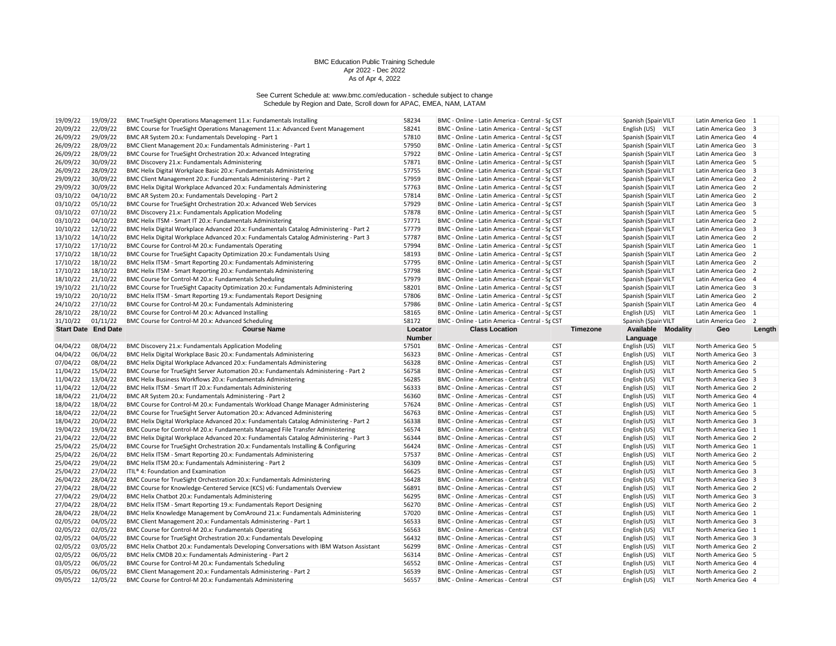| 19/09/22                   | 19/09/22             | BMC TrueSight Operations Management 11.x: Fundamentals Installing                                                            | 58234          | BMC - Online - Latin America - Central - Sr CST                        |                          | Spanish (Spain VILT               |                           | Latin America Geo 1                        |                |
|----------------------------|----------------------|------------------------------------------------------------------------------------------------------------------------------|----------------|------------------------------------------------------------------------|--------------------------|-----------------------------------|---------------------------|--------------------------------------------|----------------|
| 20/09/22                   | 22/09/22             | BMC Course for TrueSight Operations Management 11.x: Advanced Event Management                                               | 58241          | BMC - Online - Latin America - Central - Sr. CST                       |                          | English (US) VILT                 |                           | Latin America Geo 3                        |                |
| 26/09/22                   | 29/09/22             | BMC AR System 20.x: Fundamentals Developing - Part 1                                                                         | 57810          | BMC - Online - Latin America - Central - Sr CST                        |                          | Spanish (Spain VILT               |                           | Latin America Geo 4                        |                |
| 26/09/22                   | 28/09/22             | BMC Client Management 20.x: Fundamentals Administering - Part 1                                                              | 57950          | BMC - Online - Latin America - Central - Sr CST                        |                          | Spanish (Spain VILT               |                           | Latin America Geo 3                        |                |
| 26/09/22                   | 28/09/22             | BMC Course for TrueSight Orchestration 20.x: Advanced Integrating                                                            | 57922          | BMC - Online - Latin America - Central - Sr CST                        |                          | Spanish (Spain VILT               |                           | Latin America Geo 3                        |                |
| 26/09/22                   | 30/09/22             | BMC Discovery 21.x: Fundamentals Administering                                                                               | 57871          | BMC - Online - Latin America - Central - Sr CST                        |                          | Spanish (Spain VILT               |                           | Latin America Geo 5                        |                |
| 26/09/22                   | 28/09/22             | BMC Helix Digital Workplace Basic 20.x: Fundamentals Administering                                                           | 57755          | BMC - Online - Latin America - Central - Sr CST                        |                          | Spanish (Spain VILT               |                           | Latin America Geo 3                        |                |
| 29/09/22                   | 30/09/22             | BMC Client Management 20.x: Fundamentals Administering - Part 2                                                              | 57959          | BMC - Online - Latin America - Central - Sr CST                        |                          | Spanish (Spain VILT               |                           | Latin America Geo 2                        |                |
| 29/09/22                   | 30/09/22             | BMC Helix Digital Workplace Advanced 20.x: Fundamentals Administering                                                        | 57763          | BMC - Online - Latin America - Central - Sr CST                        |                          | Spanish (Spain VILT               |                           | Latin America Geo 2                        |                |
| 03/10/22                   | 04/10/22             | BMC AR System 20.x: Fundamentals Developing - Part 2                                                                         | 57814          | BMC - Online - Latin America - Central - Sr CST                        |                          | Spanish (Spain VILT               |                           | Latin America Geo 2                        |                |
| 03/10/22                   | 05/10/22             | BMC Course for TrueSight Orchestration 20.x: Advanced Web Services                                                           | 57929          | BMC - Online - Latin America - Central - Sr CST                        |                          | Spanish (Spain VILT               |                           | Latin America Geo 3                        |                |
| 03/10/22                   | 07/10/22             | BMC Discovery 21.x: Fundamentals Application Modeling                                                                        | 57878          | BMC - Online - Latin America - Central - Sr CST                        |                          | Spanish (Spain VILT               |                           | Latin America Geo 5                        |                |
| 03/10/22                   | 04/10/22             | BMC Helix ITSM - Smart IT 20.x: Fundamentals Administering                                                                   | 57771          | BMC - Online - Latin America - Central - Sr CST                        |                          | Spanish (Spain VILT               |                           | Latin America Geo 2                        |                |
| 10/10/22                   | 12/10/22             | BMC Helix Digital Workplace Advanced 20.x: Fundamentals Catalog Administering - Part 2                                       | 57779          | BMC - Online - Latin America - Central - Sr CST                        |                          | Spanish (Spain VILT               |                           | Latin America Geo 3                        |                |
| 13/10/22                   | 14/10/22             | BMC Helix Digital Workplace Advanced 20.x: Fundamentals Catalog Administering - Part 3                                       | 57787          | BMC - Online - Latin America - Central - Sr CST                        |                          | Spanish (Spain VILT               |                           | Latin America Geo 2                        |                |
| 17/10/22                   | 17/10/22             | BMC Course for Control-M 20.x: Fundamentals Operating                                                                        | 57994          | BMC - Online - Latin America - Central - Sr CST                        |                          | Spanish (Spain VILT               |                           | Latin America Geo 1                        |                |
| 17/10/22                   | 18/10/22             | BMC Course for TrueSight Capacity Optimization 20.x: Fundamentals Using                                                      | 58193          | BMC - Online - Latin America - Central - Sr CST                        |                          | Spanish (Spain VILT               |                           | Latin America Geo 2                        |                |
| 17/10/22                   | 18/10/22             | BMC Helix ITSM - Smart Reporting 20.x: Fundamentals Administering                                                            | 57795          | BMC - Online - Latin America - Central - Sr CST                        |                          | Spanish (Spain VILT               |                           | Latin America Geo 2                        |                |
| 17/10/22                   | 18/10/22             | BMC Helix ITSM - Smart Reporting 20.x: Fundamentals Administering                                                            | 57798          | BMC - Online - Latin America - Central - Sr CST                        |                          | Spanish (Spain VILT               |                           | Latin America Geo                          | $\sqrt{2}$     |
| 18/10/22                   | 21/10/22             | BMC Course for Control-M 20.x: Fundamentals Scheduling                                                                       | 57979          | BMC - Online - Latin America - Central - Sr CST                        |                          | Spanish (Spain VILT               |                           | Latin America Geo 4                        |                |
| 19/10/22                   | 21/10/22             | BMC Course for TrueSight Capacity Optimization 20.x: Fundamentals Administering                                              | 58201          | BMC - Online - Latin America - Central - Sr CST                        |                          | Spanish (Spain VILT               |                           | Latin America Geo 3                        |                |
| 19/10/22                   | 20/10/22             | BMC Helix ITSM - Smart Reporting 19.x: Fundamentals Report Designing                                                         | 57806          | BMC - Online - Latin America - Central - Sr CST                        |                          | Spanish (Spain VILT               |                           | Latin America Geo 2                        |                |
| 24/10/22                   | 27/10/22             | BMC Course for Control-M 20.x: Fundamentals Administering                                                                    | 57986          | BMC - Online - Latin America - Central - Sp CST                        |                          | Spanish (Spain VILT               |                           | Latin America Geo 4                        |                |
| 28/10/22                   | 28/10/22             | BMC Course for Control-M 20.x: Advanced Installing                                                                           | 58165          | BMC - Online - Latin America - Central - Sr CST                        |                          | English (US) VILT                 |                           | Latin America Geo 1                        |                |
| 31/10/22                   | 01/11/22             | BMC Course for Control-M 20.x: Advanced Scheduling                                                                           | 58172          | BMC - Online - Latin America - Central - Sr CST                        |                          | Spanish (Spain VILT               |                           | Latin America Geo                          | $\overline{2}$ |
| <b>Start Date End Date</b> |                      | <b>Course Name</b>                                                                                                           | Locator        | <b>Class Location</b>                                                  | Timezone                 |                                   | <b>Available Modality</b> | Geo                                        | Length         |
|                            |                      |                                                                                                                              | <b>Number</b>  |                                                                        |                          | Language                          |                           |                                            |                |
| 04/04/22                   | 08/04/22             | BMC Discovery 21.x: Fundamentals Application Modeling                                                                        | 57501          |                                                                        | <b>CST</b>               | English (US) VILT                 |                           |                                            |                |
|                            |                      |                                                                                                                              |                |                                                                        |                          |                                   |                           |                                            |                |
|                            |                      |                                                                                                                              |                | BMC - Online - Americas - Central                                      |                          |                                   |                           | North America Geo 5                        |                |
| 04/04/22                   | 06/04/22             | BMC Helix Digital Workplace Basic 20.x: Fundamentals Administering                                                           | 56323          | BMC - Online - Americas - Central                                      | <b>CST</b>               | English (US) VILT                 |                           | North America Geo 3                        |                |
| 07/04/22                   | 08/04/22             | BMC Helix Digital Workplace Advanced 20.x: Fundamentals Administering                                                        | 56328          | BMC - Online - Americas - Central                                      | <b>CST</b>               | English (US) VILT                 |                           | North America Geo 2                        |                |
| 11/04/22                   | 15/04/22             | BMC Course for TrueSight Server Automation 20.x: Fundamentals Administering - Part 2                                         | 56758          | BMC - Online - Americas - Central                                      | <b>CST</b>               | English (US)                      | <b>VILT</b>               | North America Geo 5                        |                |
| 11/04/22                   | 13/04/22             | BMC Helix Business Workflows 20.x: Fundamentals Administering                                                                | 56285          | BMC - Online - Americas - Central                                      | <b>CST</b>               | English (US)                      | <b>VILT</b>               | North America Geo 3                        |                |
| 11/04/22                   | 12/04/22             | BMC Helix ITSM - Smart IT 20.x: Fundamentals Administering                                                                   | 56333          | BMC - Online - Americas - Central                                      | <b>CST</b>               | English (US) VILT                 |                           | North America Geo 2                        |                |
| 18/04/22                   | 21/04/22             | BMC AR System 20.x: Fundamentals Administering - Part 2                                                                      | 56360          | BMC - Online - Americas - Central                                      | <b>CST</b>               | English (US)                      | VILT                      | North America Geo 4                        |                |
| 18/04/22                   | 18/04/22             | BMC Course for Control-M 20.x: Fundamentals Workload Change Manager Administering                                            | 57624          | BMC - Online - Americas - Central                                      | <b>CST</b>               | English (US)                      | <b>VILT</b>               | North America Geo 1                        |                |
| 18/04/22                   | 22/04/22             | BMC Course for TrueSight Server Automation 20.x: Advanced Administering                                                      | 56763          | BMC - Online - Americas - Central                                      | <b>CST</b>               | English (US) VILT                 |                           | North America Geo 5                        |                |
| 18/04/22                   | 20/04/22             | BMC Helix Digital Workplace Advanced 20.x: Fundamentals Catalog Administering - Part 2                                       | 56338          | BMC - Online - Americas - Central                                      | <b>CST</b>               | English (US)                      | VILT                      | North America Geo 3                        |                |
| 19/04/22                   | 19/04/22             | BMC Course for Control-M 20.x: Fundamentals Managed File Transfer Administering                                              | 56574          | BMC - Online - Americas - Central                                      | <b>CST</b>               | English (US)                      | <b>VILT</b>               | North America Geo 1                        |                |
| 21/04/22                   | 22/04/22             | BMC Helix Digital Workplace Advanced 20.x: Fundamentals Catalog Administering - Part 3                                       | 56344          | BMC - Online - Americas - Central                                      | <b>CST</b>               | English (US) VILT                 |                           | North America Geo 2                        |                |
| 25/04/22                   | 25/04/22             | BMC Course for TrueSight Orchestration 20.x: Fundamentals Installing & Configuring                                           | 56424          | BMC - Online - Americas - Central                                      | <b>CST</b>               | English (US)                      | <b>VILT</b>               | North America Geo 1                        |                |
| 25/04/22                   | 26/04/22             | BMC Helix ITSM - Smart Reporting 20.x: Fundamentals Administering                                                            | 57537          | BMC - Online - Americas - Central                                      | <b>CST</b>               | English (US)                      | <b>VILT</b>               | North America Geo 2                        |                |
| 25/04/22                   | 29/04/22             | BMC Helix ITSM 20.x: Fundamentals Administering - Part 2                                                                     | 56309          | BMC - Online - Americas - Central                                      | <b>CST</b>               | English (US) VILT                 |                           | North America Geo 5                        |                |
| 25/04/22                   | 27/04/22             | ITIL <sup>®</sup> 4: Foundation and Examination                                                                              | 56625          | BMC - Online - Americas - Central                                      | <b>CST</b>               | English (US)                      | <b>VILT</b>               | North America Geo 3                        |                |
| 26/04/22                   | 28/04/22             | BMC Course for TrueSight Orchestration 20.x: Fundamentals Administering                                                      | 56428          | BMC - Online - Americas - Central                                      | <b>CST</b>               | English (US) VILT                 |                           | North America Geo 3                        |                |
| 27/04/22                   | 28/04/22             | BMC Course for Knowledge-Centered Service (KCS) v6: Fundamentals Overview                                                    | 56891          | BMC - Online - Americas - Central                                      | <b>CST</b>               | English (US) VILT                 |                           | North America Geo 2                        |                |
| 27/04/22                   | 29/04/22             | BMC Helix Chatbot 20.x: Fundamentals Administering                                                                           | 56295          | BMC - Online - Americas - Central                                      | <b>CST</b>               | English (US)                      | <b>VILT</b>               | North America Geo 3                        |                |
| 27/04/22                   | 28/04/22             | BMC Helix ITSM - Smart Reporting 19.x: Fundamentals Report Designing                                                         | 56270          | BMC - Online - Americas - Central                                      | <b>CST</b>               | English (US) VILT                 |                           | North America Geo 2                        |                |
| 28/04/22                   | 28/04/22             | BMC Helix Knowledge Management by ComAround 21.x: Fundamentals Administering                                                 | 57020          | BMC - Online - Americas - Central                                      | <b>CST</b>               | English (US) VILT                 |                           | North America Geo 1                        |                |
| 02/05/22                   | 04/05/22             | BMC Client Management 20.x: Fundamentals Administering - Part 1                                                              | 56533          | BMC - Online - Americas - Central                                      | <b>CST</b>               | English (US)                      | VILT                      | North America Geo 3                        |                |
| 02/05/22                   | 02/05/22             | BMC Course for Control-M 20.x: Fundamentals Operating                                                                        | 56563          | BMC - Online - Americas - Central                                      | <b>CST</b>               | English (US) VILT                 |                           | North America Geo 1                        |                |
| 02/05/22                   | 04/05/22             | BMC Course for TrueSight Orchestration 20.x: Fundamentals Developing                                                         | 56432          | BMC - Online - Americas - Central                                      | <b>CST</b>               | English (US) VILT                 |                           | North America Geo 3                        |                |
| 02/05/22                   | 03/05/22             | BMC Helix Chatbot 20.x: Fundamentals Developing Conversations with IBM Watson Assistant                                      | 56299          | BMC - Online - Americas - Central                                      | <b>CST</b>               | English (US)                      | <b>VILT</b>               | North America Geo 2                        |                |
| 02/05/22                   | 06/05/22             | BMC Helix CMDB 20.x: Fundamentals Administering - Part 2                                                                     | 56314          | BMC - Online - Americas - Central                                      | <b>CST</b>               | English (US) VILT                 |                           | North America Geo 5                        |                |
| 03/05/22                   | 06/05/22             | BMC Course for Control-M 20.x: Fundamentals Scheduling                                                                       | 56552          | BMC - Online - Americas - Central                                      | <b>CST</b>               | English (US) VILT                 |                           | North America Geo 4                        |                |
| 05/05/22<br>09/05/22       | 06/05/22<br>12/05/22 | BMC Client Management 20.x: Fundamentals Administering - Part 2<br>BMC Course for Control-M 20.x: Fundamentals Administering | 56539<br>56557 | BMC - Online - Americas - Central<br>BMC - Online - Americas - Central | <b>CST</b><br><b>CST</b> | English (US)<br>English (US) VILT | <b>VILT</b>               | North America Geo 2<br>North America Geo 4 |                |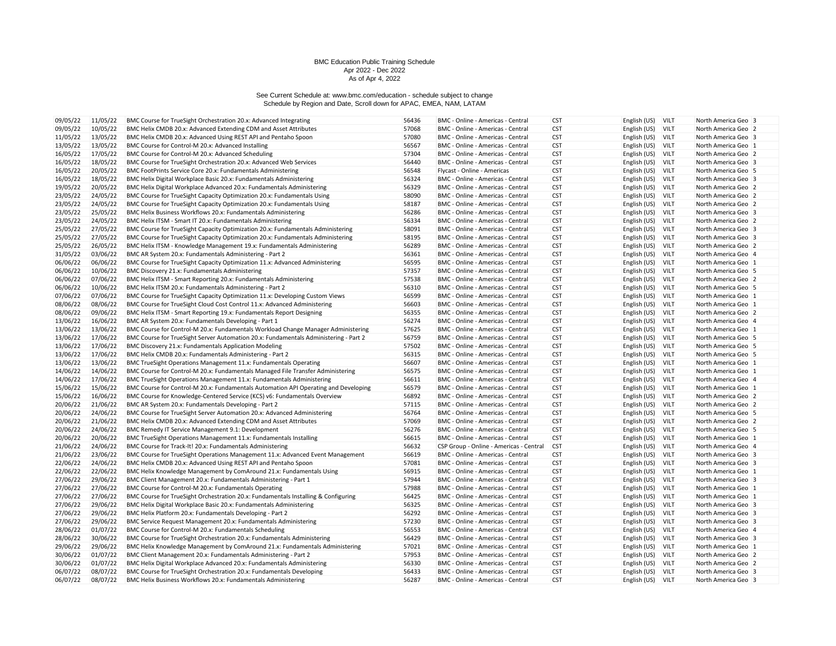| 09/05/22 | 11/05/22 | BMC Course for TrueSight Orchestration 20.x: Advanced Integrating                    | 56436 | BMC - Online - Americas - Central       | <b>CST</b>               | English (US)      | <b>VILT</b> | North America Geo 3 |
|----------|----------|--------------------------------------------------------------------------------------|-------|-----------------------------------------|--------------------------|-------------------|-------------|---------------------|
| 09/05/22 | 10/05/22 | BMC Helix CMDB 20.x: Advanced Extending CDM and Asset Attributes                     | 57068 | BMC - Online - Americas - Central       | <b>CST</b>               | English (US)      | <b>VILT</b> | North America Geo 2 |
| 11/05/22 | 13/05/22 | BMC Helix CMDB 20.x: Advanced Using REST API and Pentaho Spoon                       | 57080 | BMC - Online - Americas - Central       | <b>CST</b>               | English (US)      | <b>VILT</b> | North America Geo 3 |
| 13/05/22 | 13/05/22 | BMC Course for Control-M 20.x: Advanced Installing                                   | 56567 | BMC - Online - Americas - Central       | <b>CST</b>               | English (US)      | <b>VILT</b> | North America Geo 1 |
| 16/05/22 | 17/05/22 | BMC Course for Control-M 20.x: Advanced Scheduling                                   | 57304 | BMC - Online - Americas - Central       | <b>CST</b>               | English (US)      | VILT        | North America Geo 2 |
| 16/05/22 | 18/05/22 | BMC Course for TrueSight Orchestration 20.x: Advanced Web Services                   | 56440 | BMC - Online - Americas - Central       | <b>CST</b>               | English (US)      | <b>VILT</b> | North America Geo 3 |
| 16/05/22 | 20/05/22 | BMC FootPrints Service Core 20.x: Fundamentals Administering                         | 56548 | Flycast - Online - Americas             | <b>CST</b>               | English (US)      | VILT        | North America Geo 5 |
| 16/05/22 | 18/05/22 | BMC Helix Digital Workplace Basic 20.x: Fundamentals Administering                   | 56324 | BMC - Online - Americas - Central       | <b>CST</b>               | English (US)      | VILT        | North America Geo 3 |
| 19/05/22 | 20/05/22 | BMC Helix Digital Workplace Advanced 20.x: Fundamentals Administering                | 56329 | BMC - Online - Americas - Central       | <b>CST</b>               | English (US)      | <b>VILT</b> | North America Geo 2 |
| 23/05/22 | 24/05/22 | BMC Course for TrueSight Capacity Optimization 20.x: Fundamentals Using              | 58090 | BMC - Online - Americas - Central       | <b>CST</b>               | English (US)      | VILT        | North America Geo 2 |
| 23/05/22 | 24/05/22 | BMC Course for TrueSight Capacity Optimization 20.x: Fundamentals Using              | 58187 | BMC - Online - Americas - Central       | <b>CST</b>               | English (US)      | <b>VILT</b> | North America Geo 2 |
| 23/05/22 | 25/05/22 | BMC Helix Business Workflows 20.x: Fundamentals Administering                        | 56286 | BMC - Online - Americas - Central       | <b>CST</b>               | English (US)      | <b>VILT</b> | North America Geo 3 |
| 23/05/22 | 24/05/22 | BMC Helix ITSM - Smart IT 20.x: Fundamentals Administering                           | 56334 | BMC - Online - Americas - Central       | <b>CST</b>               | English (US)      | VILT        | North America Geo 2 |
| 25/05/22 | 27/05/22 | BMC Course for TrueSight Capacity Optimization 20.x: Fundamentals Administering      | 58091 | BMC - Online - Americas - Central       | <b>CST</b>               | English (US)      | VILT        | North America Geo 3 |
| 25/05/22 | 27/05/22 | BMC Course for TrueSight Capacity Optimization 20.x: Fundamentals Administering      | 58195 | BMC - Online - Americas - Central       | <b>CST</b>               | English (US)      | <b>VILT</b> | North America Geo 3 |
| 25/05/22 | 26/05/22 | BMC Helix ITSM - Knowledge Management 19.x: Fundamentals Administering               | 56289 | BMC - Online - Americas - Central       | <b>CST</b>               | English (US)      | <b>VILT</b> | North America Geo 2 |
| 31/05/22 | 03/06/22 | BMC AR System 20.x: Fundamentals Administering - Part 2                              | 56361 | BMC - Online - Americas - Central       | <b>CST</b>               | English (US)      | <b>VILT</b> | North America Geo 4 |
| 06/06/22 | 06/06/22 | BMC Course for TrueSight Capacity Optimization 11.x: Advanced Administering          | 56595 | BMC - Online - Americas - Central       | <b>CST</b>               | English (US)      | <b>VILT</b> | North America Geo 1 |
| 06/06/22 | 10/06/22 | BMC Discovery 21.x: Fundamentals Administering                                       | 57357 | BMC - Online - Americas - Central       | <b>CST</b>               | English (US)      | VILT        | North America Geo 5 |
| 06/06/22 | 07/06/22 | BMC Helix ITSM - Smart Reporting 20.x: Fundamentals Administering                    | 57538 | BMC - Online - Americas - Central       | <b>CST</b>               | English (US)      | <b>VILT</b> | North America Geo 2 |
| 06/06/22 | 10/06/22 | BMC Helix ITSM 20.x: Fundamentals Administering - Part 2                             | 56310 | BMC - Online - Americas - Central       | <b>CST</b>               | English (US)      | <b>VILT</b> | North America Geo 5 |
| 07/06/22 | 07/06/22 | BMC Course for TrueSight Capacity Optimization 11.x: Developing Custom Views         | 56599 | BMC - Online - Americas - Central       | <b>CST</b>               | English (US)      | VILT        | North America Geo 1 |
| 08/06/22 | 08/06/22 | BMC Course for TrueSight Cloud Cost Control 11.x: Advanced Administering             | 56603 | BMC - Online - Americas - Central       | <b>CST</b>               | English (US)      | VILT        | North America Geo 1 |
| 08/06/22 | 09/06/22 | BMC Helix ITSM - Smart Reporting 19.x: Fundamentals Report Designing                 | 56355 | BMC - Online - Americas - Central       | <b>CST</b>               | English (US)      | <b>VILT</b> | North America Geo 2 |
| 13/06/22 | 16/06/22 | BMC AR System 20.x: Fundamentals Developing - Part 1                                 | 56274 | BMC - Online - Americas - Central       | <b>CST</b>               | English (US)      | <b>VILT</b> | North America Geo 4 |
| 13/06/22 | 13/06/22 | BMC Course for Control-M 20.x: Fundamentals Workload Change Manager Administering    | 57625 | BMC - Online - Americas - Central       | <b>CST</b>               | English (US)      | <b>VILT</b> | North America Geo 1 |
| 13/06/22 | 17/06/22 | BMC Course for TrueSight Server Automation 20.x: Fundamentals Administering - Part 2 | 56759 | BMC - Online - Americas - Central       | <b>CST</b>               | English (US)      | <b>VILT</b> | North America Geo 5 |
| 13/06/22 | 17/06/22 | BMC Discovery 21.x: Fundamentals Application Modeling                                | 57502 | BMC - Online - Americas - Central       | <b>CST</b>               | English (US)      | VILT        | North America Geo 5 |
| 13/06/22 | 17/06/22 | BMC Helix CMDB 20.x: Fundamentals Administering - Part 2                             | 56315 | BMC - Online - Americas - Central       | <b>CST</b>               | English (US)      | <b>VILT</b> | North America Geo 5 |
| 13/06/22 | 13/06/22 | BMC TrueSight Operations Management 11.x: Fundamentals Operating                     | 56607 | BMC - Online - Americas - Central       | <b>CST</b>               | English (US)      | <b>VILT</b> | North America Geo 1 |
| 14/06/22 | 14/06/22 | BMC Course for Control-M 20.x: Fundamentals Managed File Transfer Administering      | 56575 | BMC - Online - Americas - Central       | <b>CST</b>               | English (US)      | VILT        | North America Geo 1 |
| 14/06/22 | 17/06/22 | BMC TrueSight Operations Management 11.x: Fundamentals Administering                 | 56611 | BMC - Online - Americas - Central       | <b>CST</b>               | English (US)      | VILT        | North America Geo 4 |
| 15/06/22 | 15/06/22 | BMC Course for Control-M 20.x: Fundamentals Automation API Operating and Developing  | 56579 | BMC - Online - Americas - Central       | <b>CST</b>               | English (US)      | <b>VILT</b> | North America Geo 1 |
| 15/06/22 | 16/06/22 |                                                                                      | 56892 |                                         | <b>CST</b>               |                   | VILT        |                     |
|          |          | BMC Course for Knowledge-Centered Service (KCS) v6: Fundamentals Overview            | 57115 | BMC - Online - Americas - Central       |                          | English (US)      |             | North America Geo 2 |
| 20/06/22 | 21/06/22 | BMC AR System 20.x: Fundamentals Developing - Part 2                                 | 56764 | BMC - Online - Americas - Central       | <b>CST</b><br><b>CST</b> | English (US)      | <b>VILT</b> | North America Geo 2 |
| 20/06/22 | 24/06/22 | BMC Course for TrueSight Server Automation 20.x: Advanced Administering              | 57069 | BMC - Online - Americas - Central       |                          | English (US)      | <b>VILT</b> | North America Geo 5 |
| 20/06/22 | 21/06/22 | BMC Helix CMDB 20.x: Advanced Extending CDM and Asset Attributes                     |       | BMC - Online - Americas - Central       | <b>CST</b>               | English (US)      | VILT        | North America Geo 2 |
| 20/06/22 | 24/06/22 | BMC Remedy IT Service Management 9.1: Development                                    | 56276 | BMC - Online - Americas - Central       | <b>CST</b>               | English (US)      | <b>VILT</b> | North America Geo 5 |
| 20/06/22 | 20/06/22 | BMC TrueSight Operations Management 11.x: Fundamentals Installing                    | 56615 | BMC - Online - Americas - Central       | <b>CST</b>               | English (US)      | <b>VILT</b> | North America Geo 1 |
| 21/06/22 | 24/06/22 | BMC Course for Track-It! 20.x: Fundamentals Administering                            | 56632 | CSP Group - Online - Americas - Central | <b>CST</b>               | English (US)      | VILT        | North America Geo 4 |
| 21/06/22 | 23/06/22 | BMC Course for TrueSight Operations Management 11.x: Advanced Event Management       | 56619 | BMC - Online - Americas - Central       | <b>CST</b>               | English (US)      | <b>VILT</b> | North America Geo 3 |
| 22/06/22 | 24/06/22 | BMC Helix CMDB 20.x: Advanced Using REST API and Pentaho Spoon                       | 57081 | BMC - Online - Americas - Central       | <b>CST</b>               | English (US)      | <b>VILT</b> | North America Geo 3 |
| 22/06/22 | 22/06/22 | BMC Helix Knowledge Management by ComAround 21.x: Fundamentals Using                 | 56915 | BMC - Online - Americas - Central       | <b>CST</b>               | English (US)      | <b>VILT</b> | North America Geo 1 |
| 27/06/22 | 29/06/22 | BMC Client Management 20.x: Fundamentals Administering - Part 1                      | 57944 | BMC - Online - Americas - Central       | <b>CST</b>               | English (US)      | VILT        | North America Geo 3 |
| 27/06/22 | 27/06/22 | BMC Course for Control-M 20.x: Fundamentals Operating                                | 57988 | BMC - Online - Americas - Central       | <b>CST</b>               | English (US)      | <b>VILT</b> | North America Geo 1 |
| 27/06/22 | 27/06/22 | BMC Course for TrueSight Orchestration 20.x: Fundamentals Installing & Configuring   | 56425 | BMC - Online - Americas - Central       | <b>CST</b>               | English (US)      | VILT        | North America Geo 1 |
| 27/06/22 | 29/06/22 | BMC Helix Digital Workplace Basic 20.x: Fundamentals Administering                   | 56325 | BMC - Online - Americas - Central       | <b>CST</b>               | English (US)      | <b>VILT</b> | North America Geo 3 |
| 27/06/22 | 29/06/22 | BMC Helix Platform 20.x: Fundamentals Developing - Part 2                            | 56292 | BMC - Online - Americas - Central       | <b>CST</b>               | English (US)      | <b>VILT</b> | North America Geo 3 |
| 27/06/22 | 29/06/22 | BMC Service Request Management 20.x: Fundamentals Administering                      | 57230 | BMC - Online - Americas - Central       | <b>CST</b>               | English (US)      | VILT        | North America Geo 3 |
| 28/06/22 | 01/07/22 | BMC Course for Control-M 20.x: Fundamentals Scheduling                               | 56553 | BMC - Online - Americas - Central       | <b>CST</b>               | English (US)      | <b>VILT</b> | North America Geo 4 |
| 28/06/22 | 30/06/22 | BMC Course for TrueSight Orchestration 20.x: Fundamentals Administering              | 56429 | BMC - Online - Americas - Central       | <b>CST</b>               | English (US)      | <b>VILT</b> | North America Geo 3 |
| 29/06/22 | 29/06/22 | BMC Helix Knowledge Management by ComAround 21.x: Fundamentals Administering         | 57021 | BMC - Online - Americas - Central       | <b>CST</b>               | English (US)      | VILT        | North America Geo 1 |
| 30/06/22 | 01/07/22 | BMC Client Management 20.x: Fundamentals Administering - Part 2                      | 57953 | BMC - Online - Americas - Central       | <b>CST</b>               | English (US)      | <b>VILT</b> | North America Geo 2 |
| 30/06/22 | 01/07/22 | BMC Helix Digital Workplace Advanced 20.x: Fundamentals Administering                | 56330 | BMC - Online - Americas - Central       | <b>CST</b>               | English (US)      | <b>VILT</b> | North America Geo 2 |
| 06/07/22 | 08/07/22 | BMC Course for TrueSight Orchestration 20.x: Fundamentals Developing                 | 56433 | BMC - Online - Americas - Central       | <b>CST</b>               | English (US)      | VILT        | North America Geo 3 |
| 06/07/22 | 08/07/22 | BMC Helix Business Workflows 20.x: Fundamentals Administering                        | 56287 | BMC - Online - Americas - Central       | <b>CST</b>               | English (US) VILT |             | North America Geo 3 |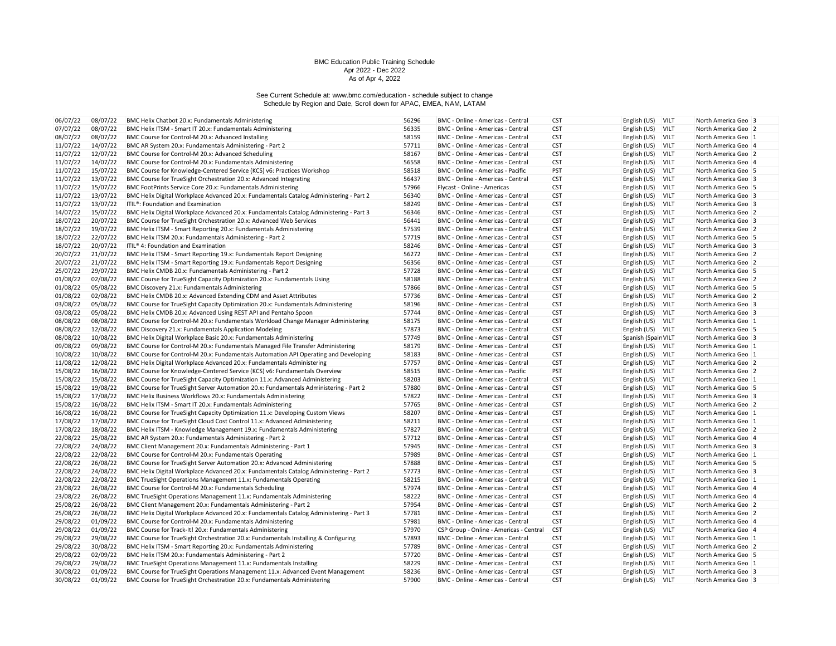| 06/07/22             | 08/07/22 | BMC Helix Chatbot 20.x: Fundamentals Administering                                                                         | 56296 | BMC - Online - Americas - Central                                      | <b>CST</b> | English (US)                 | VILT        | North America Geo 3 |
|----------------------|----------|----------------------------------------------------------------------------------------------------------------------------|-------|------------------------------------------------------------------------|------------|------------------------------|-------------|---------------------|
| 07/07/22             | 08/07/22 | BMC Helix ITSM - Smart IT 20.x: Fundamentals Administering                                                                 | 56335 | BMC - Online - Americas - Central                                      | <b>CST</b> | English (US)                 | <b>VILT</b> | North America Geo 2 |
| 08/07/22             | 08/07/22 | BMC Course for Control-M 20.x: Advanced Installing                                                                         | 58159 | BMC - Online - Americas - Central                                      | <b>CST</b> | English (US)                 | VILT        | North America Geo 1 |
| 11/07/22             | 14/07/22 | BMC AR System 20.x: Fundamentals Administering - Part 2                                                                    | 57711 | BMC - Online - Americas - Central                                      | <b>CST</b> | English (US)                 | VILT        | North America Geo 4 |
| 11/07/22             | 12/07/22 | BMC Course for Control-M 20.x: Advanced Scheduling                                                                         | 58167 | BMC - Online - Americas - Central                                      | <b>CST</b> | English (US)                 | VILT        | North America Geo 2 |
| 11/07/22             | 14/07/22 | BMC Course for Control-M 20.x: Fundamentals Administering                                                                  | 56558 | BMC - Online - Americas - Central                                      | <b>CST</b> | English (US)                 | VILT        | North America Geo 4 |
| 11/07/22             | 15/07/22 | BMC Course for Knowledge-Centered Service (KCS) v6: Practices Workshop                                                     | 58518 | BMC - Online - Americas - Pacific                                      | <b>PST</b> | English (US)                 | VILT        | North America Geo 5 |
| 11/07/22             | 13/07/22 | BMC Course for TrueSight Orchestration 20.x: Advanced Integrating                                                          | 56437 | BMC - Online - Americas - Central                                      | <b>CST</b> | English (US)                 | <b>VILT</b> | North America Geo 3 |
| 11/07/22             | 15/07/22 | BMC FootPrints Service Core 20.x: Fundamentals Administering                                                               | 57966 | Flycast - Online - Americas                                            | <b>CST</b> | English (US)                 | <b>VILT</b> | North America Geo 5 |
| 11/07/22             | 13/07/22 | BMC Helix Digital Workplace Advanced 20.x: Fundamentals Catalog Administering - Part 2                                     | 56340 | BMC - Online - Americas - Central                                      | <b>CST</b> | English (US)                 | VILT        | North America Geo 3 |
|                      |          |                                                                                                                            |       |                                                                        |            |                              |             |                     |
| 11/07/22             | 13/07/22 | ITIL®: Foundation and Examination                                                                                          | 58249 | BMC - Online - Americas - Central                                      | <b>CST</b> | English (US)                 | VILT        | North America Geo 3 |
| 14/07/22             | 15/07/22 | BMC Helix Digital Workplace Advanced 20.x: Fundamentals Catalog Administering - Part 3                                     | 56346 | BMC - Online - Americas - Central                                      | <b>CST</b> | English (US)                 | <b>VILT</b> | North America Geo 2 |
| 18/07/22             | 20/07/22 | BMC Course for TrueSight Orchestration 20.x: Advanced Web Services                                                         | 56441 | BMC - Online - Americas - Central                                      | <b>CST</b> | English (US)                 | VILT        | North America Geo 3 |
| 18/07/22             | 19/07/22 | BMC Helix ITSM - Smart Reporting 20.x: Fundamentals Administering                                                          | 57539 | BMC - Online - Americas - Central                                      | <b>CST</b> | English (US)                 | VILT        | North America Geo 2 |
| 18/07/22             | 22/07/22 | BMC Helix ITSM 20.x: Fundamentals Administering - Part 2                                                                   | 57719 | BMC - Online - Americas - Central                                      | <b>CST</b> | English (US)                 | <b>VILT</b> | North America Geo 5 |
| 18/07/22             | 20/07/22 | ITIL® 4: Foundation and Examination                                                                                        | 58246 | BMC - Online - Americas - Central                                      | <b>CST</b> | English (US)                 | <b>VILT</b> | North America Geo 3 |
| 20/07/22             | 21/07/22 | BMC Helix ITSM - Smart Reporting 19.x: Fundamentals Report Designing                                                       | 56272 | BMC - Online - Americas - Central                                      | <b>CST</b> | English (US)                 | VILT        | North America Geo 2 |
| 20/07/22             | 21/07/22 | BMC Helix ITSM - Smart Reporting 19.x: Fundamentals Report Designing                                                       | 56356 | BMC - Online - Americas - Central                                      | <b>CST</b> | English (US)                 | VILT        | North America Geo 2 |
| 25/07/22             | 29/07/22 | BMC Helix CMDB 20.x: Fundamentals Administering - Part 2                                                                   | 57728 | BMC - Online - Americas - Central                                      | <b>CST</b> | English (US)                 | VILT        | North America Geo 5 |
| 01/08/22             | 02/08/22 | BMC Course for TrueSight Capacity Optimization 20.x: Fundamentals Using                                                    | 58188 | BMC - Online - Americas - Central                                      | <b>CST</b> | English (US)                 | VILT        | North America Geo 2 |
| 01/08/22             | 05/08/22 | BMC Discovery 21.x: Fundamentals Administering                                                                             | 57866 | BMC - Online - Americas - Central                                      | <b>CST</b> | English (US)                 | VILT        | North America Geo 5 |
| 01/08/22             | 02/08/22 | BMC Helix CMDB 20.x: Advanced Extending CDM and Asset Attributes                                                           | 57736 | BMC - Online - Americas - Central                                      | <b>CST</b> | English (US)                 | VILT        | North America Geo 2 |
| 03/08/22             | 05/08/22 | BMC Course for TrueSight Capacity Optimization 20.x: Fundamentals Administering                                            | 58196 | BMC - Online - Americas - Central                                      | <b>CST</b> | English (US)                 | VILT        | North America Geo 3 |
| 03/08/22             | 05/08/22 | BMC Helix CMDB 20.x: Advanced Using REST API and Pentaho Spoon                                                             | 57744 | BMC - Online - Americas - Central                                      | <b>CST</b> | English (US)                 | <b>VILT</b> | North America Geo 3 |
| 08/08/22             | 08/08/22 | BMC Course for Control-M 20.x: Fundamentals Workload Change Manager Administering                                          | 58175 | BMC - Online - Americas - Central                                      | <b>CST</b> | English (US)                 | VILT        | North America Geo 1 |
| 08/08/22             | 12/08/22 | BMC Discovery 21.x: Fundamentals Application Modeling                                                                      | 57873 | BMC - Online - Americas - Central                                      | <b>CST</b> | English (US) VILT            |             | North America Geo 5 |
| 08/08/22             | 10/08/22 | BMC Helix Digital Workplace Basic 20.x: Fundamentals Administering                                                         | 57749 | BMC - Online - Americas - Central                                      | <b>CST</b> | Spanish (Spain VILT          |             | North America Geo 3 |
| 09/08/22             | 09/08/22 | BMC Course for Control-M 20.x: Fundamentals Managed File Transfer Administering                                            | 58179 | BMC - Online - Americas - Central                                      | <b>CST</b> | English (US)                 | <b>VILT</b> | North America Geo 1 |
| 10/08/22             | 10/08/22 | BMC Course for Control-M 20.x: Fundamentals Automation API Operating and Developing                                        | 58183 | BMC - Online - Americas - Central                                      | <b>CST</b> | English (US)                 | VILT        | North America Geo 1 |
| 11/08/22             | 12/08/22 | BMC Helix Digital Workplace Advanced 20.x: Fundamentals Administering                                                      | 57757 | BMC - Online - Americas - Central                                      | <b>CST</b> | English (US)                 | <b>VILT</b> | North America Geo 2 |
| 15/08/22             | 16/08/22 | BMC Course for Knowledge-Centered Service (KCS) v6: Fundamentals Overview                                                  | 58515 | BMC - Online - Americas - Pacific                                      | PST        | English (US)                 | VILT        | North America Geo 2 |
| 15/08/22             | 15/08/22 | BMC Course for TrueSight Capacity Optimization 11.x: Advanced Administering                                                | 58203 | BMC - Online - Americas - Central                                      | <b>CST</b> | English (US)                 | <b>VILT</b> | North America Geo 1 |
| 15/08/22             | 19/08/22 | BMC Course for TrueSight Server Automation 20.x: Fundamentals Administering - Part 2                                       | 57880 | BMC - Online - Americas - Central                                      | <b>CST</b> | English (US)                 | VILT        | North America Geo 5 |
| 15/08/22             | 17/08/22 | BMC Helix Business Workflows 20.x: Fundamentals Administering                                                              | 57822 | BMC - Online - Americas - Central                                      | <b>CST</b> | English (US)                 | VILT        | North America Geo 3 |
| 15/08/22             | 16/08/22 | BMC Helix ITSM - Smart IT 20.x: Fundamentals Administering                                                                 | 57765 | BMC - Online - Americas - Central                                      | <b>CST</b> | English (US)                 | VILT        | North America Geo 2 |
| 16/08/22             | 16/08/22 | BMC Course for TrueSight Capacity Optimization 11.x: Developing Custom Views                                               | 58207 | BMC - Online - Americas - Central                                      | <b>CST</b> | English (US)                 | <b>VILT</b> | North America Geo 1 |
| 17/08/22             | 17/08/22 | BMC Course for TrueSight Cloud Cost Control 11.x: Advanced Administering                                                   | 58211 | BMC - Online - Americas - Central                                      | <b>CST</b> | English (US)                 | VILT        | North America Geo 1 |
| 17/08/22             | 18/08/22 | BMC Helix ITSM - Knowledge Management 19.x: Fundamentals Administering                                                     | 57827 | BMC - Online - Americas - Central                                      | <b>CST</b> | English (US)                 | VILT        | North America Geo 2 |
| 22/08/22             | 25/08/22 | BMC AR System 20.x: Fundamentals Administering - Part 2                                                                    | 57712 | BMC - Online - Americas - Central                                      | <b>CST</b> | English (US)                 | VILT        | North America Geo 4 |
| 22/08/22             | 24/08/22 | BMC Client Management 20.x: Fundamentals Administering - Part 1                                                            | 57945 | BMC - Online - Americas - Central                                      | <b>CST</b> | English (US)                 | VILT        | North America Geo 3 |
| 22/08/22             | 22/08/22 | BMC Course for Control-M 20.x: Fundamentals Operating                                                                      | 57989 | BMC - Online - Americas - Central                                      | <b>CST</b> | English (US)                 | VILT        | North America Geo 1 |
| 22/08/22             | 26/08/22 | BMC Course for TrueSight Server Automation 20.x: Advanced Administering                                                    | 57888 | BMC - Online - Americas - Central                                      | <b>CST</b> | English (US)                 | <b>VILT</b> | North America Geo 5 |
| 22/08/22             | 24/08/22 | BMC Helix Digital Workplace Advanced 20.x: Fundamentals Catalog Administering - Part 2                                     | 57773 | BMC - Online - Americas - Central                                      | <b>CST</b> | English (US)                 | VILT        | North America Geo 3 |
|                      | 22/08/22 |                                                                                                                            | 58215 |                                                                        | <b>CST</b> |                              | <b>VILT</b> |                     |
| 22/08/22<br>23/08/22 | 26/08/22 | BMC TrueSight Operations Management 11.x: Fundamentals Operating<br>BMC Course for Control-M 20.x: Fundamentals Scheduling | 57974 | BMC - Online - Americas - Central<br>BMC - Online - Americas - Central | <b>CST</b> | English (US)<br>English (US) | VILT        | North America Geo 1 |
|                      |          |                                                                                                                            | 58222 |                                                                        |            |                              |             | North America Geo 4 |
| 23/08/22             | 26/08/22 | BMC TrueSight Operations Management 11.x: Fundamentals Administering                                                       |       | BMC - Online - Americas - Central                                      | <b>CST</b> | English (US)                 | VILT        | North America Geo 4 |
| 25/08/22             | 26/08/22 | BMC Client Management 20.x: Fundamentals Administering - Part 2                                                            | 57954 | BMC - Online - Americas - Central                                      | <b>CST</b> | English (US)                 | VILT        | North America Geo 2 |
| 25/08/22             | 26/08/22 | BMC Helix Digital Workplace Advanced 20.x: Fundamentals Catalog Administering - Part 3                                     | 57781 | BMC - Online - Americas - Central                                      | <b>CST</b> | English (US)                 | <b>VILT</b> | North America Geo 2 |
| 29/08/22             | 01/09/22 | BMC Course for Control-M 20.x: Fundamentals Administering                                                                  | 57981 | BMC - Online - Americas - Central                                      | <b>CST</b> | English (US)                 | VILT        | North America Geo 4 |
| 29/08/22             | 01/09/22 | BMC Course for Track-It! 20.x: Fundamentals Administering                                                                  | 57970 | CSP Group - Online - Americas - Central                                | <b>CST</b> | English (US)                 | VILT        | North America Geo 4 |
| 29/08/22             | 29/08/22 | BMC Course for TrueSight Orchestration 20.x: Fundamentals Installing & Configuring                                         | 57893 | BMC - Online - Americas - Central                                      | <b>CST</b> | English (US)                 | <b>VILT</b> | North America Geo 1 |
| 29/08/22             | 30/08/22 | BMC Helix ITSM - Smart Reporting 20.x: Fundamentals Administering                                                          | 57789 | BMC - Online - Americas - Central                                      | <b>CST</b> | English (US)                 | <b>VILT</b> | North America Geo 2 |
| 29/08/22             | 02/09/22 | BMC Helix ITSM 20.x: Fundamentals Administering - Part 2                                                                   | 57720 | BMC - Online - Americas - Central                                      | <b>CST</b> | English (US)                 | VILT        | North America Geo 5 |
| 29/08/22             | 29/08/22 | BMC TrueSight Operations Management 11.x: Fundamentals Installing                                                          | 58229 | BMC - Online - Americas - Central                                      | <b>CST</b> | English (US)                 | VILT        | North America Geo 1 |
| 30/08/22             | 01/09/22 | BMC Course for TrueSight Operations Management 11.x: Advanced Event Management                                             | 58236 | BMC - Online - Americas - Central                                      | <b>CST</b> | English (US)                 | <b>VILT</b> | North America Geo 3 |
| 30/08/22             | 01/09/22 | BMC Course for TrueSight Orchestration 20.x: Fundamentals Administering                                                    | 57900 | BMC - Online - Americas - Central                                      | <b>CST</b> | English (US)                 | VILT        | North America Geo 3 |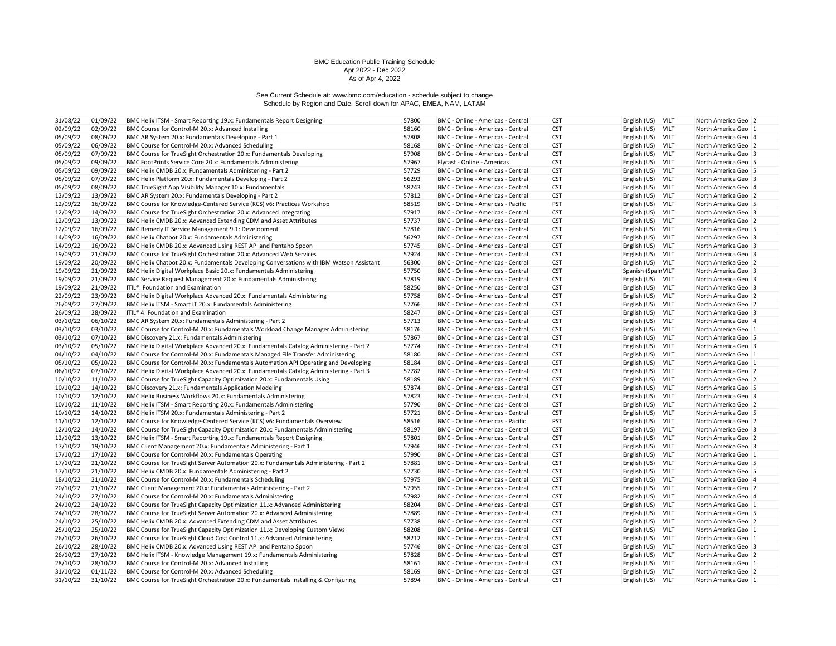| 31/08/22             | 01/09/22             | BMC Helix ITSM - Smart Reporting 19.x: Fundamentals Report Designing                                                     | 57800 | BMC - Online - Americas - Central                                      | <b>CST</b> | English (US)<br><b>VILT</b>                 | North America Geo 2                        |
|----------------------|----------------------|--------------------------------------------------------------------------------------------------------------------------|-------|------------------------------------------------------------------------|------------|---------------------------------------------|--------------------------------------------|
| 02/09/22             | 02/09/22             | BMC Course for Control-M 20.x: Advanced Installing                                                                       | 58160 | BMC - Online - Americas - Central                                      | <b>CST</b> | English (US)<br><b>VILT</b>                 | North America Geo 1                        |
| 05/09/22             | 08/09/22             | BMC AR System 20.x: Fundamentals Developing - Part 1                                                                     | 57808 | BMC - Online - Americas - Central                                      | <b>CST</b> | English (US)<br><b>VILT</b>                 | North America Geo 4                        |
| 05/09/22             | 06/09/22             | BMC Course for Control-M 20.x: Advanced Scheduling                                                                       | 58168 | BMC - Online - Americas - Central                                      | <b>CST</b> | English (US)<br><b>VILT</b>                 | North America Geo 2                        |
| 05/09/22             | 07/09/22             | BMC Course for TrueSight Orchestration 20.x: Fundamentals Developing                                                     | 57908 | BMC - Online - Americas - Central                                      | <b>CST</b> | VILT<br>English (US)                        | North America Geo 3                        |
| 05/09/22             | 09/09/22             | BMC FootPrints Service Core 20.x: Fundamentals Administering                                                             | 57967 | Flycast - Online - Americas                                            | <b>CST</b> | English (US)<br><b>VILT</b>                 | North America Geo 5                        |
| 05/09/22             | 09/09/22             | BMC Helix CMDB 20.x: Fundamentals Administering - Part 2                                                                 | 57729 | BMC - Online - Americas - Central                                      | <b>CST</b> | English (US)<br><b>VILT</b>                 | North America Geo 5                        |
| 05/09/22             | 07/09/22             | BMC Helix Platform 20.x: Fundamentals Developing - Part 2                                                                | 56293 | BMC - Online - Americas - Central                                      | <b>CST</b> | VILT<br>English (US)                        | North America Geo 3                        |
| 05/09/22             | 08/09/22             | BMC TrueSight App Visibility Manager 10.x: Fundamentals                                                                  | 58243 | BMC - Online - Americas - Central                                      | <b>CST</b> | English (US)<br><b>VILT</b>                 | North America Geo 4                        |
| 12/09/22             | 13/09/22             | BMC AR System 20.x: Fundamentals Developing - Part 2                                                                     | 57812 | BMC - Online - Americas - Central                                      | <b>CST</b> | English (US)<br>VILT                        | North America Geo 2                        |
| 12/09/22             | 16/09/22             | BMC Course for Knowledge-Centered Service (KCS) v6: Practices Workshop                                                   | 58519 | BMC - Online - Americas - Pacific                                      | <b>PST</b> | VILT<br>English (US)                        | North America Geo 5                        |
| 12/09/22             | 14/09/22             | BMC Course for TrueSight Orchestration 20.x: Advanced Integrating                                                        | 57917 | BMC - Online - Americas - Central                                      | <b>CST</b> | English (US)<br><b>VILT</b>                 | North America Geo 3                        |
| 12/09/22             | 13/09/22             | BMC Helix CMDB 20.x: Advanced Extending CDM and Asset Attributes                                                         | 57737 | BMC - Online - Americas - Central                                      | <b>CST</b> | VILT<br>English (US)                        | North America Geo 2                        |
| 12/09/22             | 16/09/22             | BMC Remedy IT Service Management 9.1: Development                                                                        | 57816 | BMC - Online - Americas - Central                                      | <b>CST</b> | VILT<br>English (US)                        | North America Geo 5                        |
| 14/09/22             | 16/09/22             | BMC Helix Chatbot 20.x: Fundamentals Administering                                                                       | 56297 | BMC - Online - Americas - Central                                      | <b>CST</b> | English (US)<br><b>VILT</b>                 | North America Geo 3                        |
| 14/09/22             | 16/09/22             | BMC Helix CMDB 20.x: Advanced Using REST API and Pentaho Spoon                                                           | 57745 | BMC - Online - Americas - Central                                      | <b>CST</b> | English (US)<br><b>VILT</b>                 | North America Geo 3                        |
| 19/09/22             | 21/09/22             | BMC Course for TrueSight Orchestration 20.x: Advanced Web Services                                                       | 57924 | BMC - Online - Americas - Central                                      | <b>CST</b> | English (US)<br><b>VILT</b>                 | North America Geo 3                        |
| 19/09/22             | 20/09/22             | BMC Helix Chatbot 20.x: Fundamentals Developing Conversations with IBM Watson Assistant                                  | 56300 | BMC - Online - Americas - Central                                      | <b>CST</b> | English (US) VILT                           | North America Geo 2                        |
| 19/09/22             | 21/09/22             | BMC Helix Digital Workplace Basic 20.x: Fundamentals Administering                                                       | 57750 | BMC - Online - Americas - Central                                      | <b>CST</b> | Spanish (Spain VILT                         | North America Geo 3                        |
| 19/09/22             | 21/09/22             | BMC Service Request Management 20.x: Fundamentals Administering                                                          | 57819 | BMC - Online - Americas - Central                                      | <b>CST</b> | English (US)<br><b>VILT</b>                 | North America Geo 3                        |
| 19/09/22             | 21/09/22             | ITIL <sup>®</sup> : Foundation and Examination                                                                           | 58250 | BMC - Online - Americas - Central                                      | <b>CST</b> | English (US)<br><b>VILT</b>                 | North America Geo 3                        |
| 22/09/22             | 23/09/22             | BMC Helix Digital Workplace Advanced 20.x: Fundamentals Administering                                                    | 57758 | BMC - Online - Americas - Central                                      | <b>CST</b> | English (US)<br>VILT                        | North America Geo 2                        |
| 26/09/22             | 27/09/22             | BMC Helix ITSM - Smart IT 20.x: Fundamentals Administering                                                               | 57766 | BMC - Online - Americas - Central                                      | <b>CST</b> | <b>VILT</b><br>English (US)                 | North America Geo 2                        |
| 26/09/22             | 28/09/22             | ITIL® 4: Foundation and Examination                                                                                      | 58247 | BMC - Online - Americas - Central                                      | <b>CST</b> | <b>VILT</b><br>English (US)                 | North America Geo 3                        |
| 03/10/22             | 06/10/22             | BMC AR System 20.x: Fundamentals Administering - Part 2                                                                  | 57713 | BMC - Online - Americas - Central                                      | <b>CST</b> | English (US)<br>VILT                        | North America Geo 4                        |
| 03/10/22             | 03/10/22             | BMC Course for Control-M 20.x: Fundamentals Workload Change Manager Administering                                        | 58176 | BMC - Online - Americas - Central                                      | <b>CST</b> | English (US)<br>VILT                        | North America Geo 1                        |
| 03/10/22             | 07/10/22             | BMC Discovery 21.x: Fundamentals Administering                                                                           | 57867 | BMC - Online - Americas - Central                                      | <b>CST</b> | English (US)<br><b>VILT</b>                 | North America Geo 5                        |
| 03/10/22             | 05/10/22             | BMC Helix Digital Workplace Advanced 20.x: Fundamentals Catalog Administering - Part 2                                   | 57774 | BMC - Online - Americas - Central                                      | <b>CST</b> | <b>VILT</b><br>English (US)                 | North America Geo 3                        |
| 04/10/22             | 04/10/22             | BMC Course for Control-M 20.x: Fundamentals Managed File Transfer Administering                                          | 58180 | BMC - Online - Americas - Central                                      | <b>CST</b> | English (US)<br>VILT                        | North America Geo 1                        |
| 05/10/22             | 05/10/22             | BMC Course for Control-M 20.x: Fundamentals Automation API Operating and Developing                                      | 58184 | BMC - Online - Americas - Central                                      | <b>CST</b> | English (US)<br>VILT                        | North America Geo 1                        |
| 06/10/22             | 07/10/22             | BMC Helix Digital Workplace Advanced 20.x: Fundamentals Catalog Administering - Part 3                                   | 57782 | BMC - Online - Americas - Central                                      | <b>CST</b> | VILT<br>English (US)                        | North America Geo 2                        |
| 10/10/22             | 11/10/22             | BMC Course for TrueSight Capacity Optimization 20.x: Fundamentals Using                                                  | 58189 | BMC - Online - Americas - Central                                      | <b>CST</b> | <b>VILT</b><br>English (US)                 | North America Geo 2                        |
| 10/10/22             | 14/10/22             | BMC Discovery 21.x: Fundamentals Application Modeling                                                                    | 57874 | BMC - Online - Americas - Central                                      | <b>CST</b> | English (US)<br><b>VILT</b>                 | North America Geo 5                        |
| 10/10/22             | 12/10/22             | BMC Helix Business Workflows 20.x: Fundamentals Administering                                                            | 57823 | BMC - Online - Americas - Central                                      | <b>CST</b> | English (US)<br>VILT                        | North America Geo 3                        |
| 10/10/22             | 11/10/22             | BMC Helix ITSM - Smart Reporting 20.x: Fundamentals Administering                                                        | 57790 | BMC - Online - Americas - Central                                      | <b>CST</b> | English (US)<br>VILT                        | North America Geo 2                        |
| 10/10/22             | 14/10/22             | BMC Helix ITSM 20.x: Fundamentals Administering - Part 2                                                                 | 57721 | BMC - Online - Americas - Central                                      | <b>CST</b> | <b>VILT</b><br>English (US)                 | North America Geo 5                        |
| 11/10/22             | 12/10/22             | BMC Course for Knowledge-Centered Service (KCS) v6: Fundamentals Overview                                                | 58516 | BMC - Online - Americas - Pacific                                      | PST        | VILT<br>English (US)                        | North America Geo 2                        |
| 12/10/22             | 14/10/22             | BMC Course for TrueSight Capacity Optimization 20.x: Fundamentals Administering                                          | 58197 | BMC - Online - Americas - Central                                      | <b>CST</b> | English (US)<br>VILT                        | North America Geo 3                        |
|                      |                      | BMC Helix ITSM - Smart Reporting 19.x: Fundamentals Report Designing                                                     | 57801 | BMC - Online - Americas - Central                                      | <b>CST</b> | <b>VILT</b>                                 |                                            |
| 12/10/22<br>17/10/22 | 13/10/22<br>19/10/22 |                                                                                                                          | 57946 |                                                                        | <b>CST</b> | English (US)<br><b>VILT</b>                 | North America Geo 2                        |
| 17/10/22             | 17/10/22             | BMC Client Management 20.x: Fundamentals Administering - Part 1<br>BMC Course for Control-M 20.x: Fundamentals Operating | 57990 | BMC - Online - Americas - Central<br>BMC - Online - Americas - Central | <b>CST</b> | English (US)<br>English (US)<br><b>VILT</b> | North America Geo 3<br>North America Geo 1 |
|                      |                      |                                                                                                                          | 57881 |                                                                        | <b>CST</b> |                                             |                                            |
| 17/10/22             | 21/10/22             | BMC Course for TrueSight Server Automation 20.x: Fundamentals Administering - Part 2                                     |       | BMC - Online - Americas - Central                                      |            | English (US)<br>VILT                        | North America Geo 5                        |
| 17/10/22             | 21/10/22             | BMC Helix CMDB 20.x: Fundamentals Administering - Part 2                                                                 | 57730 | BMC - Online - Americas - Central                                      | <b>CST</b> | English (US)<br>VILT                        | North America Geo 5                        |
| 18/10/22             | 21/10/22             | BMC Course for Control-M 20.x: Fundamentals Scheduling                                                                   | 57975 | BMC - Online - Americas - Central                                      | <b>CST</b> | <b>VILT</b><br>English (US)                 | North America Geo 4                        |
| 20/10/22             | 21/10/22             | BMC Client Management 20.x: Fundamentals Administering - Part 2                                                          | 57955 | BMC - Online - Americas - Central                                      | <b>CST</b> | English (US)<br>VILT                        | North America Geo 2                        |
| 24/10/22             | 27/10/22             | BMC Course for Control-M 20.x: Fundamentals Administering                                                                | 57982 | BMC - Online - Americas - Central                                      | <b>CST</b> | English (US)<br>VILT                        | North America Geo 4                        |
| 24/10/22             | 24/10/22             | BMC Course for TrueSight Capacity Optimization 11.x: Advanced Administering                                              | 58204 | BMC - Online - Americas - Central                                      | <b>CST</b> | English (US)<br>VILT                        | North America Geo 1                        |
| 24/10/22             | 28/10/22             | BMC Course for TrueSight Server Automation 20.x: Advanced Administering                                                  | 57889 | BMC - Online - Americas - Central                                      | <b>CST</b> | <b>VILT</b><br>English (US)                 | North America Geo 5                        |
| 24/10/22             | 25/10/22             | BMC Helix CMDB 20.x: Advanced Extending CDM and Asset Attributes                                                         | 57738 | BMC - Online - Americas - Central                                      | <b>CST</b> | VILT<br>English (US)                        | North America Geo 2                        |
| 25/10/22             | 25/10/22             | BMC Course for TrueSight Capacity Optimization 11.x: Developing Custom Views                                             | 58208 | BMC - Online - Americas - Central                                      | <b>CST</b> | English (US)<br>VILT                        | North America Geo 1                        |
| 26/10/22             | 26/10/22             | BMC Course for TrueSight Cloud Cost Control 11.x: Advanced Administering                                                 | 58212 | BMC - Online - Americas - Central                                      | <b>CST</b> | VILT<br>English (US)                        | North America Geo 1                        |
| 26/10/22             | 28/10/22             | BMC Helix CMDB 20.x: Advanced Using REST API and Pentaho Spoon                                                           | 57746 | BMC - Online - Americas - Central                                      | <b>CST</b> | English (US)<br><b>VILT</b>                 | North America Geo 3                        |
| 26/10/22             | 27/10/22             | BMC Helix ITSM - Knowledge Management 19.x: Fundamentals Administering                                                   | 57828 | BMC - Online - Americas - Central                                      | <b>CST</b> | English (US)<br>VILT                        | North America Geo 2                        |
| 28/10/22             | 28/10/22             | BMC Course for Control-M 20.x: Advanced Installing                                                                       | 58161 | BMC - Online - Americas - Central                                      | <b>CST</b> | <b>VILT</b><br>English (US)                 | North America Geo 1                        |
| 31/10/22             | 01/11/22             | BMC Course for Control-M 20.x: Advanced Scheduling                                                                       | 58169 | BMC - Online - Americas - Central                                      | <b>CST</b> | English (US)<br>VILT                        | North America Geo 2                        |
| 31/10/22             | 31/10/22             | BMC Course for TrueSight Orchestration 20.x: Fundamentals Installing & Configuring                                       | 57894 | BMC - Online - Americas - Central                                      | <b>CST</b> | English (US)<br><b>VILT</b>                 | North America Geo 1                        |